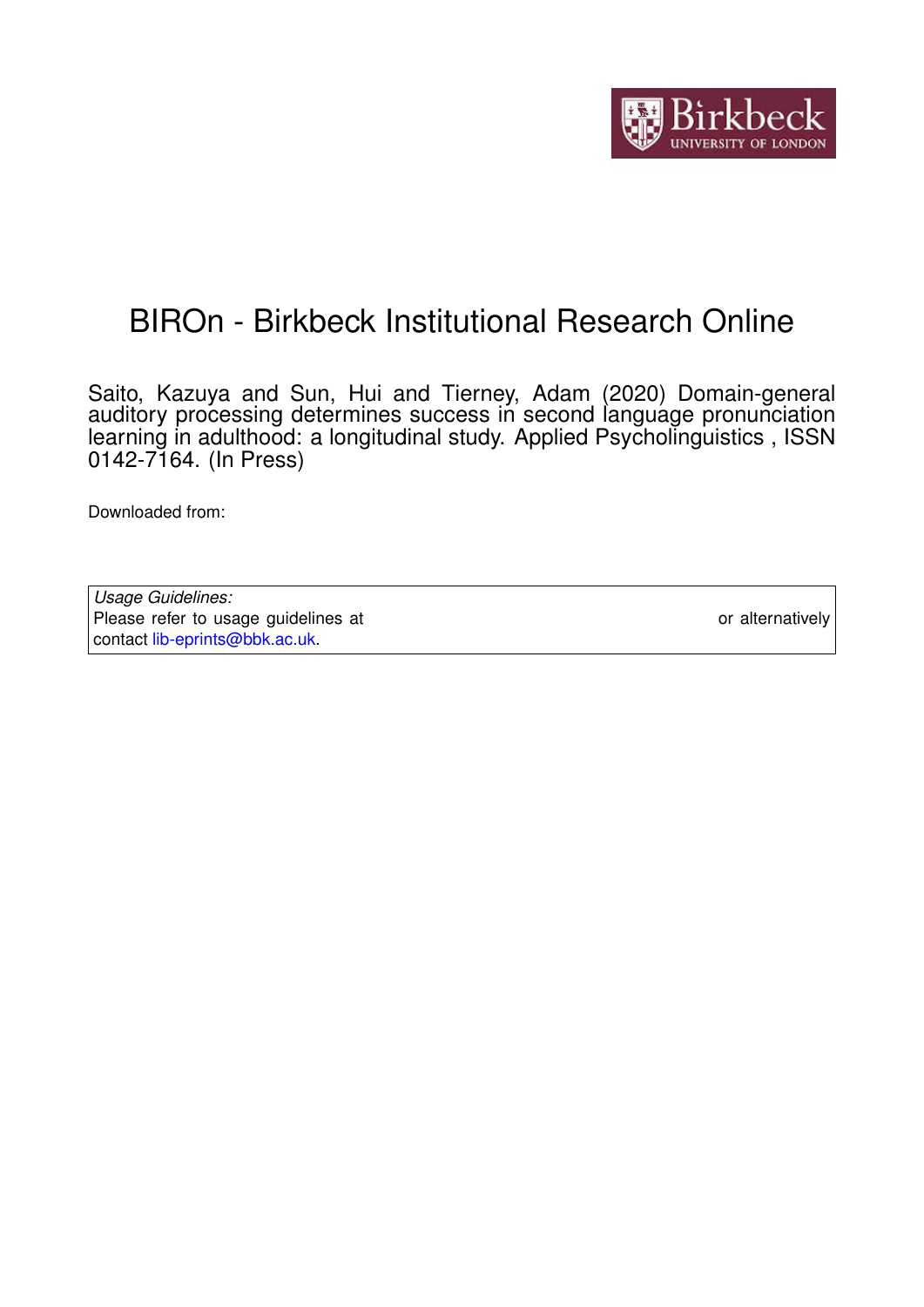

# BIROn - Birkbeck Institutional Research Online

Saito, Kazuya and Sun, Hui and Tierney, Adam (2020) Domain-general auditory processing determines success in second language pronunciation learning in adulthood: a longitudinal study. Applied Psycholinguistics , ISSN 0142-7164. (In Press)

Downloaded from: <https://eprints.bbk.ac.uk/id/eprint/32391/>

*Usage Guidelines:* Please refer to usage guidelines at <https://eprints.bbk.ac.uk/policies.html> or alternatively contact [lib-eprints@bbk.ac.uk.](mailto:lib-eprints@bbk.ac.uk)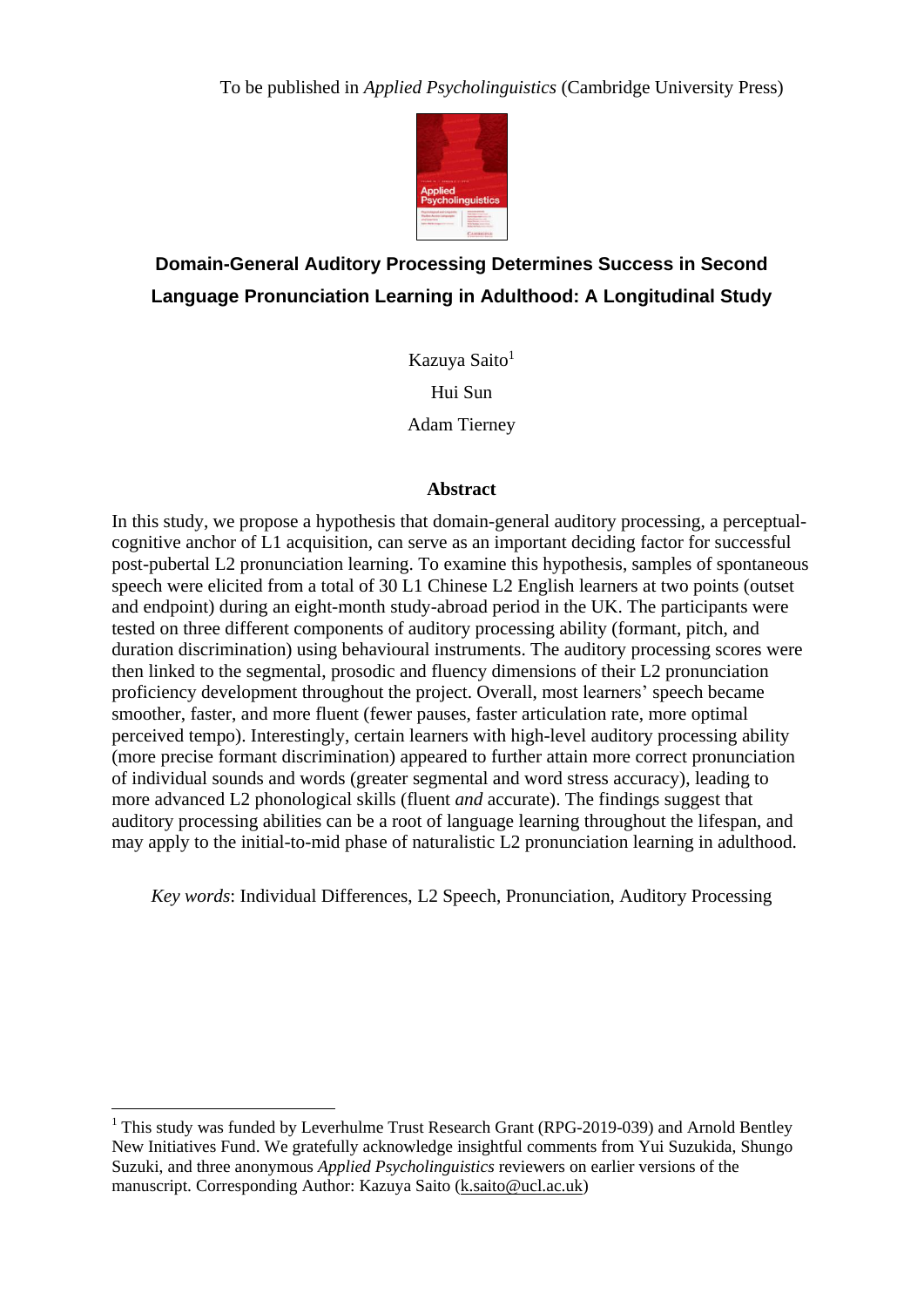

## **Domain-General Auditory Processing Determines Success in Second Language Pronunciation Learning in Adulthood: A Longitudinal Study**

Kazuya Saito<sup>1</sup> Hui Sun Adam Tierney

## **Abstract**

In this study, we propose a hypothesis that domain-general auditory processing, a perceptualcognitive anchor of L1 acquisition, can serve as an important deciding factor for successful post-pubertal L2 pronunciation learning. To examine this hypothesis, samples of spontaneous speech were elicited from a total of 30 L1 Chinese L2 English learners at two points (outset and endpoint) during an eight-month study-abroad period in the UK. The participants were tested on three different components of auditory processing ability (formant, pitch, and duration discrimination) using behavioural instruments. The auditory processing scores were then linked to the segmental, prosodic and fluency dimensions of their L2 pronunciation proficiency development throughout the project. Overall, most learners' speech became smoother, faster, and more fluent (fewer pauses, faster articulation rate, more optimal perceived tempo). Interestingly, certain learners with high-level auditory processing ability (more precise formant discrimination) appeared to further attain more correct pronunciation of individual sounds and words (greater segmental and word stress accuracy), leading to more advanced L2 phonological skills (fluent *and* accurate). The findings suggest that auditory processing abilities can be a root of language learning throughout the lifespan, and may apply to the initial-to-mid phase of naturalistic L2 pronunciation learning in adulthood.

*Key words*: Individual Differences, L2 Speech, Pronunciation, Auditory Processing

1

<sup>&</sup>lt;sup>1</sup> This study was funded by Leverhulme Trust Research Grant (RPG-2019-039) and Arnold Bentley New Initiatives Fund. We gratefully acknowledge insightful comments from Yui Suzukida, Shungo Suzuki, and three anonymous *Applied Psycholinguistics* reviewers on earlier versions of the manuscript. Corresponding Author: Kazuya Saito [\(k.saito@ucl.ac.uk\)](mailto:k.saito@ucl.ac.uk)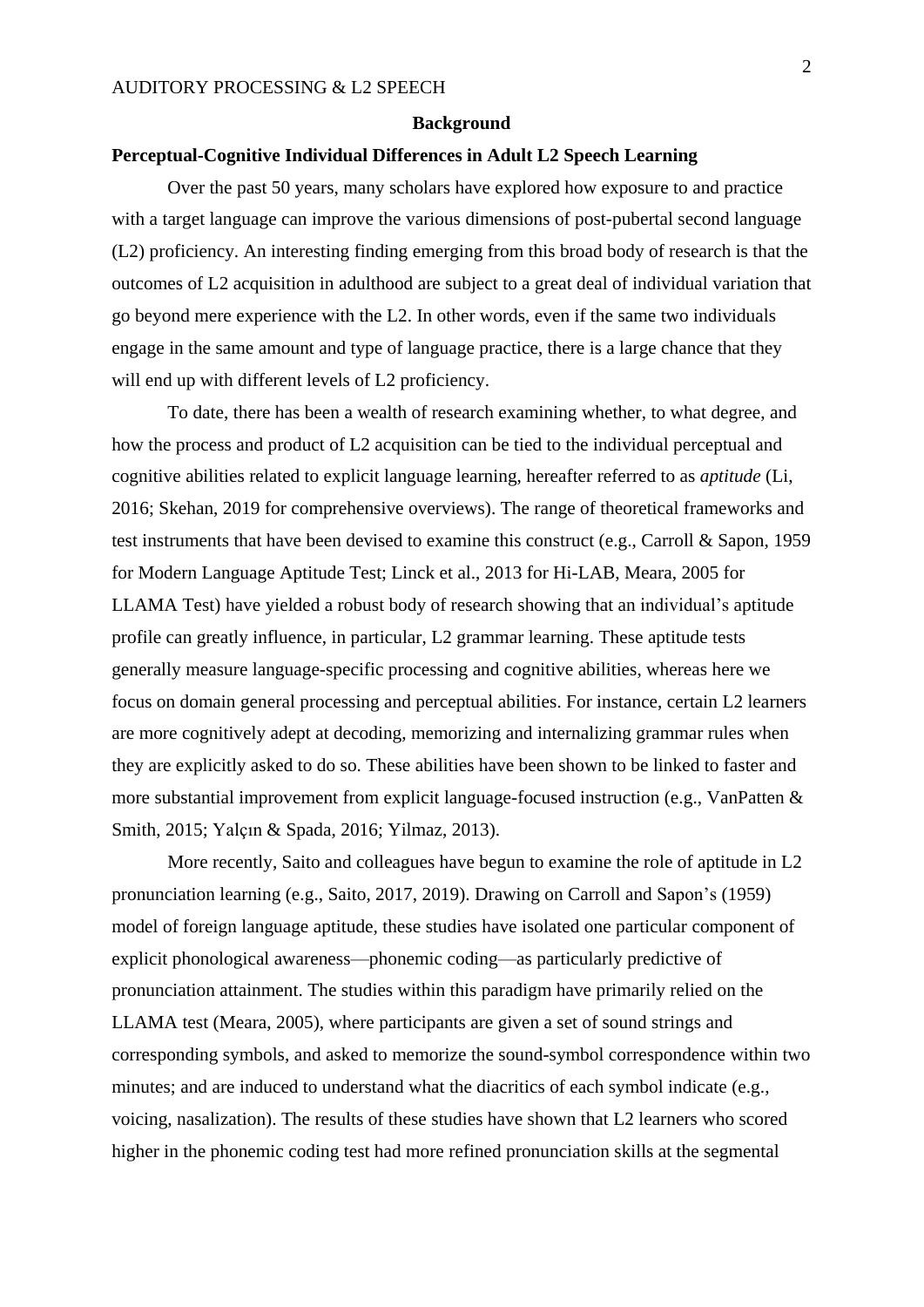#### **Background**

## **Perceptual-Cognitive Individual Differences in Adult L2 Speech Learning**

Over the past 50 years, many scholars have explored how exposure to and practice with a target language can improve the various dimensions of post-pubertal second language (L2) proficiency. An interesting finding emerging from this broad body of research is that the outcomes of L2 acquisition in adulthood are subject to a great deal of individual variation that go beyond mere experience with the L2. In other words, even if the same two individuals engage in the same amount and type of language practice, there is a large chance that they will end up with different levels of L2 proficiency.

To date, there has been a wealth of research examining whether, to what degree, and how the process and product of L2 acquisition can be tied to the individual perceptual and cognitive abilities related to explicit language learning, hereafter referred to as *aptitude* (Li, 2016; Skehan, 2019 for comprehensive overviews). The range of theoretical frameworks and test instruments that have been devised to examine this construct (e.g., Carroll & Sapon, 1959 for Modern Language Aptitude Test; Linck et al., 2013 for Hi-LAB, Meara, 2005 for LLAMA Test) have yielded a robust body of research showing that an individual's aptitude profile can greatly influence, in particular, L2 grammar learning. These aptitude tests generally measure language-specific processing and cognitive abilities, whereas here we focus on domain general processing and perceptual abilities. For instance, certain L2 learners are more cognitively adept at decoding, memorizing and internalizing grammar rules when they are explicitly asked to do so. These abilities have been shown to be linked to faster and more substantial improvement from explicit language-focused instruction (e.g., VanPatten & Smith, 2015; Yalçın & Spada, 2016; Yilmaz, 2013).

More recently, Saito and colleagues have begun to examine the role of aptitude in L2 pronunciation learning (e.g., Saito, 2017, 2019). Drawing on Carroll and Sapon's (1959) model of foreign language aptitude, these studies have isolated one particular component of explicit phonological awareness—phonemic coding—as particularly predictive of pronunciation attainment. The studies within this paradigm have primarily relied on the LLAMA test (Meara, 2005), where participants are given a set of sound strings and corresponding symbols, and asked to memorize the sound-symbol correspondence within two minutes; and are induced to understand what the diacritics of each symbol indicate (e.g., voicing, nasalization). The results of these studies have shown that L2 learners who scored higher in the phonemic coding test had more refined pronunciation skills at the segmental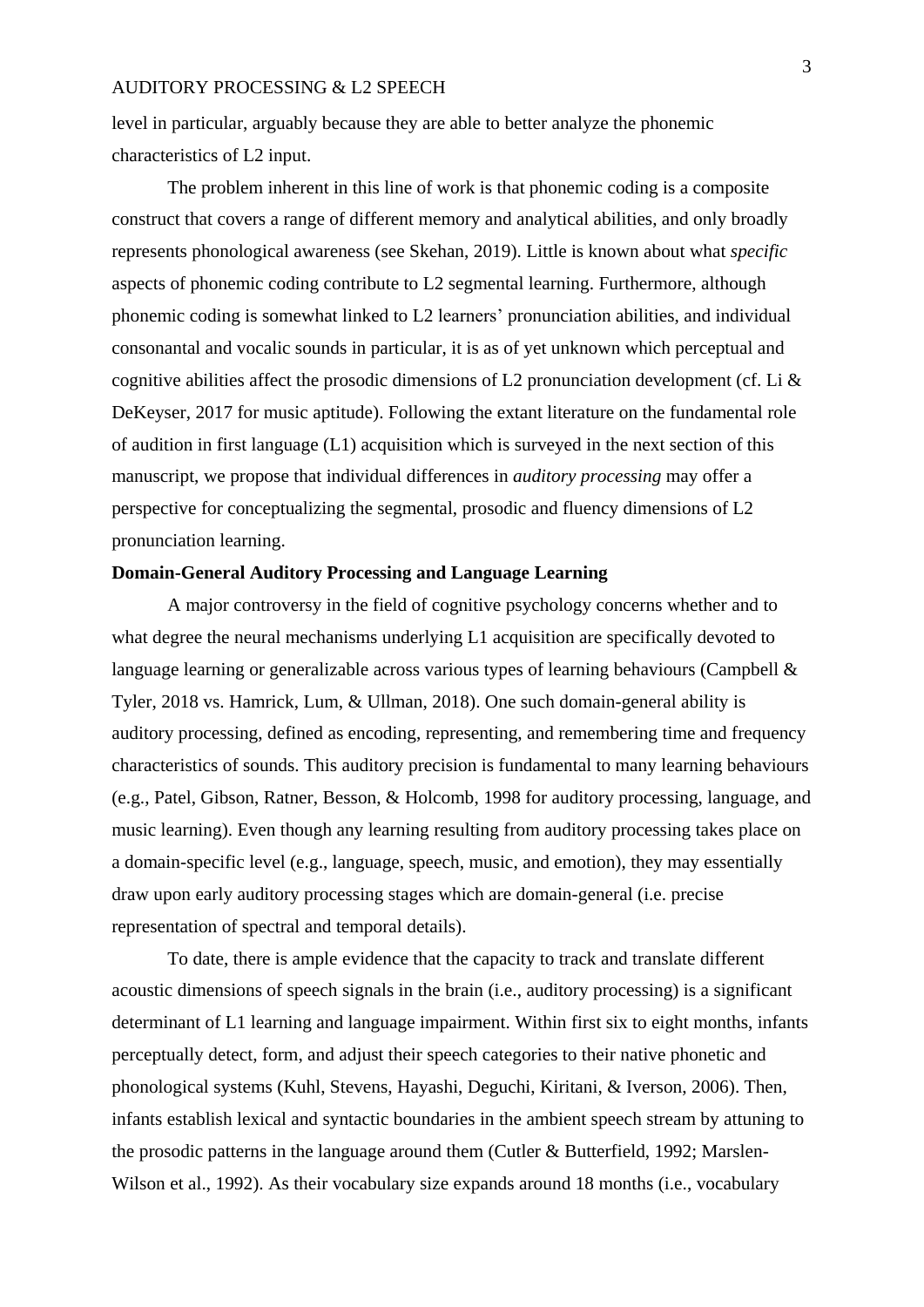level in particular, arguably because they are able to better analyze the phonemic characteristics of L2 input.

The problem inherent in this line of work is that phonemic coding is a composite construct that covers a range of different memory and analytical abilities, and only broadly represents phonological awareness (see Skehan, 2019). Little is known about what *specific* aspects of phonemic coding contribute to L2 segmental learning. Furthermore, although phonemic coding is somewhat linked to L2 learners' pronunciation abilities, and individual consonantal and vocalic sounds in particular, it is as of yet unknown which perceptual and cognitive abilities affect the prosodic dimensions of L2 pronunciation development (cf. Li & DeKeyser, 2017 for music aptitude). Following the extant literature on the fundamental role of audition in first language (L1) acquisition which is surveyed in the next section of this manuscript, we propose that individual differences in *auditory processing* may offer a perspective for conceptualizing the segmental, prosodic and fluency dimensions of L2 pronunciation learning.

## **Domain-General Auditory Processing and Language Learning**

A major controversy in the field of cognitive psychology concerns whether and to what degree the neural mechanisms underlying L1 acquisition are specifically devoted to language learning or generalizable across various types of learning behaviours (Campbell & Tyler, 2018 vs. Hamrick, Lum, & Ullman, 2018). One such domain-general ability is auditory processing, defined as encoding, representing, and remembering time and frequency characteristics of sounds. This auditory precision is fundamental to many learning behaviours (e.g., Patel, Gibson, Ratner, Besson, & Holcomb, 1998 for auditory processing, language, and music learning). Even though any learning resulting from auditory processing takes place on a domain-specific level (e.g., language, speech, music, and emotion), they may essentially draw upon early auditory processing stages which are domain-general (i.e. precise representation of spectral and temporal details).

To date, there is ample evidence that the capacity to track and translate different acoustic dimensions of speech signals in the brain (i.e., auditory processing) is a significant determinant of L1 learning and language impairment. Within first six to eight months, infants perceptually detect, form, and adjust their speech categories to their native phonetic and phonological systems (Kuhl, Stevens, Hayashi, Deguchi, Kiritani, & Iverson, 2006). Then, infants establish lexical and syntactic boundaries in the ambient speech stream by attuning to the prosodic patterns in the language around them (Cutler & Butterfield, 1992; Marslen-Wilson et al., 1992). As their vocabulary size expands around 18 months (i.e., vocabulary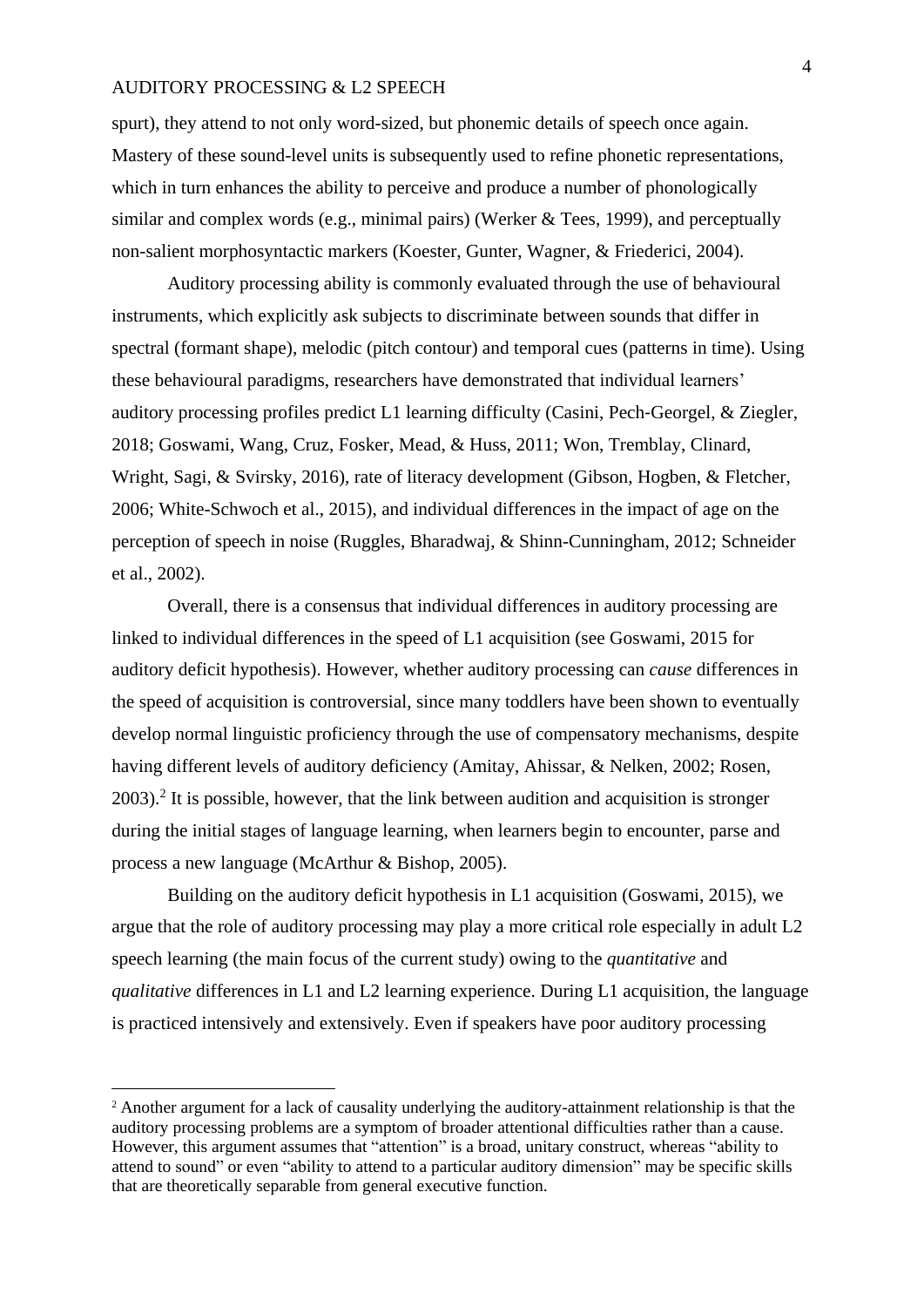spurt), they attend to not only word-sized, but phonemic details of speech once again. Mastery of these sound-level units is subsequently used to refine phonetic representations, which in turn enhances the ability to perceive and produce a number of phonologically similar and complex words (e.g., minimal pairs) (Werker & Tees, 1999), and perceptually non-salient morphosyntactic markers (Koester, Gunter, Wagner, & Friederici, 2004).

Auditory processing ability is commonly evaluated through the use of behavioural instruments, which explicitly ask subjects to discriminate between sounds that differ in spectral (formant shape), melodic (pitch contour) and temporal cues (patterns in time). Using these behavioural paradigms, researchers have demonstrated that individual learners' auditory processing profiles predict L1 learning difficulty (Casini, Pech‐Georgel, & Ziegler, 2018; Goswami, Wang, Cruz, Fosker, Mead, & Huss, 2011; Won, Tremblay, Clinard, Wright, Sagi, & Svirsky, 2016), rate of literacy development (Gibson, Hogben, & Fletcher, 2006; White-Schwoch et al., 2015), and individual differences in the impact of age on the perception of speech in noise (Ruggles, Bharadwaj, & Shinn-Cunningham, 2012; Schneider et al., 2002).

Overall, there is a consensus that individual differences in auditory processing are linked to individual differences in the speed of L1 acquisition (see Goswami, 2015 for auditory deficit hypothesis). However, whether auditory processing can *cause* differences in the speed of acquisition is controversial, since many toddlers have been shown to eventually develop normal linguistic proficiency through the use of compensatory mechanisms, despite having different levels of auditory deficiency (Amitay, Ahissar, & Nelken, 2002; Rosen, 2003).<sup>2</sup> It is possible, however, that the link between audition and acquisition is stronger during the initial stages of language learning, when learners begin to encounter, parse and process a new language (McArthur & Bishop, 2005).

Building on the auditory deficit hypothesis in L1 acquisition (Goswami, 2015), we argue that the role of auditory processing may play a more critical role especially in adult L2 speech learning (the main focus of the current study) owing to the *quantitative* and *qualitative* differences in L1 and L2 learning experience. During L1 acquisition, the language is practiced intensively and extensively. Even if speakers have poor auditory processing

1

<sup>2</sup> Another argument for a lack of causality underlying the auditory-attainment relationship is that the auditory processing problems are a symptom of broader attentional difficulties rather than a cause. However, this argument assumes that "attention" is a broad, unitary construct, whereas "ability to attend to sound" or even "ability to attend to a particular auditory dimension" may be specific skills that are theoretically separable from general executive function.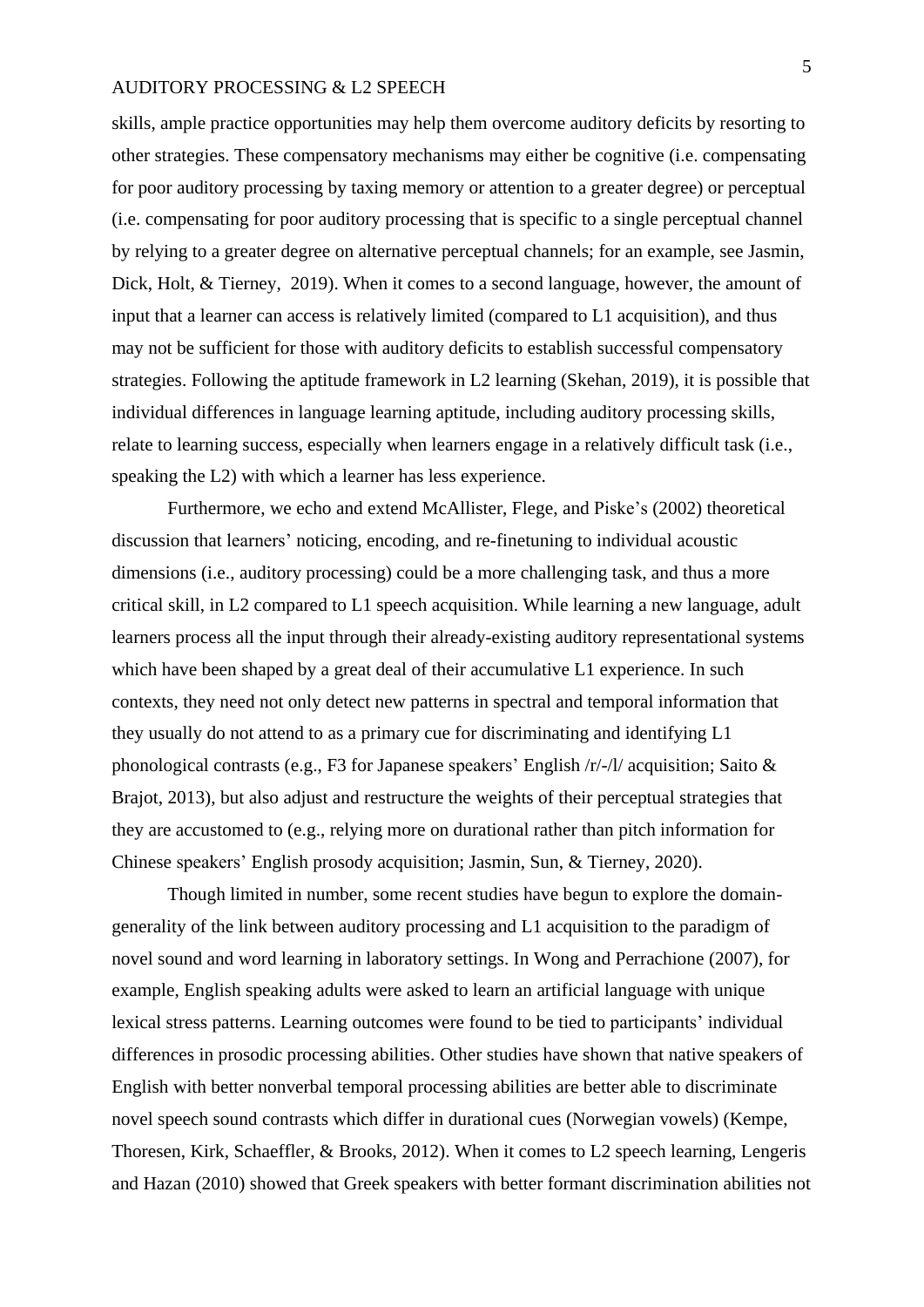skills, ample practice opportunities may help them overcome auditory deficits by resorting to other strategies. These compensatory mechanisms may either be cognitive (i.e. compensating for poor auditory processing by taxing memory or attention to a greater degree) or perceptual (i.e. compensating for poor auditory processing that is specific to a single perceptual channel by relying to a greater degree on alternative perceptual channels; for an example, see Jasmin, Dick, Holt, & Tierney, 2019). When it comes to a second language, however, the amount of input that a learner can access is relatively limited (compared to L1 acquisition), and thus may not be sufficient for those with auditory deficits to establish successful compensatory strategies. Following the aptitude framework in L2 learning (Skehan, 2019), it is possible that individual differences in language learning aptitude, including auditory processing skills, relate to learning success, especially when learners engage in a relatively difficult task (i.e., speaking the L2) with which a learner has less experience.

Furthermore, we echo and extend McAllister, Flege, and Piske's (2002) theoretical discussion that learners' noticing, encoding, and re-finetuning to individual acoustic dimensions (i.e., auditory processing) could be a more challenging task, and thus a more critical skill, in L2 compared to L1 speech acquisition. While learning a new language, adult learners process all the input through their already-existing auditory representational systems which have been shaped by a great deal of their accumulative L1 experience. In such contexts, they need not only detect new patterns in spectral and temporal information that they usually do not attend to as a primary cue for discriminating and identifying L1 phonological contrasts (e.g., F3 for Japanese speakers' English /r/-/l/ acquisition; Saito & Brajot, 2013), but also adjust and restructure the weights of their perceptual strategies that they are accustomed to (e.g., relying more on durational rather than pitch information for Chinese speakers' English prosody acquisition; Jasmin, Sun, & Tierney, 2020).

Though limited in number, some recent studies have begun to explore the domaingenerality of the link between auditory processing and L1 acquisition to the paradigm of novel sound and word learning in laboratory settings. In Wong and Perrachione (2007), for example, English speaking adults were asked to learn an artificial language with unique lexical stress patterns. Learning outcomes were found to be tied to participants' individual differences in prosodic processing abilities. Other studies have shown that native speakers of English with better nonverbal temporal processing abilities are better able to discriminate novel speech sound contrasts which differ in durational cues (Norwegian vowels) (Kempe, Thoresen, Kirk, Schaeffler, & Brooks, 2012). When it comes to L2 speech learning, Lengeris and Hazan (2010) showed that Greek speakers with better formant discrimination abilities not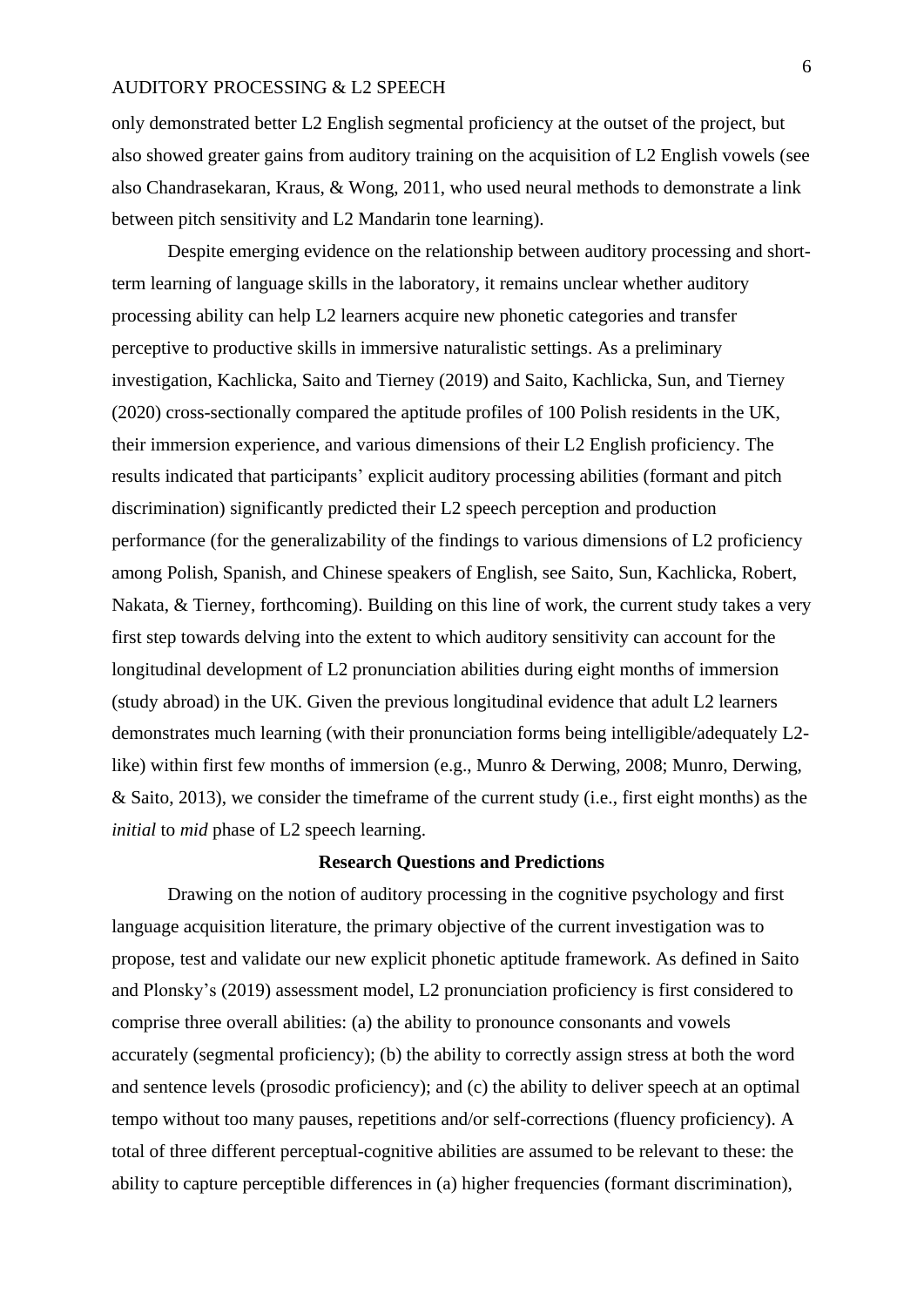only demonstrated better L2 English segmental proficiency at the outset of the project, but also showed greater gains from auditory training on the acquisition of L2 English vowels (see also Chandrasekaran, Kraus, & Wong, 2011, who used neural methods to demonstrate a link between pitch sensitivity and L2 Mandarin tone learning).

Despite emerging evidence on the relationship between auditory processing and shortterm learning of language skills in the laboratory, it remains unclear whether auditory processing ability can help L2 learners acquire new phonetic categories and transfer perceptive to productive skills in immersive naturalistic settings. As a preliminary investigation, Kachlicka, Saito and Tierney (2019) and Saito, Kachlicka, Sun, and Tierney (2020) cross-sectionally compared the aptitude profiles of 100 Polish residents in the UK, their immersion experience, and various dimensions of their L2 English proficiency. The results indicated that participants' explicit auditory processing abilities (formant and pitch discrimination) significantly predicted their L2 speech perception and production performance (for the generalizability of the findings to various dimensions of L2 proficiency among Polish, Spanish, and Chinese speakers of English, see Saito, Sun, Kachlicka, Robert, Nakata, & Tierney, forthcoming). Building on this line of work, the current study takes a very first step towards delving into the extent to which auditory sensitivity can account for the longitudinal development of L2 pronunciation abilities during eight months of immersion (study abroad) in the UK. Given the previous longitudinal evidence that adult L2 learners demonstrates much learning (with their pronunciation forms being intelligible/adequately L2 like) within first few months of immersion (e.g., Munro & Derwing, 2008; Munro, Derwing, & Saito, 2013), we consider the timeframe of the current study (i.e., first eight months) as the *initial* to *mid* phase of L2 speech learning.

#### **Research Questions and Predictions**

Drawing on the notion of auditory processing in the cognitive psychology and first language acquisition literature, the primary objective of the current investigation was to propose, test and validate our new explicit phonetic aptitude framework. As defined in Saito and Plonsky's (2019) assessment model, L2 pronunciation proficiency is first considered to comprise three overall abilities: (a) the ability to pronounce consonants and vowels accurately (segmental proficiency); (b) the ability to correctly assign stress at both the word and sentence levels (prosodic proficiency); and (c) the ability to deliver speech at an optimal tempo without too many pauses, repetitions and/or self-corrections (fluency proficiency). A total of three different perceptual-cognitive abilities are assumed to be relevant to these: the ability to capture perceptible differences in (a) higher frequencies (formant discrimination),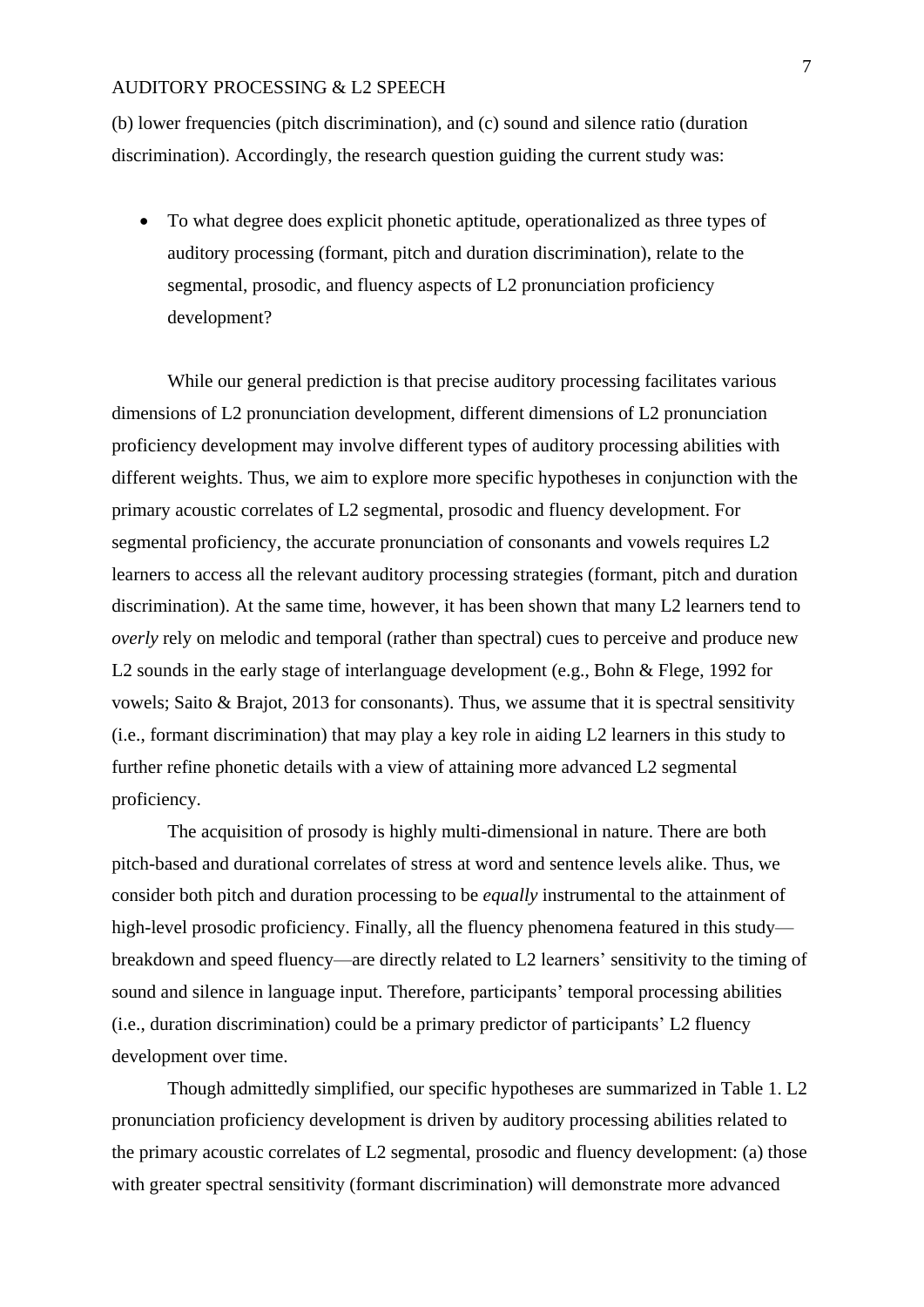(b) lower frequencies (pitch discrimination), and (c) sound and silence ratio (duration discrimination). Accordingly, the research question guiding the current study was:

• To what degree does explicit phonetic aptitude, operationalized as three types of auditory processing (formant, pitch and duration discrimination), relate to the segmental, prosodic, and fluency aspects of L2 pronunciation proficiency development?

While our general prediction is that precise auditory processing facilitates various dimensions of L2 pronunciation development, different dimensions of L2 pronunciation proficiency development may involve different types of auditory processing abilities with different weights. Thus, we aim to explore more specific hypotheses in conjunction with the primary acoustic correlates of L2 segmental, prosodic and fluency development. For segmental proficiency, the accurate pronunciation of consonants and vowels requires L2 learners to access all the relevant auditory processing strategies (formant, pitch and duration discrimination). At the same time, however, it has been shown that many L2 learners tend to *overly* rely on melodic and temporal (rather than spectral) cues to perceive and produce new L2 sounds in the early stage of interlanguage development (e.g., Bohn & Flege, 1992 for vowels; Saito & Brajot, 2013 for consonants). Thus, we assume that it is spectral sensitivity (i.e., formant discrimination) that may play a key role in aiding L2 learners in this study to further refine phonetic details with a view of attaining more advanced L2 segmental proficiency.

The acquisition of prosody is highly multi-dimensional in nature. There are both pitch-based and durational correlates of stress at word and sentence levels alike. Thus, we consider both pitch and duration processing to be *equally* instrumental to the attainment of high-level prosodic proficiency. Finally, all the fluency phenomena featured in this study breakdown and speed fluency—are directly related to L2 learners' sensitivity to the timing of sound and silence in language input. Therefore, participants' temporal processing abilities (i.e., duration discrimination) could be a primary predictor of participants' L2 fluency development over time.

Though admittedly simplified, our specific hypotheses are summarized in Table 1. L2 pronunciation proficiency development is driven by auditory processing abilities related to the primary acoustic correlates of L2 segmental, prosodic and fluency development: (a) those with greater spectral sensitivity (formant discrimination) will demonstrate more advanced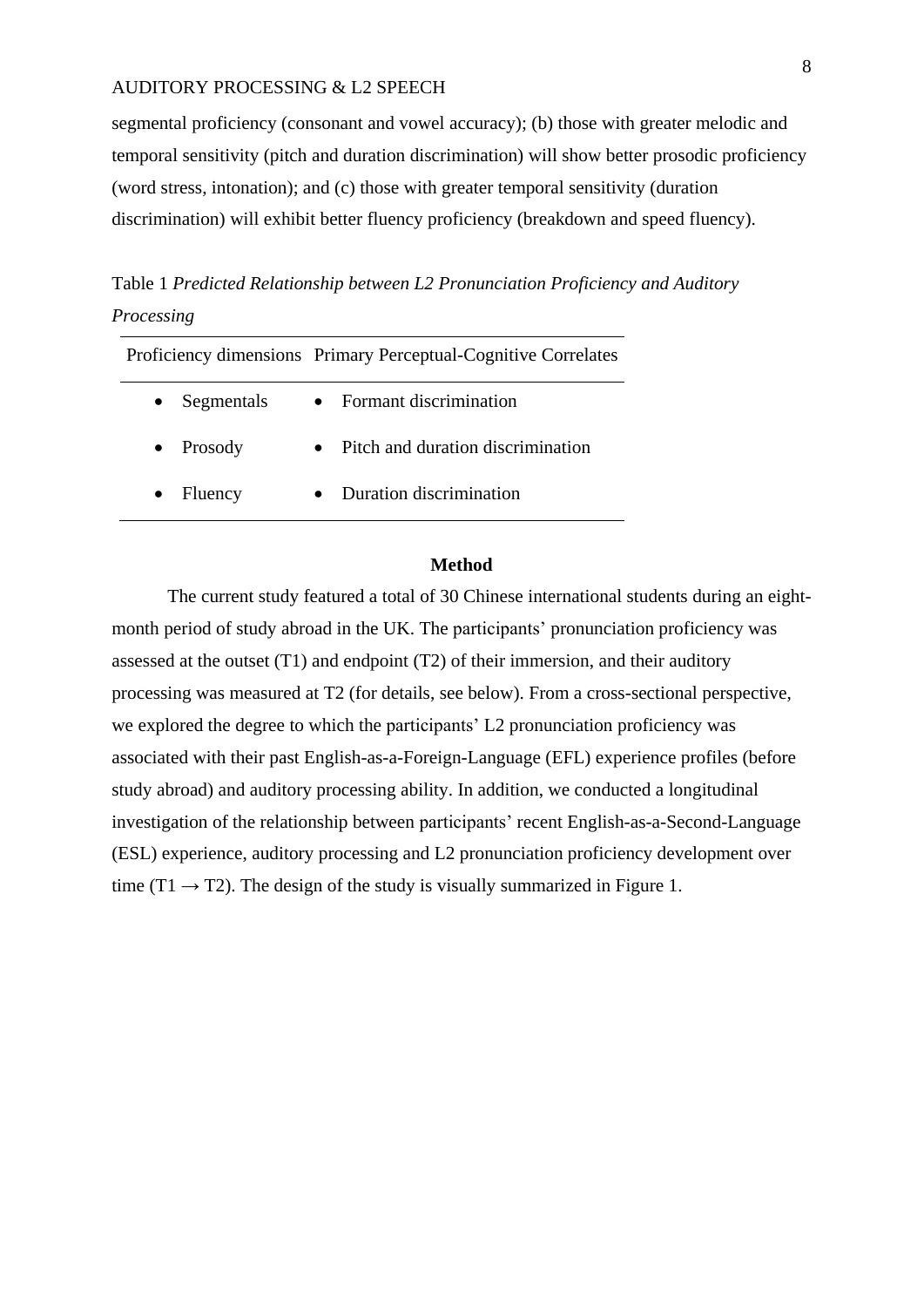segmental proficiency (consonant and vowel accuracy); (b) those with greater melodic and temporal sensitivity (pitch and duration discrimination) will show better prosodic proficiency (word stress, intonation); and (c) those with greater temporal sensitivity (duration discrimination) will exhibit better fluency proficiency (breakdown and speed fluency).

Table 1 *Predicted Relationship between L2 Pronunciation Proficiency and Auditory Processing*

|                      | Proficiency dimensions Primary Perceptual-Cognitive Correlates |
|----------------------|----------------------------------------------------------------|
| Segmentals           | • Formant discrimination                                       |
| Prosody<br>$\bullet$ | Pitch and duration discrimination                              |
| Fluency              | • Duration discrimination                                      |
|                      |                                                                |

#### **Method**

The current study featured a total of 30 Chinese international students during an eightmonth period of study abroad in the UK. The participants' pronunciation proficiency was assessed at the outset (T1) and endpoint (T2) of their immersion, and their auditory processing was measured at T2 (for details, see below). From a cross-sectional perspective, we explored the degree to which the participants' L2 pronunciation proficiency was associated with their past English-as-a-Foreign-Language (EFL) experience profiles (before study abroad) and auditory processing ability. In addition, we conducted a longitudinal investigation of the relationship between participants' recent English-as-a-Second-Language (ESL) experience, auditory processing and L2 pronunciation proficiency development over time (T1  $\rightarrow$  T2). The design of the study is visually summarized in Figure 1.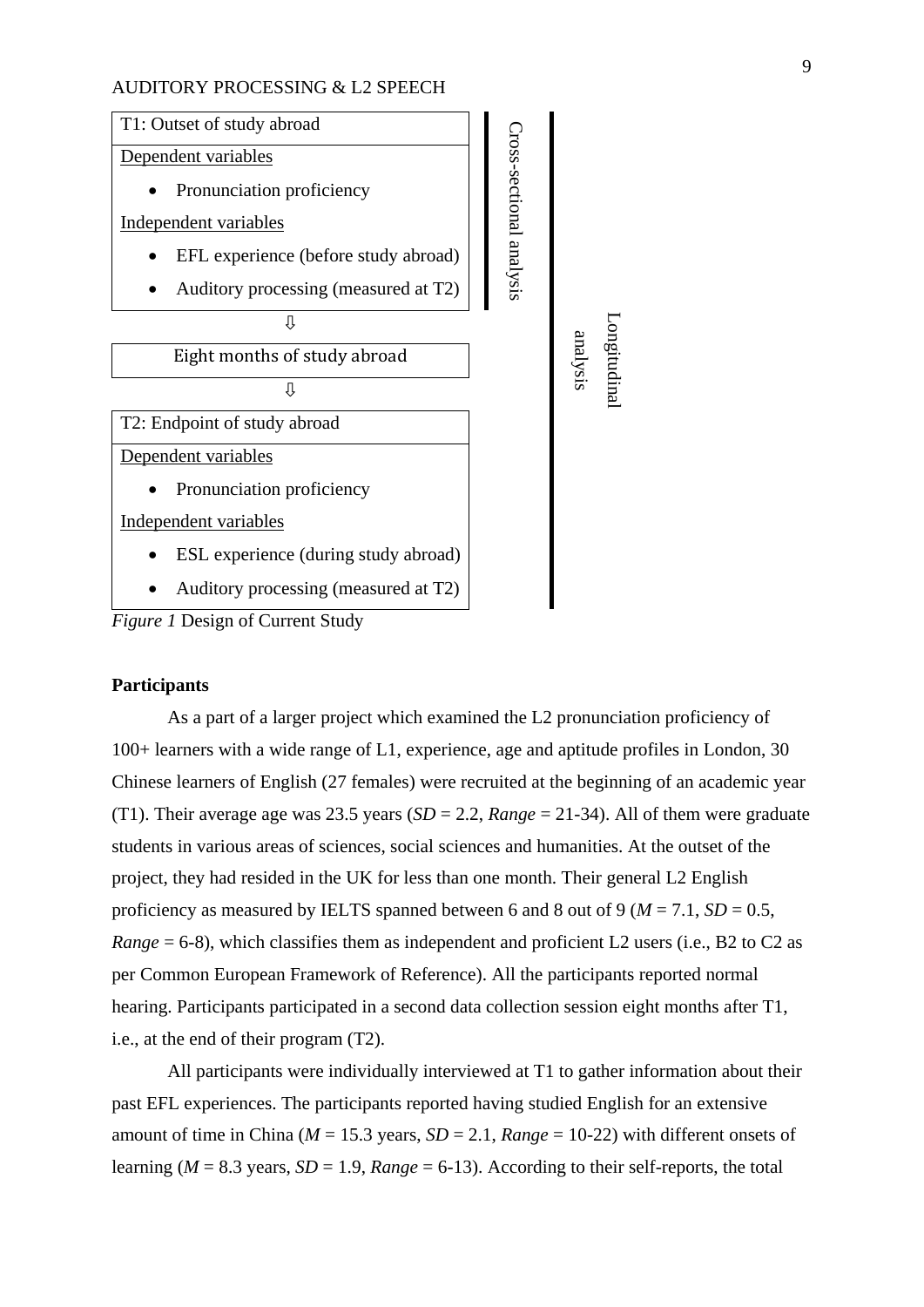

*Figure 1* Design of Current Study

#### **Participants**

As a part of a larger project which examined the L2 pronunciation proficiency of 100+ learners with a wide range of L1, experience, age and aptitude profiles in London, 30 Chinese learners of English (27 females) were recruited at the beginning of an academic year (T1). Their average age was 23.5 years (*SD* = 2.2, *Range* = 21-34). All of them were graduate students in various areas of sciences, social sciences and humanities. At the outset of the project, they had resided in the UK for less than one month. Their general L2 English proficiency as measured by IELTS spanned between 6 and 8 out of 9 ( $M = 7.1$ ,  $SD = 0.5$ , *Range* = 6-8), which classifies them as independent and proficient L2 users (i.e., B2 to C2 as per Common European Framework of Reference). All the participants reported normal hearing. Participants participated in a second data collection session eight months after T1, i.e., at the end of their program (T2).

All participants were individually interviewed at T1 to gather information about their past EFL experiences. The participants reported having studied English for an extensive amount of time in China ( $M = 15.3$  years,  $SD = 2.1$ ,  $Range = 10-22$ ) with different onsets of learning ( $M = 8.3$  years,  $SD = 1.9$ ,  $Range = 6-13$ ). According to their self-reports, the total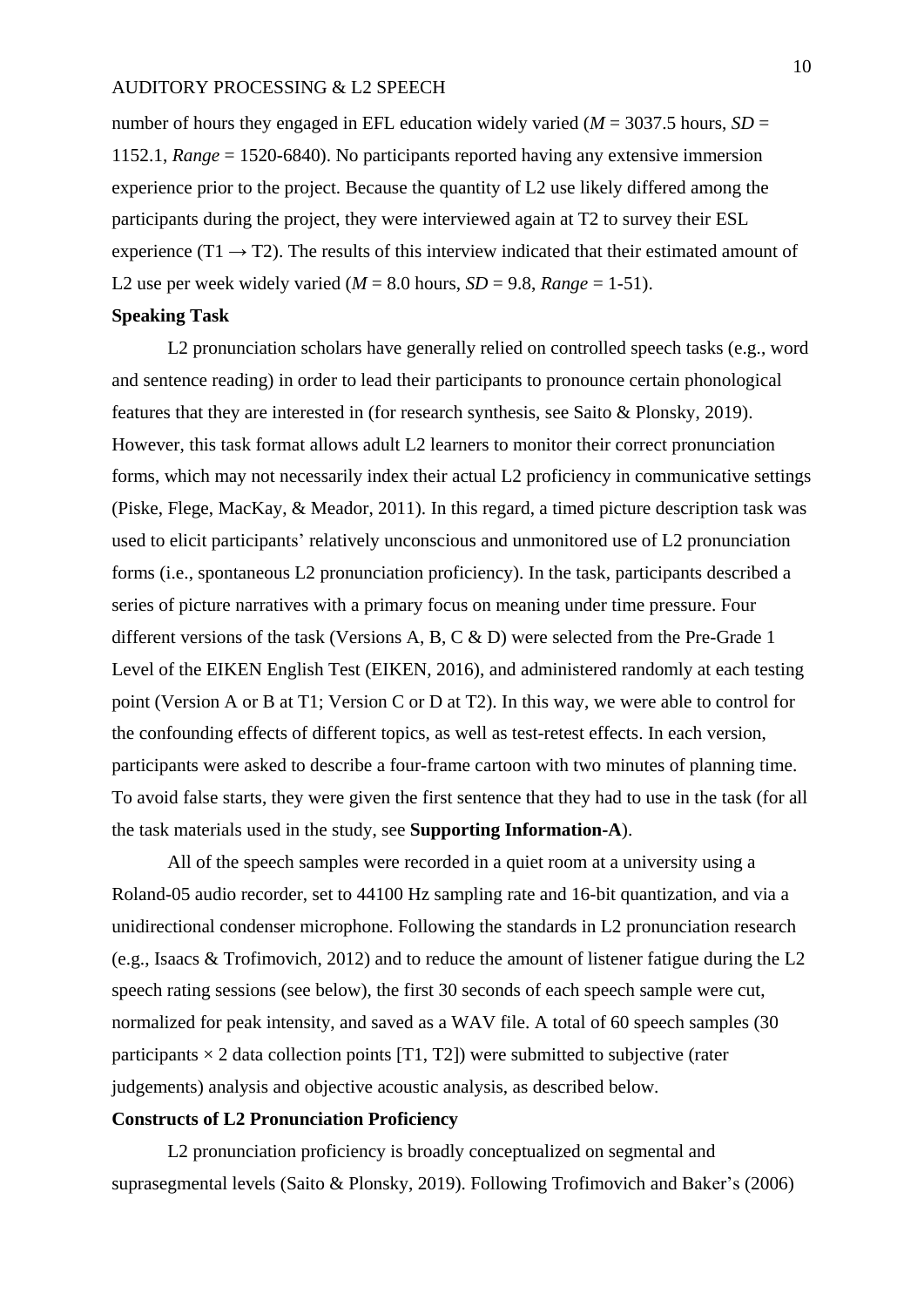number of hours they engaged in EFL education widely varied ( $M = 3037.5$  hours,  $SD =$ 1152.1, *Range* = 1520-6840). No participants reported having any extensive immersion experience prior to the project. Because the quantity of L2 use likely differed among the participants during the project, they were interviewed again at T2 to survey their ESL experience (T1  $\rightarrow$  T2). The results of this interview indicated that their estimated amount of L2 use per week widely varied ( $M = 8.0$  hours,  $SD = 9.8$ ,  $Range = 1-51$ ).

#### **Speaking Task**

L2 pronunciation scholars have generally relied on controlled speech tasks (e.g., word and sentence reading) in order to lead their participants to pronounce certain phonological features that they are interested in (for research synthesis, see Saito & Plonsky, 2019). However, this task format allows adult L2 learners to monitor their correct pronunciation forms, which may not necessarily index their actual L2 proficiency in communicative settings (Piske, Flege, MacKay, & Meador, 2011). In this regard, a timed picture description task was used to elicit participants' relatively unconscious and unmonitored use of L2 pronunciation forms (i.e., spontaneous L2 pronunciation proficiency). In the task, participants described a series of picture narratives with a primary focus on meaning under time pressure. Four different versions of the task (Versions A, B, C & D) were selected from the Pre-Grade 1 Level of the EIKEN English Test (EIKEN, 2016), and administered randomly at each testing point (Version A or B at T1; Version C or D at T2). In this way, we were able to control for the confounding effects of different topics, as well as test-retest effects. In each version, participants were asked to describe a four-frame cartoon with two minutes of planning time. To avoid false starts, they were given the first sentence that they had to use in the task (for all the task materials used in the study, see **Supporting Information-A**).

All of the speech samples were recorded in a quiet room at a university using a Roland-05 audio recorder, set to 44100 Hz sampling rate and 16-bit quantization, and via a unidirectional condenser microphone. Following the standards in L2 pronunciation research (e.g., Isaacs & Trofimovich, 2012) and to reduce the amount of listener fatigue during the L2 speech rating sessions (see below), the first 30 seconds of each speech sample were cut, normalized for peak intensity, and saved as a WAV file. A total of 60 speech samples (30 participants  $\times$  2 data collection points [T1, T2]) were submitted to subjective (rater judgements) analysis and objective acoustic analysis, as described below.

#### **Constructs of L2 Pronunciation Proficiency**

L<sub>2</sub> pronunciation proficiency is broadly conceptualized on segmental and suprasegmental levels (Saito & Plonsky, 2019). Following Trofimovich and Baker's (2006)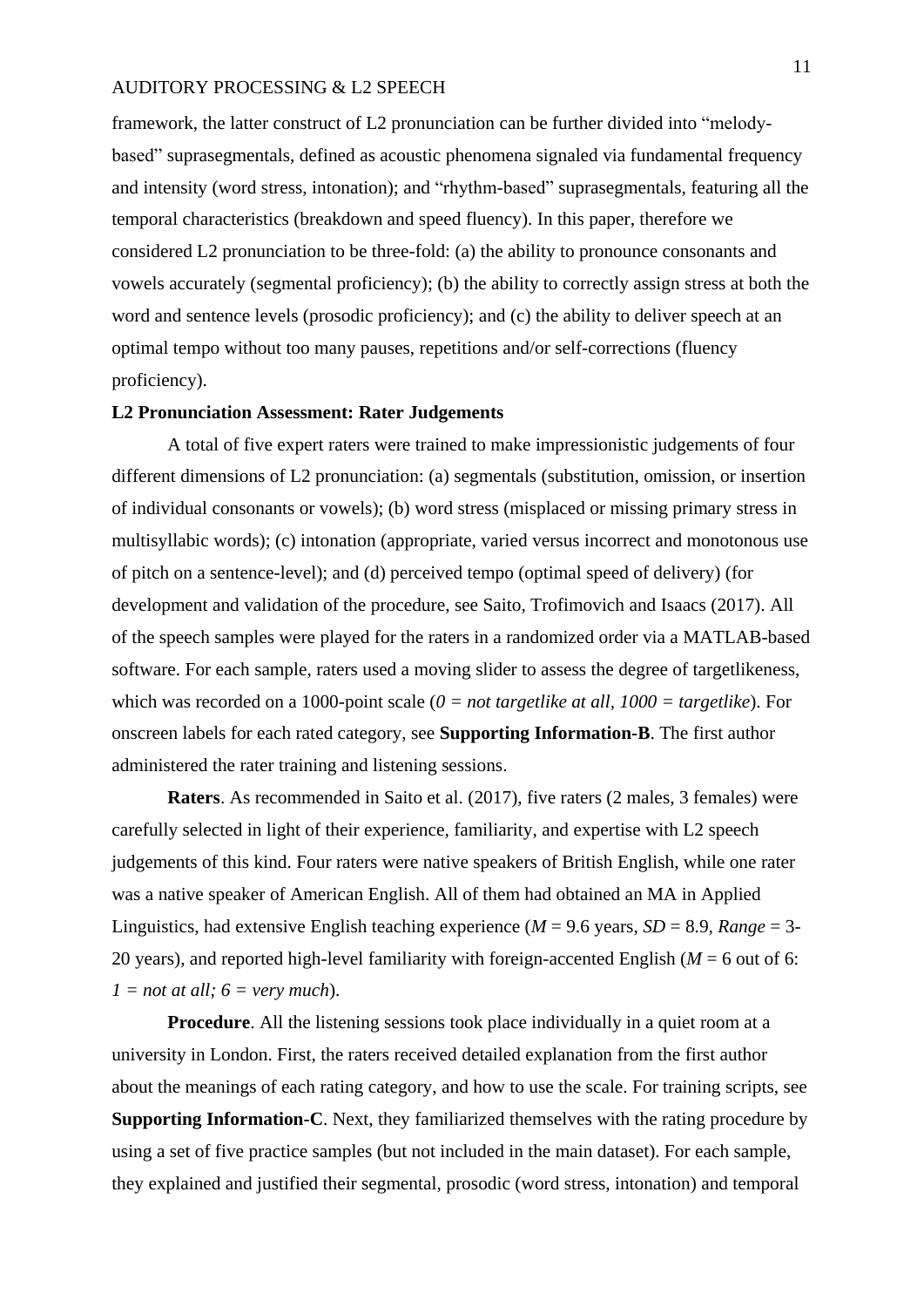framework, the latter construct of L2 pronunciation can be further divided into "melodybased" suprasegmentals, defined as acoustic phenomena signaled via fundamental frequency and intensity (word stress, intonation); and "rhythm-based" suprasegmentals, featuring all the temporal characteristics (breakdown and speed fluency). In this paper, therefore we considered L2 pronunciation to be three-fold: (a) the ability to pronounce consonants and vowels accurately (segmental proficiency); (b) the ability to correctly assign stress at both the word and sentence levels (prosodic proficiency); and (c) the ability to deliver speech at an optimal tempo without too many pauses, repetitions and/or self-corrections (fluency proficiency).

#### **L2 Pronunciation Assessment: Rater Judgements**

A total of five expert raters were trained to make impressionistic judgements of four different dimensions of L2 pronunciation: (a) segmentals (substitution, omission, or insertion of individual consonants or vowels); (b) word stress (misplaced or missing primary stress in multisyllabic words); (c) intonation (appropriate, varied versus incorrect and monotonous use of pitch on a sentence-level); and (d) perceived tempo (optimal speed of delivery) (for development and validation of the procedure, see Saito, Trofimovich and Isaacs (2017). All of the speech samples were played for the raters in a randomized order via a MATLAB-based software. For each sample, raters used a moving slider to assess the degree of targetlikeness, which was recorded on a 1000-point scale  $(0 = not \, targetlike \, at \, all, \, 1000 = targetlike)$ . For onscreen labels for each rated category, see **Supporting Information-B**. The first author administered the rater training and listening sessions.

**Raters**. As recommended in Saito et al. (2017), five raters (2 males, 3 females) were carefully selected in light of their experience, familiarity, and expertise with L2 speech judgements of this kind. Four raters were native speakers of British English, while one rater was a native speaker of American English. All of them had obtained an MA in Applied Linguistics, had extensive English teaching experience ( $M = 9.6$  years,  $SD = 8.9$ , *Range* = 3-20 years), and reported high-level familiarity with foreign-accented English ( $M = 6$  out of 6:  $1 = not at all; 6 = very much.$ 

**Procedure**. All the listening sessions took place individually in a quiet room at a university in London. First, the raters received detailed explanation from the first author about the meanings of each rating category, and how to use the scale. For training scripts, see **Supporting Information-C**. Next, they familiarized themselves with the rating procedure by using a set of five practice samples (but not included in the main dataset). For each sample, they explained and justified their segmental, prosodic (word stress, intonation) and temporal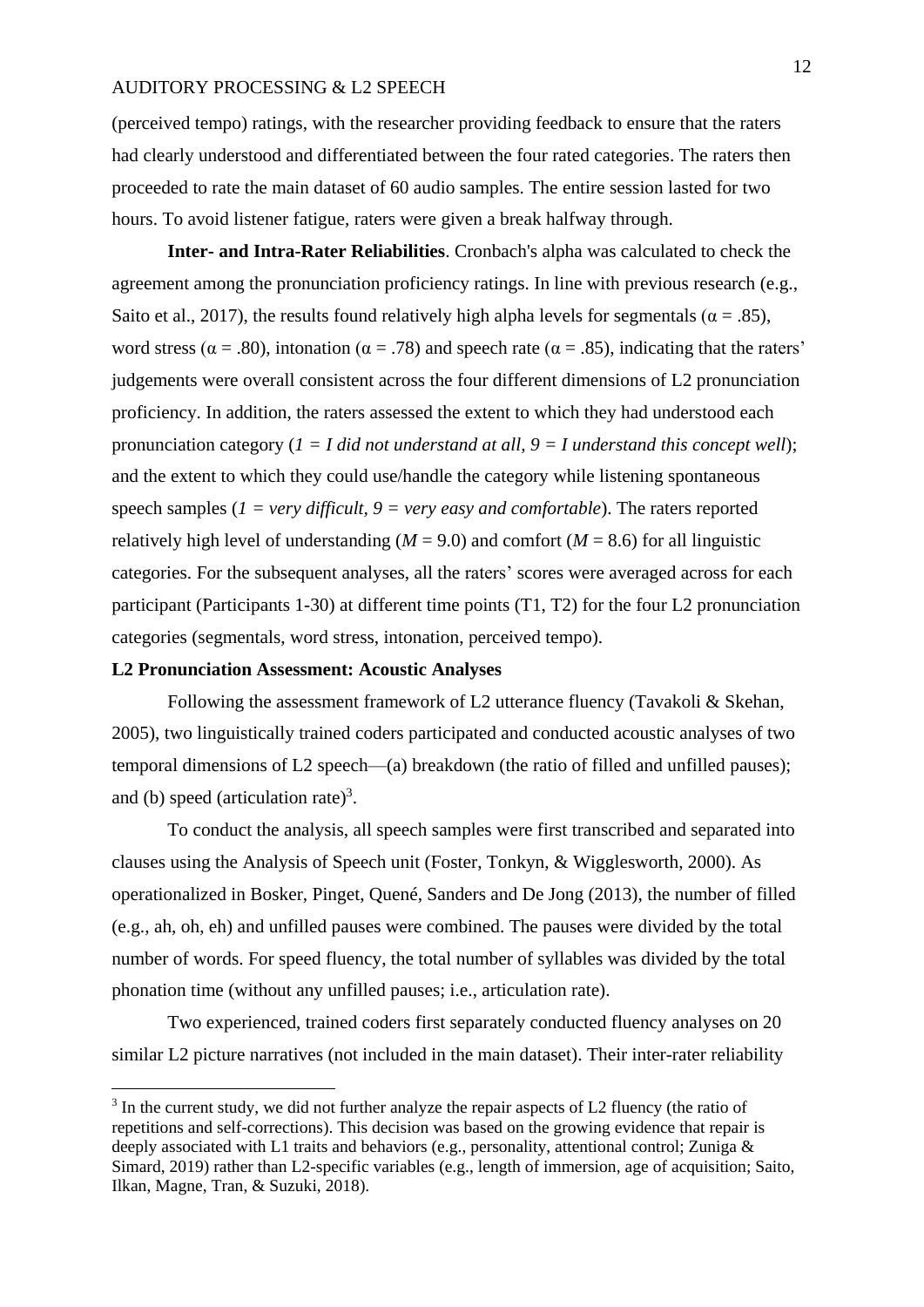(perceived tempo) ratings, with the researcher providing feedback to ensure that the raters had clearly understood and differentiated between the four rated categories. The raters then proceeded to rate the main dataset of 60 audio samples. The entire session lasted for two hours. To avoid listener fatigue, raters were given a break halfway through.

**Inter- and Intra-Rater Reliabilities**. Cronbach's alpha was calculated to check the agreement among the pronunciation proficiency ratings. In line with previous research (e.g., Saito et al., 2017), the results found relatively high alpha levels for segmentals ( $\alpha = .85$ ), word stress ( $\alpha = .80$ ), intonation ( $\alpha = .78$ ) and speech rate ( $\alpha = .85$ ), indicating that the raters' judgements were overall consistent across the four different dimensions of L2 pronunciation proficiency. In addition, the raters assessed the extent to which they had understood each pronunciation category  $(I = I \text{ did not understand at all, } 9 = I \text{ understand this concept well});$ and the extent to which they could use/handle the category while listening spontaneous speech samples ( $1 = \text{very difficult}, 9 = \text{very easy and comfortable}$ ). The raters reported relatively high level of understanding ( $M = 9.0$ ) and comfort ( $M = 8.6$ ) for all linguistic categories. For the subsequent analyses, all the raters' scores were averaged across for each participant (Participants 1-30) at different time points (T1, T2) for the four L2 pronunciation categories (segmentals, word stress, intonation, perceived tempo).

#### **L2 Pronunciation Assessment: Acoustic Analyses**

1

Following the assessment framework of L2 utterance fluency (Tavakoli & Skehan, 2005), two linguistically trained coders participated and conducted acoustic analyses of two temporal dimensions of L2 speech—(a) breakdown (the ratio of filled and unfilled pauses); and (b) speed (articulation rate)<sup>3</sup>.

To conduct the analysis, all speech samples were first transcribed and separated into clauses using the Analysis of Speech unit (Foster, Tonkyn, & Wigglesworth, 2000). As operationalized in Bosker, Pinget, Quené, Sanders and De Jong (2013), the number of filled (e.g., ah, oh, eh) and unfilled pauses were combined. The pauses were divided by the total number of words. For speed fluency, the total number of syllables was divided by the total phonation time (without any unfilled pauses; i.e., articulation rate).

Two experienced, trained coders first separately conducted fluency analyses on 20 similar L2 picture narratives (not included in the main dataset). Their inter-rater reliability

 $3$  In the current study, we did not further analyze the repair aspects of L2 fluency (the ratio of repetitions and self-corrections). This decision was based on the growing evidence that repair is deeply associated with L1 traits and behaviors (e.g., personality, attentional control; Zuniga & Simard, 2019) rather than L2-specific variables (e.g., length of immersion, age of acquisition; Saito, Ilkan, Magne, Tran, & Suzuki, 2018).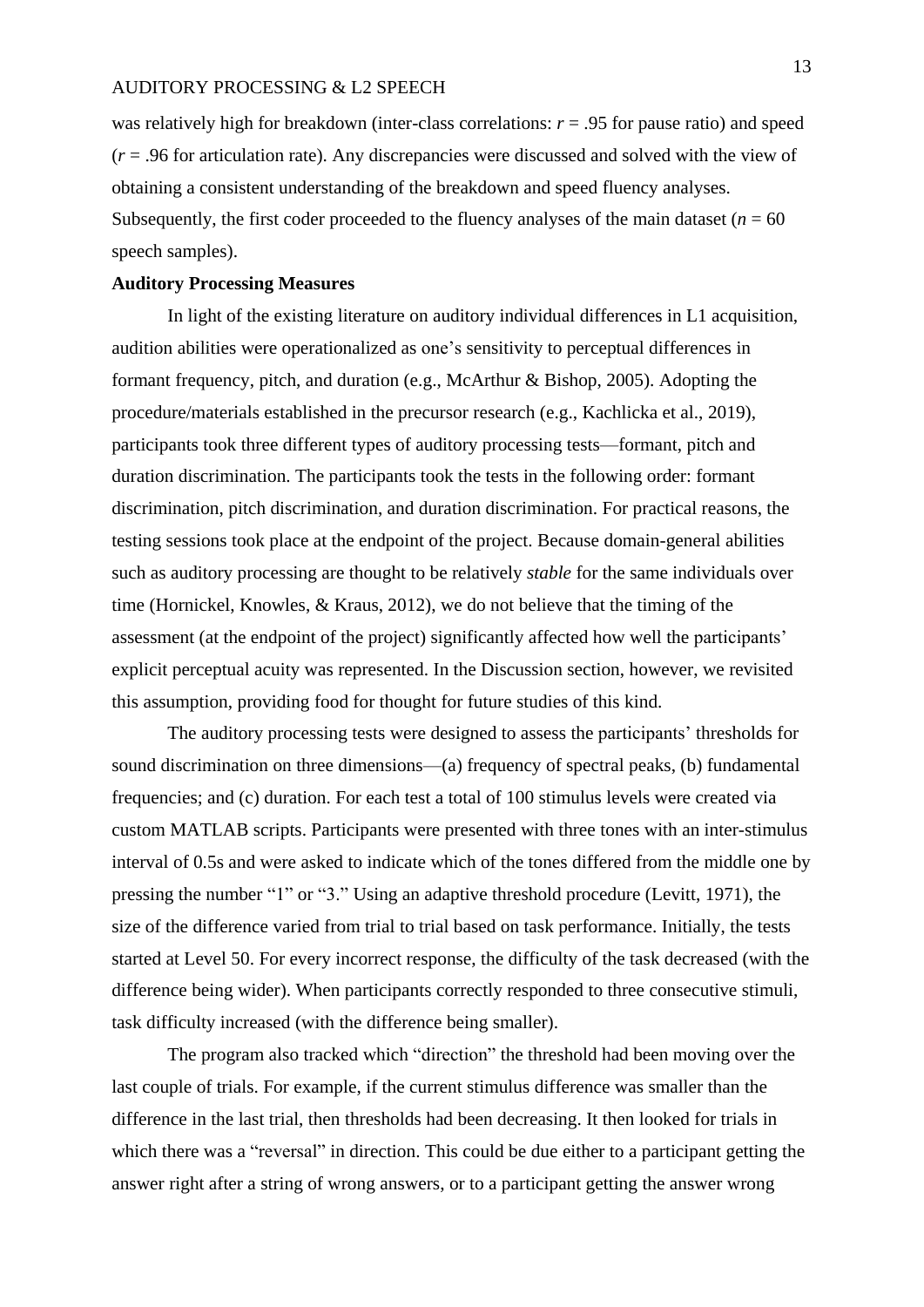was relatively high for breakdown (inter-class correlations:  $r = .95$  for pause ratio) and speed (*r* = .96 for articulation rate). Any discrepancies were discussed and solved with the view of obtaining a consistent understanding of the breakdown and speed fluency analyses. Subsequently, the first coder proceeded to the fluency analyses of the main dataset ( $n = 60$ ) speech samples).

#### **Auditory Processing Measures**

In light of the existing literature on auditory individual differences in L1 acquisition, audition abilities were operationalized as one's sensitivity to perceptual differences in formant frequency, pitch, and duration (e.g., McArthur & Bishop, 2005). Adopting the procedure/materials established in the precursor research (e.g., Kachlicka et al., 2019), participants took three different types of auditory processing tests—formant, pitch and duration discrimination. The participants took the tests in the following order: formant discrimination, pitch discrimination, and duration discrimination. For practical reasons, the testing sessions took place at the endpoint of the project. Because domain-general abilities such as auditory processing are thought to be relatively *stable* for the same individuals over time (Hornickel, Knowles, & Kraus, 2012), we do not believe that the timing of the assessment (at the endpoint of the project) significantly affected how well the participants' explicit perceptual acuity was represented. In the Discussion section, however, we revisited this assumption, providing food for thought for future studies of this kind.

The auditory processing tests were designed to assess the participants' thresholds for sound discrimination on three dimensions—(a) frequency of spectral peaks, (b) fundamental frequencies; and (c) duration. For each test a total of 100 stimulus levels were created via custom MATLAB scripts. Participants were presented with three tones with an inter-stimulus interval of 0.5s and were asked to indicate which of the tones differed from the middle one by pressing the number "1" or "3." Using an adaptive threshold procedure (Levitt, 1971), the size of the difference varied from trial to trial based on task performance. Initially, the tests started at Level 50. For every incorrect response, the difficulty of the task decreased (with the difference being wider). When participants correctly responded to three consecutive stimuli, task difficulty increased (with the difference being smaller).

The program also tracked which "direction" the threshold had been moving over the last couple of trials. For example, if the current stimulus difference was smaller than the difference in the last trial, then thresholds had been decreasing. It then looked for trials in which there was a "reversal" in direction. This could be due either to a participant getting the answer right after a string of wrong answers, or to a participant getting the answer wrong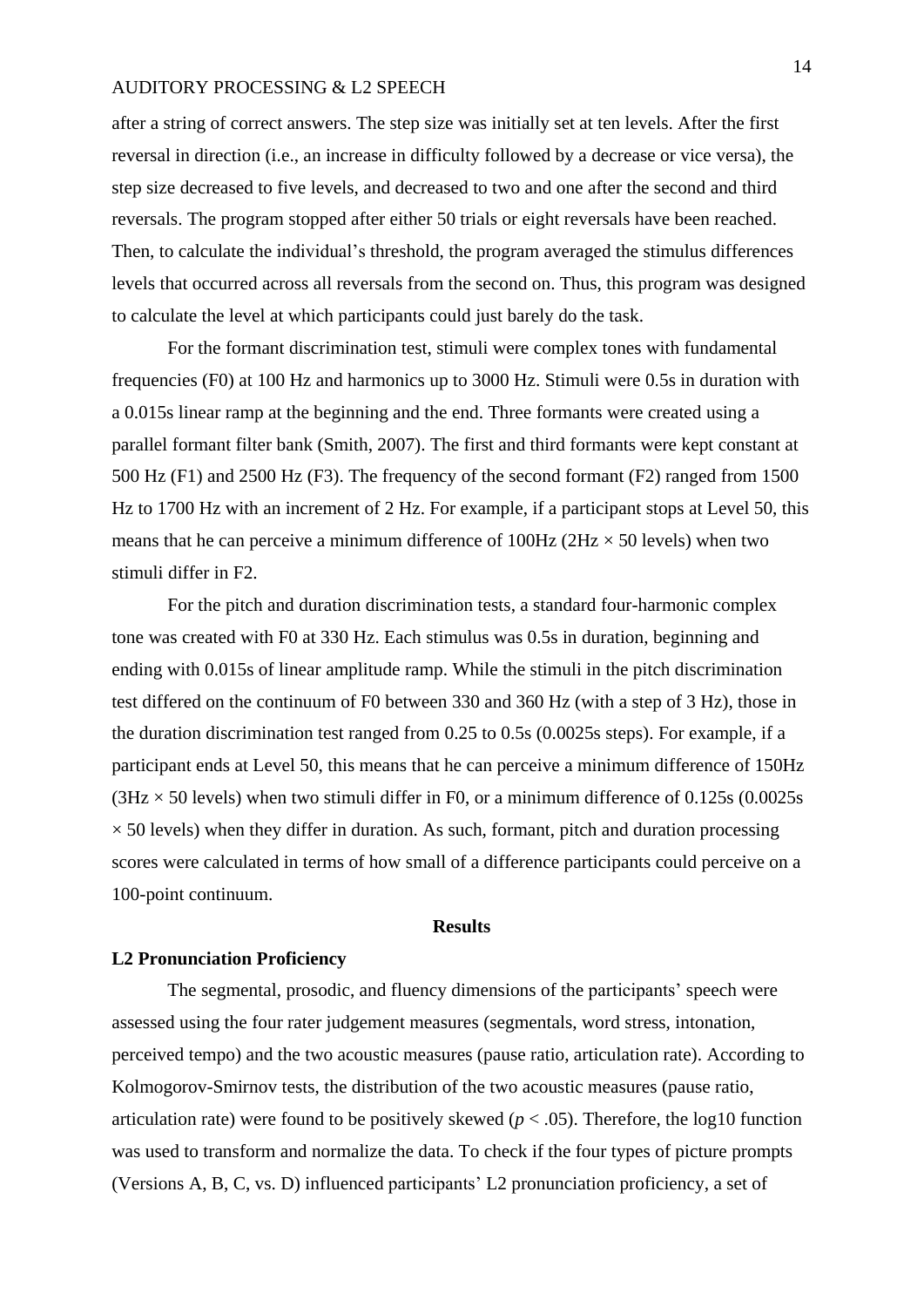after a string of correct answers. The step size was initially set at ten levels. After the first reversal in direction (i.e., an increase in difficulty followed by a decrease or vice versa), the step size decreased to five levels, and decreased to two and one after the second and third reversals. The program stopped after either 50 trials or eight reversals have been reached. Then, to calculate the individual's threshold, the program averaged the stimulus differences levels that occurred across all reversals from the second on. Thus, this program was designed to calculate the level at which participants could just barely do the task.

For the formant discrimination test, stimuli were complex tones with fundamental frequencies (F0) at 100 Hz and harmonics up to 3000 Hz. Stimuli were 0.5s in duration with a 0.015s linear ramp at the beginning and the end. Three formants were created using a parallel formant filter bank (Smith, 2007). The first and third formants were kept constant at 500 Hz (F1) and 2500 Hz (F3). The frequency of the second formant (F2) ranged from 1500 Hz to 1700 Hz with an increment of 2 Hz. For example, if a participant stops at Level 50, this means that he can perceive a minimum difference of  $100Hz$  ( $2Hz \times 50$  levels) when two stimuli differ in F2.

For the pitch and duration discrimination tests, a standard four-harmonic complex tone was created with F0 at 330 Hz. Each stimulus was 0.5s in duration, beginning and ending with 0.015s of linear amplitude ramp. While the stimuli in the pitch discrimination test differed on the continuum of F0 between 330 and 360 Hz (with a step of 3 Hz), those in the duration discrimination test ranged from 0.25 to 0.5s (0.0025s steps). For example, if a participant ends at Level 50, this means that he can perceive a minimum difference of 150Hz  $(3Hz \times 50$  levels) when two stimuli differ in F0, or a minimum difference of 0.125s (0.0025s)  $\times$  50 levels) when they differ in duration. As such, formant, pitch and duration processing scores were calculated in terms of how small of a difference participants could perceive on a 100-point continuum.

#### **Results**

#### **L2 Pronunciation Proficiency**

The segmental, prosodic, and fluency dimensions of the participants' speech were assessed using the four rater judgement measures (segmentals, word stress, intonation, perceived tempo) and the two acoustic measures (pause ratio, articulation rate). According to Kolmogorov-Smirnov tests, the distribution of the two acoustic measures (pause ratio, articulation rate) were found to be positively skewed ( $p < .05$ ). Therefore, the log10 function was used to transform and normalize the data. To check if the four types of picture prompts (Versions A, B, C, vs. D) influenced participants' L2 pronunciation proficiency, a set of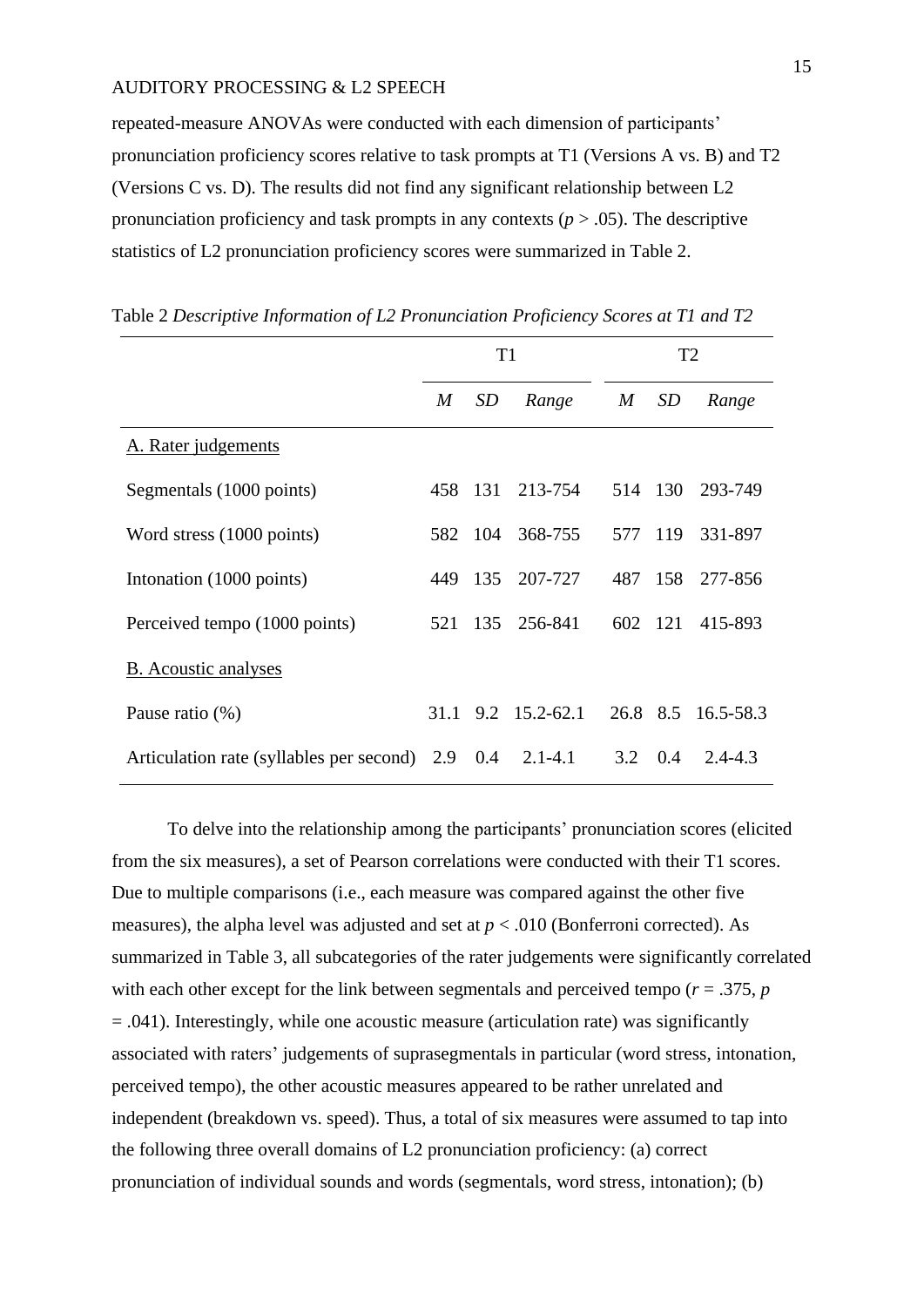repeated-measure ANOVAs were conducted with each dimension of participants' pronunciation proficiency scores relative to task prompts at T1 (Versions A vs. B) and T2 (Versions C vs. D). The results did not find any significant relationship between L2 pronunciation proficiency and task prompts in any contexts  $(p > .05)$ . The descriptive statistics of L2 pronunciation proficiency scores were summarized in Table 2.

|                                          | T <sub>1</sub> |           |                         | T <sub>2</sub> |                 |                 |  |
|------------------------------------------|----------------|-----------|-------------------------|----------------|-----------------|-----------------|--|
|                                          | M              | <i>SD</i> | Range                   | $M_{\odot}$    | <i>SD</i>       | Range           |  |
| A. Rater judgements                      |                |           |                         |                |                 |                 |  |
| Segmentals (1000 points)                 |                | 458 131   | 213-754                 |                |                 | 514 130 293-749 |  |
| Word stress (1000 points)                |                | 582 104   | 368-755                 |                |                 | 577 119 331-897 |  |
| Intonation (1000 points)                 | 449            | 135       | 207-727                 | 487            | 158             | 277-856         |  |
| Perceived tempo (1000 points)            |                | 521 135   | 256-841                 |                | 602 121         | 415-893         |  |
| B. Acoustic analyses                     |                |           |                         |                |                 |                 |  |
| Pause ratio $(\%)$                       | 31.1           |           | $9.2 \quad 15.2 - 62.1$ | 26.8 8.5       |                 | 16.5-58.3       |  |
| Articulation rate (syllables per second) | 2.9            | 0.4       | $2.1 - 4.1$             |                | $3.2 \quad 0.4$ | $2.4 - 4.3$     |  |

Table 2 *Descriptive Information of L2 Pronunciation Proficiency Scores at T1 and T2*

To delve into the relationship among the participants' pronunciation scores (elicited from the six measures), a set of Pearson correlations were conducted with their T1 scores. Due to multiple comparisons (i.e., each measure was compared against the other five measures), the alpha level was adjusted and set at  $p < .010$  (Bonferroni corrected). As summarized in Table 3, all subcategories of the rater judgements were significantly correlated with each other except for the link between segmentals and perceived tempo  $(r = .375, p)$ = .041). Interestingly, while one acoustic measure (articulation rate) was significantly associated with raters' judgements of suprasegmentals in particular (word stress, intonation, perceived tempo), the other acoustic measures appeared to be rather unrelated and independent (breakdown vs. speed). Thus, a total of six measures were assumed to tap into the following three overall domains of L2 pronunciation proficiency: (a) correct pronunciation of individual sounds and words (segmentals, word stress, intonation); (b)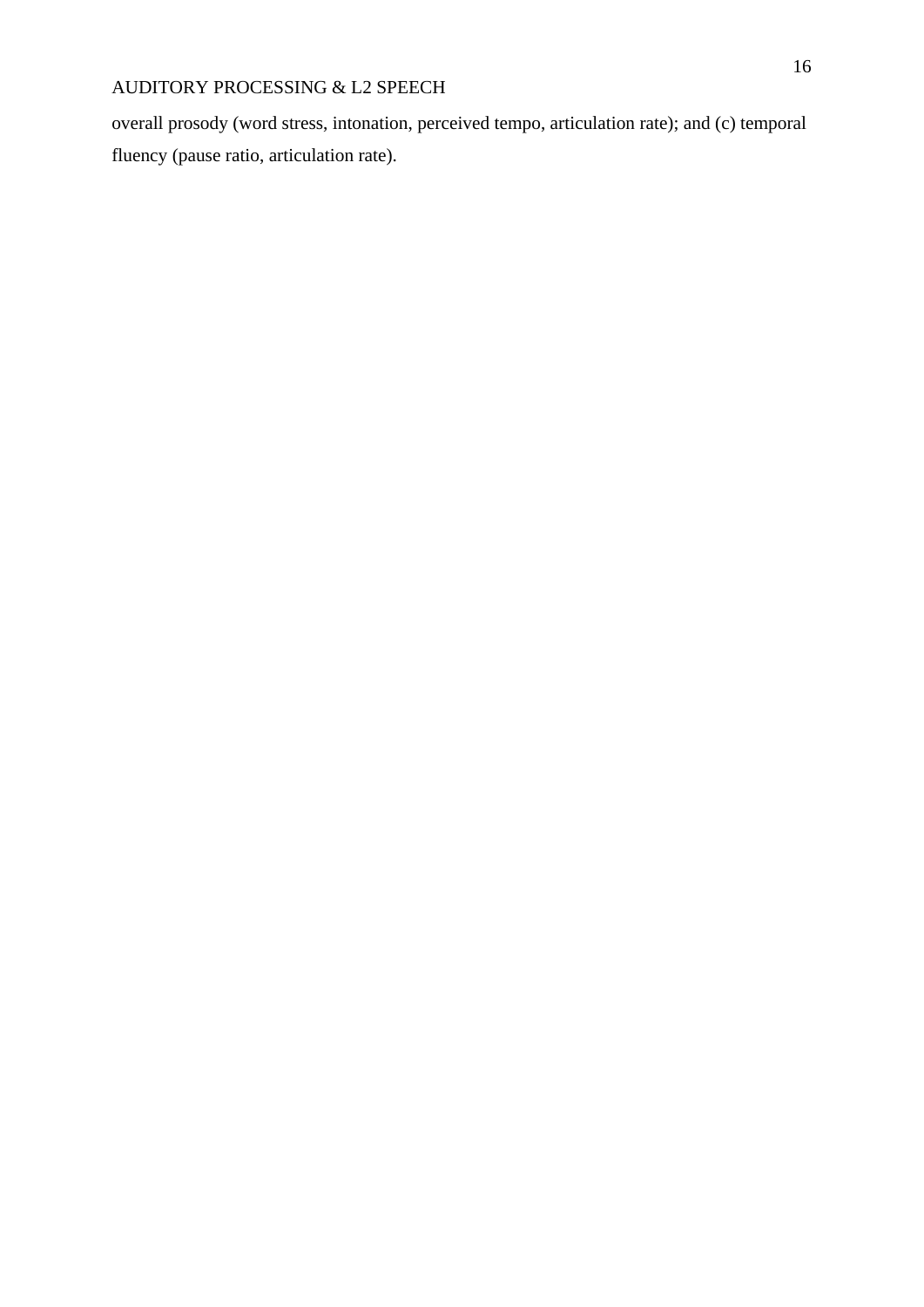overall prosody (word stress, intonation, perceived tempo, articulation rate); and (c) temporal fluency (pause ratio, articulation rate).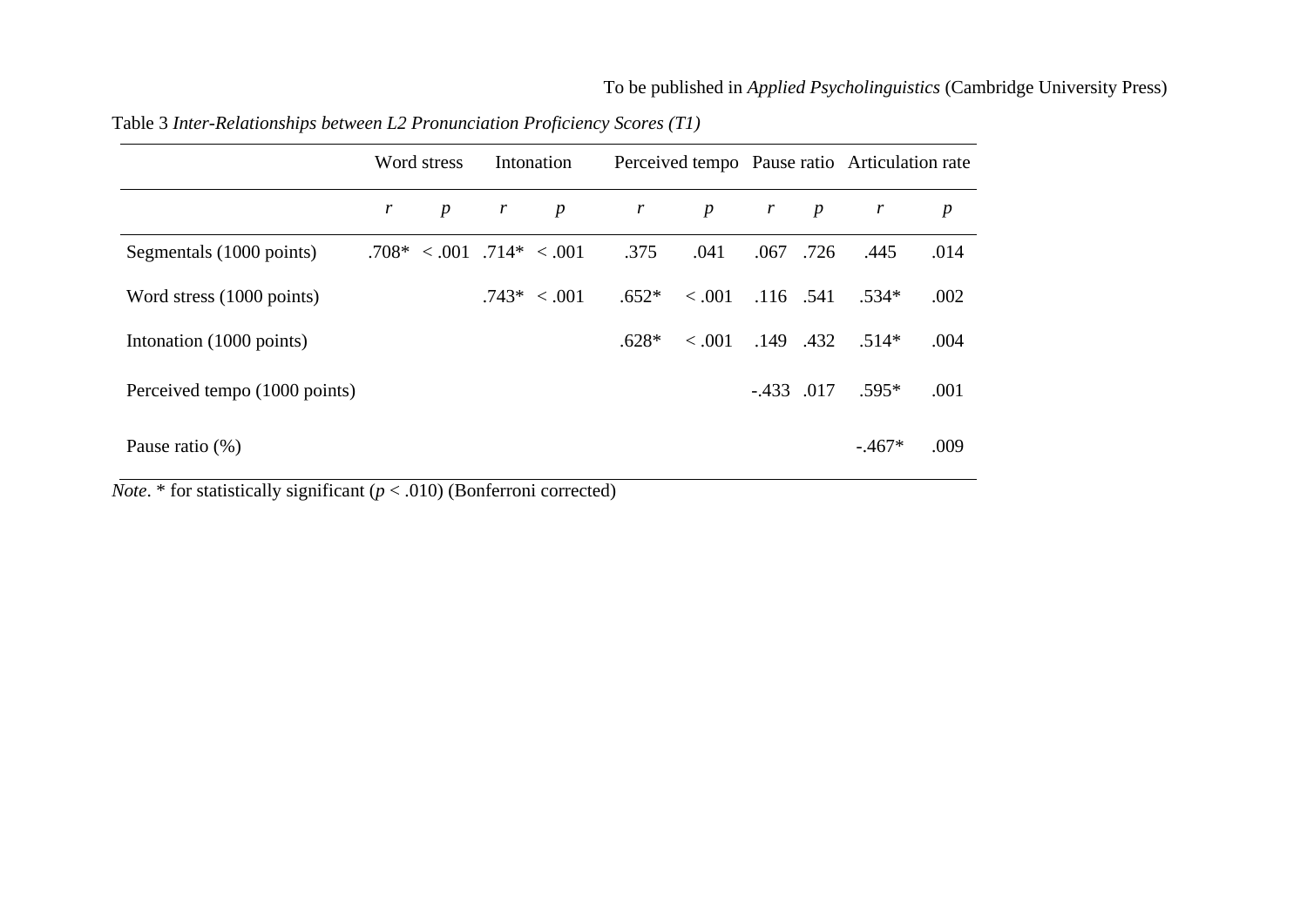|                               | Word stress |                               | Intonation   |                  | Perceived tempo Pause ratio Articulation rate |                  |                  |                |              |                  |
|-------------------------------|-------------|-------------------------------|--------------|------------------|-----------------------------------------------|------------------|------------------|----------------|--------------|------------------|
|                               | r           | $\boldsymbol{p}$              | $\mathbf{r}$ | $\boldsymbol{p}$ | r                                             | $\boldsymbol{p}$ | $\boldsymbol{r}$ | $\overline{p}$ | $\mathbf{r}$ | $\boldsymbol{p}$ |
| Segmentals (1000 points)      |             | $.708* < .001$ $.714* < .001$ |              |                  | .375                                          | .041             | .067             | .726           | .445         | .014             |
| Word stress (1000 points)     |             |                               |              | $.743* < .001$   | $.652*$                                       | < 0.001          | .116 .541        |                | $.534*$      | .002             |
| Intonation (1000 points)      |             |                               |              |                  | $.628*$                                       | < .001           | .149.432         |                | $.514*$      | .004             |
| Perceived tempo (1000 points) |             |                               |              |                  |                                               |                  | $-.433$ .017     |                | $.595*$      | .001             |
| Pause ratio $(\%)$            |             |                               |              |                  |                                               |                  |                  |                | $-.467*$     | .009             |

Table 3 *Inter-Relationships between L2 Pronunciation Proficiency Scores (T1)*

*Note*. \* for statistically significant  $(p < .010)$  (Bonferroni corrected)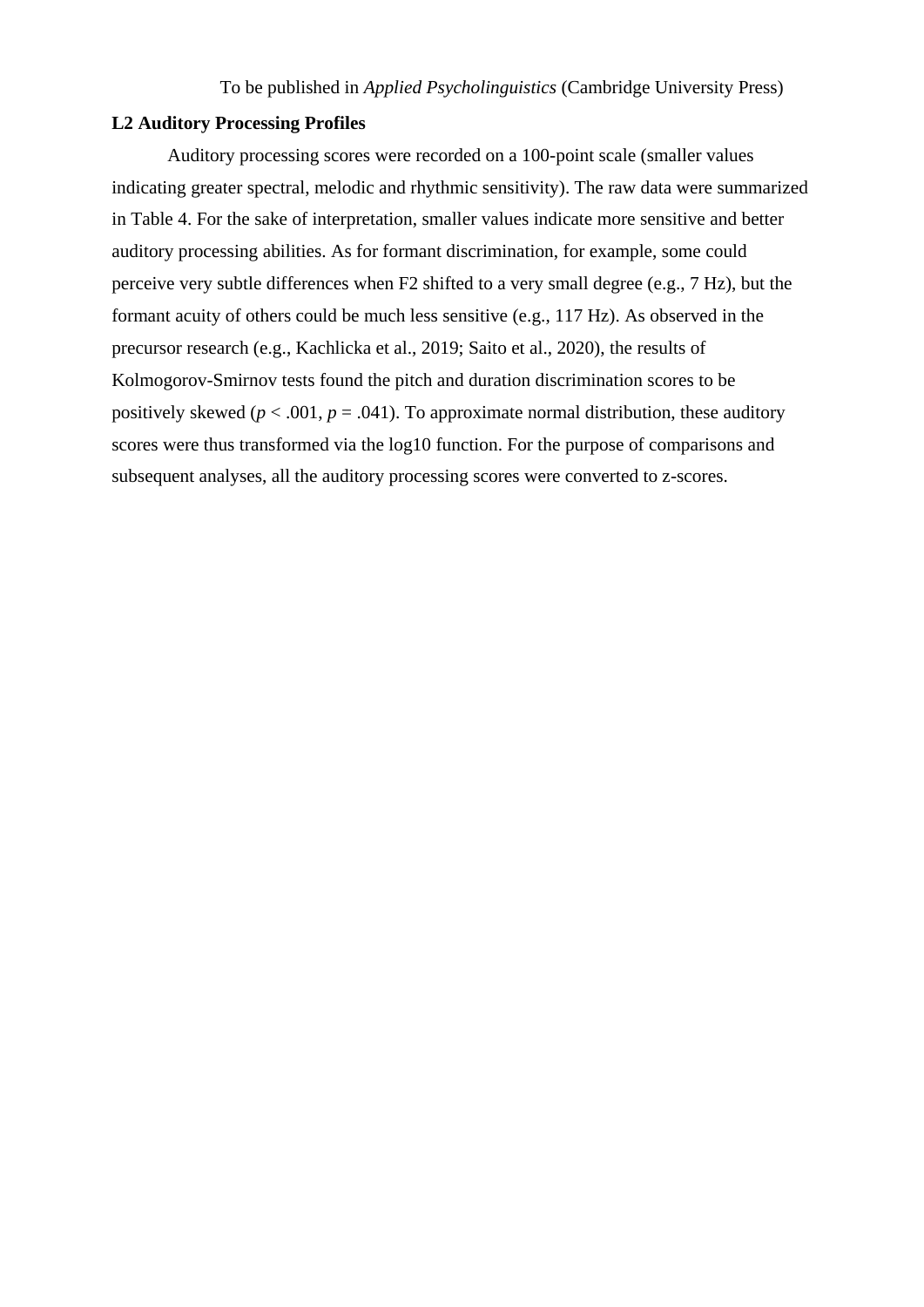#### **L2 Auditory Processing Profiles**

Auditory processing scores were recorded on a 100-point scale (smaller values indicating greater spectral, melodic and rhythmic sensitivity). The raw data were summarized in Table 4. For the sake of interpretation, smaller values indicate more sensitive and better auditory processing abilities. As for formant discrimination, for example, some could perceive very subtle differences when F2 shifted to a very small degree (e.g., 7 Hz), but the formant acuity of others could be much less sensitive (e.g., 117 Hz). As observed in the precursor research (e.g., Kachlicka et al., 2019; Saito et al., 2020), the results of Kolmogorov-Smirnov tests found the pitch and duration discrimination scores to be positively skewed ( $p < .001$ ,  $p = .041$ ). To approximate normal distribution, these auditory scores were thus transformed via the log10 function. For the purpose of comparisons and subsequent analyses, all the auditory processing scores were converted to z-scores.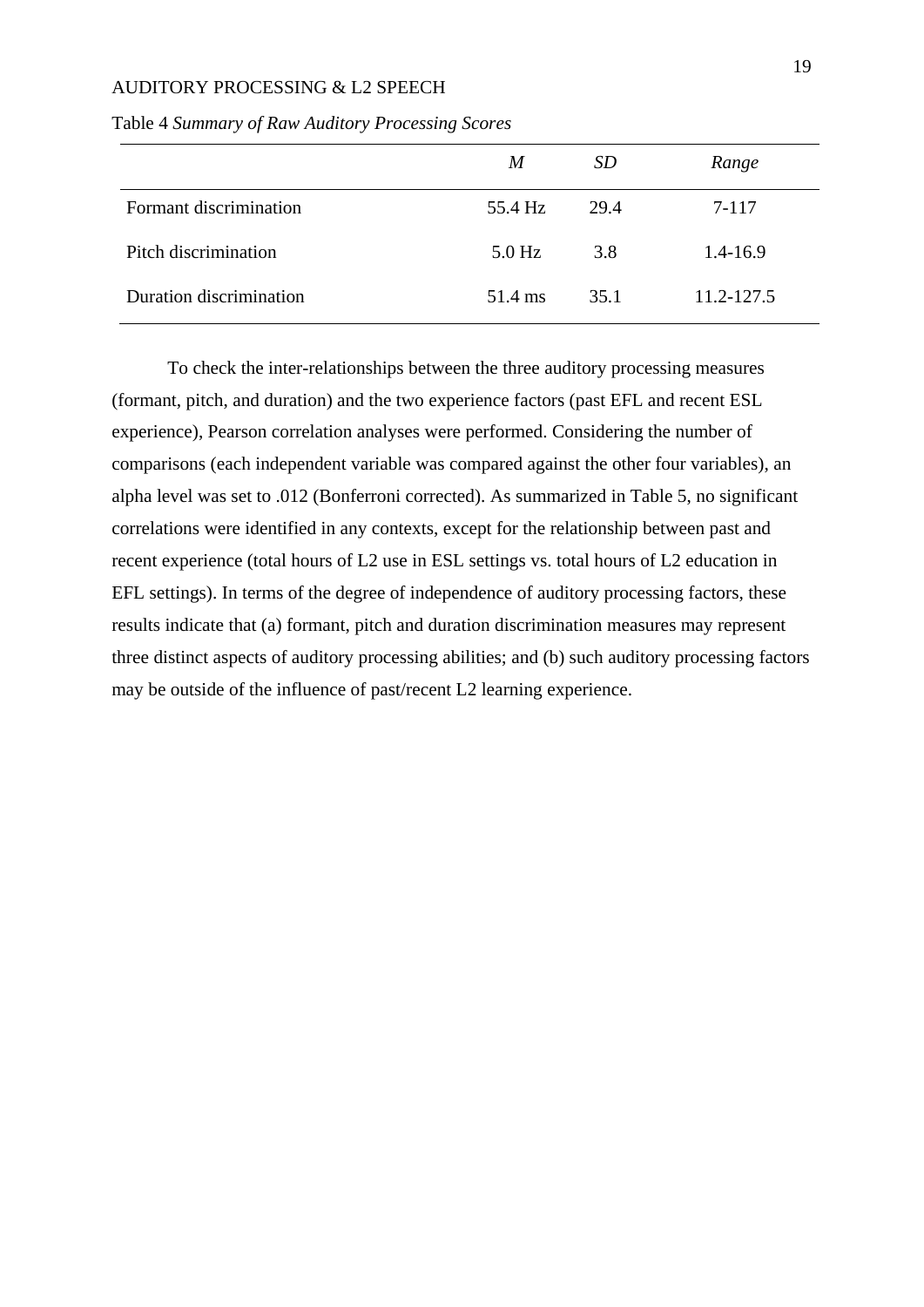|                         | M        | SD   | Range        |
|-------------------------|----------|------|--------------|
| Formant discrimination  | 55.4 Hz  | 29.4 | 7-117        |
| Pitch discrimination    | $5.0$ Hz | 3.8  | $1.4 - 16.9$ |
| Duration discrimination | 51.4 ms  | 35.1 | 11.2-127.5   |

Table 4 *Summary of Raw Auditory Processing Scores*

To check the inter-relationships between the three auditory processing measures (formant, pitch, and duration) and the two experience factors (past EFL and recent ESL experience), Pearson correlation analyses were performed. Considering the number of comparisons (each independent variable was compared against the other four variables), an alpha level was set to .012 (Bonferroni corrected). As summarized in Table 5, no significant correlations were identified in any contexts, except for the relationship between past and recent experience (total hours of L2 use in ESL settings vs. total hours of L2 education in EFL settings). In terms of the degree of independence of auditory processing factors, these results indicate that (a) formant, pitch and duration discrimination measures may represent three distinct aspects of auditory processing abilities; and (b) such auditory processing factors may be outside of the influence of past/recent L2 learning experience.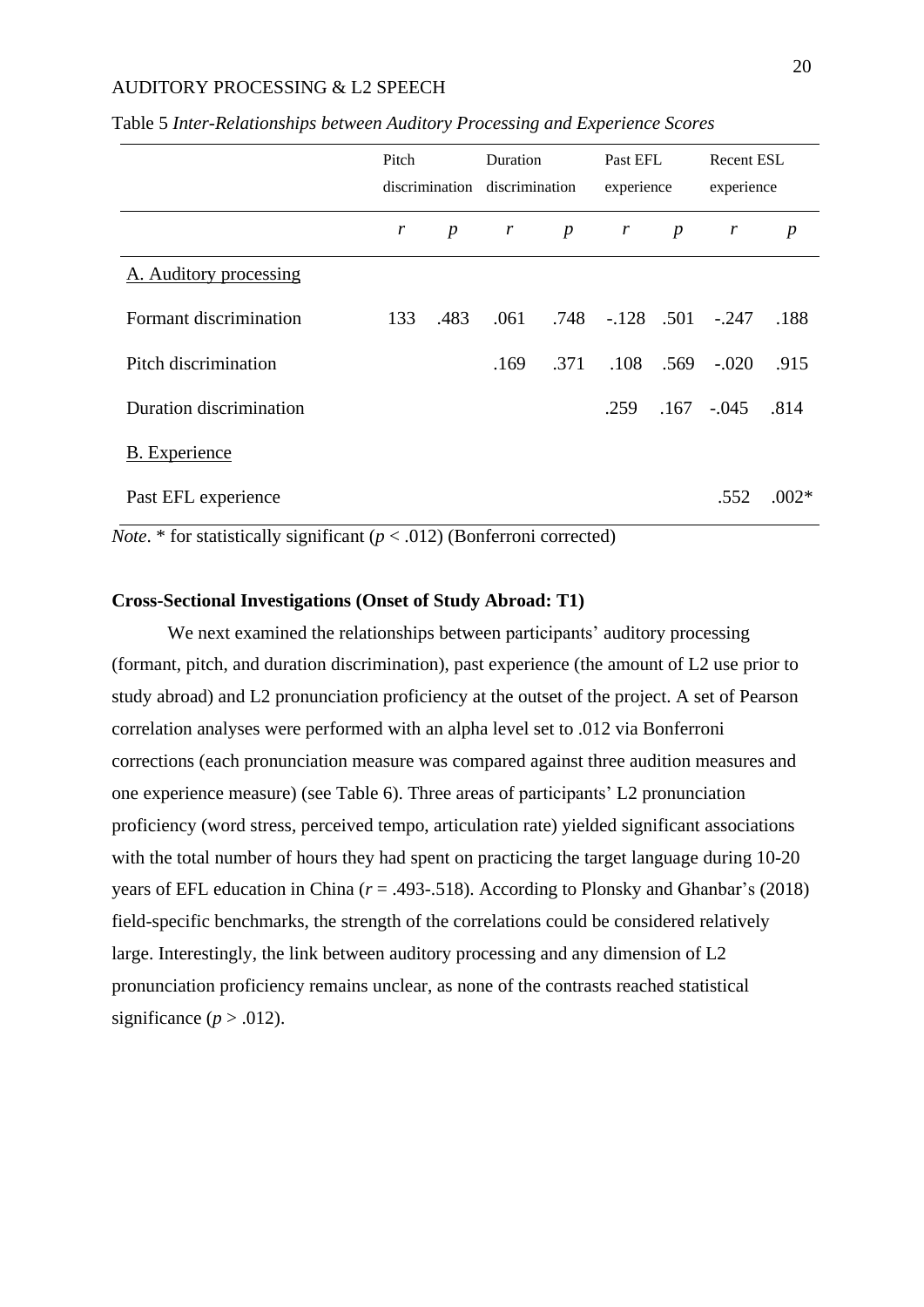|                         | Pitch |                  | Duration<br>discrimination discrimination |                  | Past EFL<br>experience        |                  | <b>Recent ESL</b><br>experience |                  |
|-------------------------|-------|------------------|-------------------------------------------|------------------|-------------------------------|------------------|---------------------------------|------------------|
|                         | r     | $\boldsymbol{p}$ | $\boldsymbol{r}$                          | $\boldsymbol{p}$ | $\mathbf{r}$                  | $\boldsymbol{p}$ | $\boldsymbol{r}$                | $\boldsymbol{p}$ |
| A. Auditory processing  |       |                  |                                           |                  |                               |                  |                                 |                  |
| Formant discrimination  | 133   | .483             | .061                                      |                  | $.748$ $-.128$ $.501$ $-.247$ |                  |                                 | .188             |
| Pitch discrimination    |       |                  | .169                                      |                  | .371 .108 .569                |                  | $-.020$                         | .915             |
| Duration discrimination |       |                  |                                           |                  | .259                          |                  | $.167 - .045$ .814              |                  |
| <b>B.</b> Experience    |       |                  |                                           |                  |                               |                  |                                 |                  |
| Past EFL experience     |       |                  |                                           |                  | $\rightarrow$                 |                  | .552                            | $.002*$          |

Table 5 *Inter-Relationships between Auditory Processing and Experience Scores*

*Note*. \* for statistically significant ( $p < .012$ ) (Bonferroni corrected)

#### **Cross-Sectional Investigations (Onset of Study Abroad: T1)**

We next examined the relationships between participants' auditory processing (formant, pitch, and duration discrimination), past experience (the amount of L2 use prior to study abroad) and L2 pronunciation proficiency at the outset of the project. A set of Pearson correlation analyses were performed with an alpha level set to .012 via Bonferroni corrections (each pronunciation measure was compared against three audition measures and one experience measure) (see Table 6). Three areas of participants' L2 pronunciation proficiency (word stress, perceived tempo, articulation rate) yielded significant associations with the total number of hours they had spent on practicing the target language during 10-20 years of EFL education in China (*r* = .493-.518). According to Plonsky and Ghanbar's (2018) field-specific benchmarks, the strength of the correlations could be considered relatively large. Interestingly, the link between auditory processing and any dimension of L2 pronunciation proficiency remains unclear, as none of the contrasts reached statistical significance ( $p > .012$ ).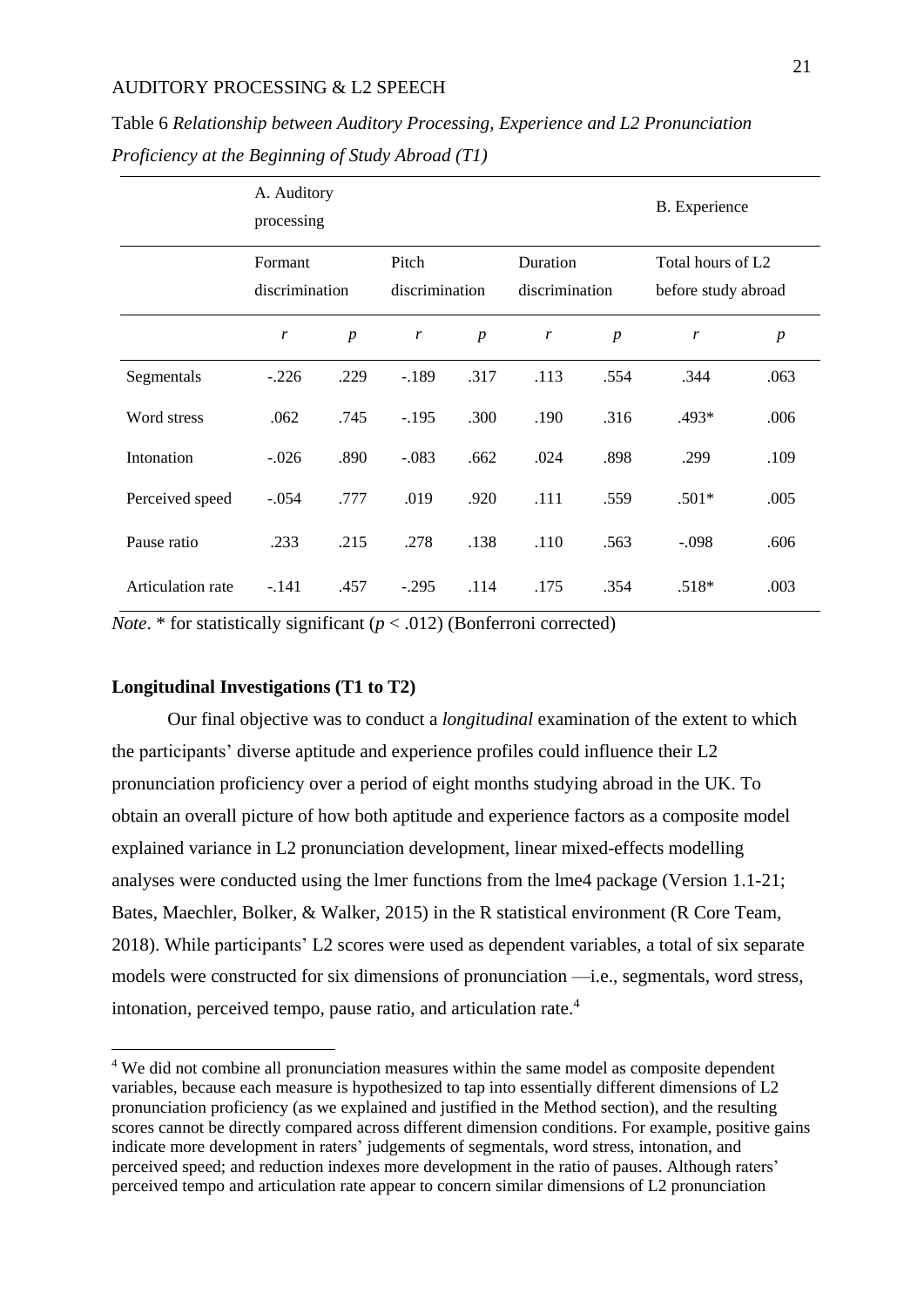|                   | A. Auditory<br>processing |                  |                         |                  |                            |                  | B. Experience                                        |                  |
|-------------------|---------------------------|------------------|-------------------------|------------------|----------------------------|------------------|------------------------------------------------------|------------------|
|                   | Formant<br>discrimination |                  | Pitch<br>discrimination |                  | Duration<br>discrimination |                  | Total hours of L <sub>2</sub><br>before study abroad |                  |
|                   | r                         | $\boldsymbol{p}$ | r                       | $\boldsymbol{p}$ | r                          | $\boldsymbol{p}$ | r                                                    | $\boldsymbol{p}$ |
| Segmentals        | $-.226$                   | .229             | $-.189$                 | .317             | .113                       | .554             | .344                                                 | .063             |
| Word stress       | .062                      | .745             | $-.195$                 | .300             | .190                       | .316             | .493*                                                | .006             |
| Intonation        | $-.026$                   | .890             | $-.083$                 | .662             | .024                       | .898             | .299                                                 | .109             |
| Perceived speed   | $-.054$                   | .777             | .019                    | .920             | .111                       | .559             | $.501*$                                              | .005             |
| Pause ratio       | .233                      | .215             | .278                    | .138             | .110                       | .563             | $-.098$                                              | .606             |
| Articulation rate | $-.141$                   | .457             | $-.295$                 | .114             | .175                       | .354             | $.518*$                                              | .003             |

Table 6 *Relationship between Auditory Processing, Experience and L2 Pronunciation Proficiency at the Beginning of Study Abroad (T1)*

*Note*. \* for statistically significant ( $p < .012$ ) (Bonferroni corrected)

#### **Longitudinal Investigations (T1 to T2)**

1

Our final objective was to conduct a *longitudinal* examination of the extent to which the participants' diverse aptitude and experience profiles could influence their L2 pronunciation proficiency over a period of eight months studying abroad in the UK. To obtain an overall picture of how both aptitude and experience factors as a composite model explained variance in L2 pronunciation development, linear mixed-effects modelling analyses were conducted using the lmer functions from the lme4 package (Version 1.1-21; Bates, Maechler, Bolker, & Walker, 2015) in the R statistical environment (R Core Team, 2018). While participants' L2 scores were used as dependent variables, a total of six separate models were constructed for six dimensions of pronunciation —i.e., segmentals, word stress, intonation, perceived tempo, pause ratio, and articulation rate.<sup>4</sup>

<sup>&</sup>lt;sup>4</sup> We did not combine all pronunciation measures within the same model as composite dependent variables, because each measure is hypothesized to tap into essentially different dimensions of L2 pronunciation proficiency (as we explained and justified in the Method section), and the resulting scores cannot be directly compared across different dimension conditions. For example, positive gains indicate more development in raters' judgements of segmentals, word stress, intonation, and perceived speed; and reduction indexes more development in the ratio of pauses. Although raters' perceived tempo and articulation rate appear to concern similar dimensions of L2 pronunciation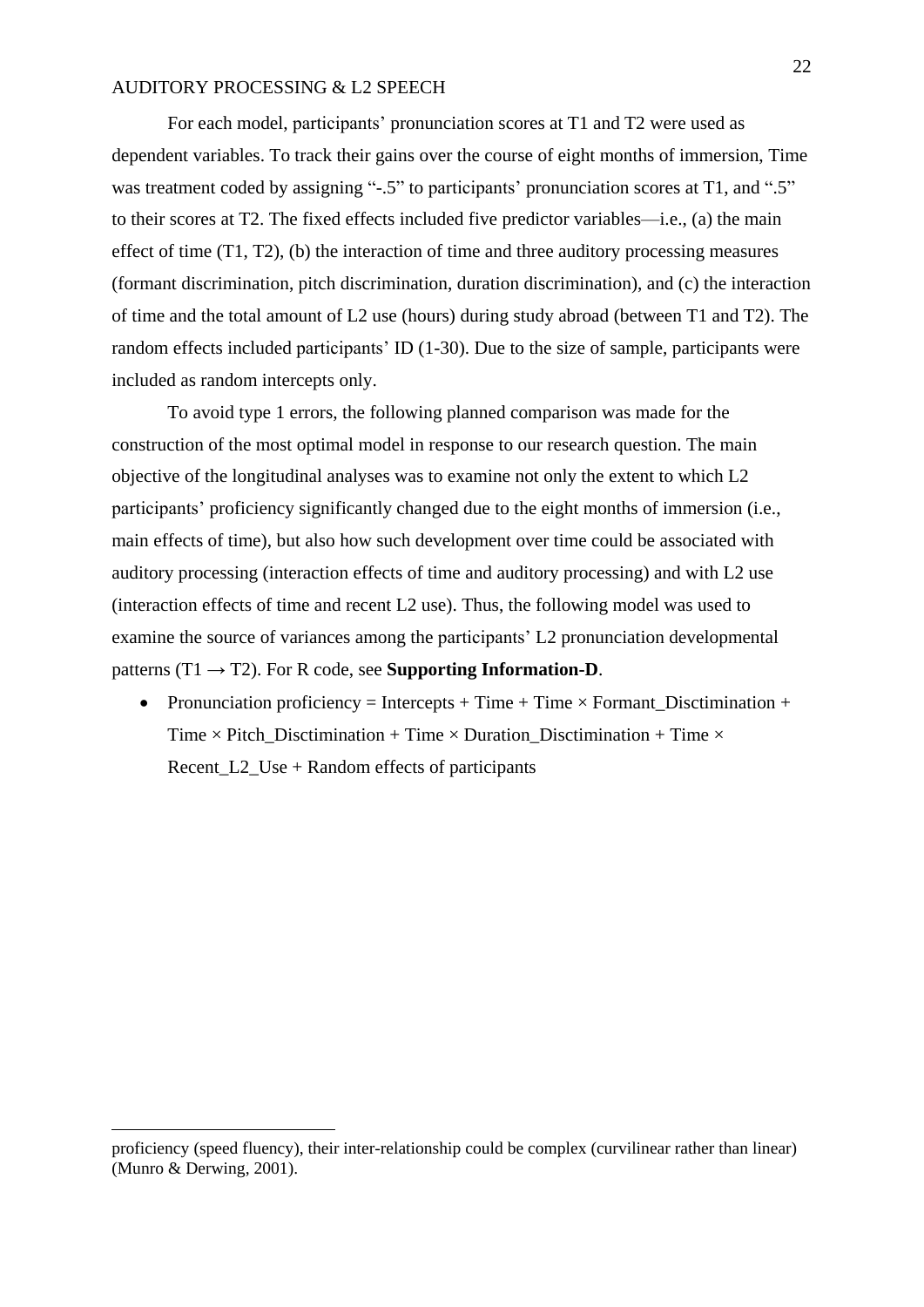For each model, participants' pronunciation scores at T1 and T2 were used as dependent variables. To track their gains over the course of eight months of immersion, Time was treatment coded by assigning "-.5" to participants' pronunciation scores at T1, and ".5" to their scores at T2. The fixed effects included five predictor variables—i.e., (a) the main effect of time (T1, T2), (b) the interaction of time and three auditory processing measures (formant discrimination, pitch discrimination, duration discrimination), and (c) the interaction of time and the total amount of L2 use (hours) during study abroad (between T1 and T2). The random effects included participants' ID (1-30). Due to the size of sample, participants were included as random intercepts only.

To avoid type 1 errors, the following planned comparison was made for the construction of the most optimal model in response to our research question. The main objective of the longitudinal analyses was to examine not only the extent to which L2 participants' proficiency significantly changed due to the eight months of immersion (i.e., main effects of time), but also how such development over time could be associated with auditory processing (interaction effects of time and auditory processing) and with L2 use (interaction effects of time and recent L2 use). Thus, the following model was used to examine the source of variances among the participants' L2 pronunciation developmental patterns  $(T1 \rightarrow T2)$ . For R code, see **Supporting Information-D**.

• Pronunciation proficiency = Intercepts + Time + Time  $\times$  Formant\_Disctimination + Time  $\times$  Pitch Disctimination + Time  $\times$  Duration Disctimination + Time  $\times$ Recent L2 Use + Random effects of participants

1

proficiency (speed fluency), their inter-relationship could be complex (curvilinear rather than linear) (Munro & Derwing, 2001).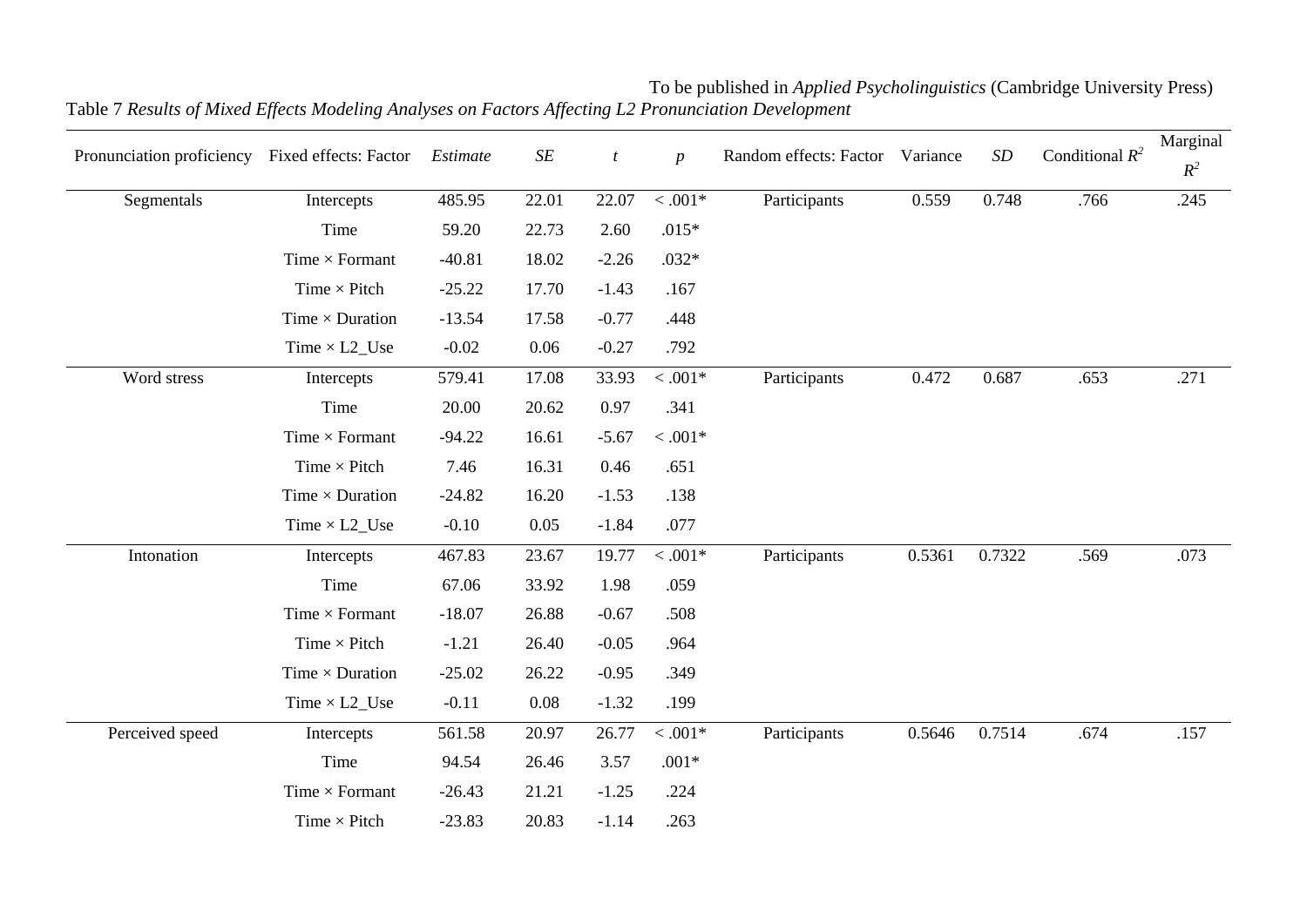| Pronunciation proficiency Fixed effects: Factor |                        | Estimate | $\cal SE$ | t        | $\boldsymbol{p}$  | Random effects: Factor | Variance | $\cal SD$ | Conditional $R^2$ | Marginal<br>$R^2$ |
|-------------------------------------------------|------------------------|----------|-----------|----------|-------------------|------------------------|----------|-----------|-------------------|-------------------|
| Segmentals                                      | Intercepts             | 485.95   | 22.01     | 22.07    | $<.001\mathrm{*}$ | Participants           | 0.559    | 0.748     | .766              | .245              |
|                                                 | Time                   | 59.20    | 22.73     | 2.60     | $.015*$           |                        |          |           |                   |                   |
|                                                 | Time $\times$ Formant  | $-40.81$ | 18.02     | $-2.26$  | $.032*$           |                        |          |           |                   |                   |
|                                                 | Time $\times$ Pitch    | $-25.22$ | 17.70     | $-1.43$  | .167              |                        |          |           |                   |                   |
|                                                 | Time $\times$ Duration | $-13.54$ | 17.58     | $-0.77$  | .448              |                        |          |           |                   |                   |
|                                                 | Time $\times$ L2_Use   | $-0.02$  | 0.06      | $-0.27$  | .792              |                        |          |           |                   |                   |
| Word stress                                     | Intercepts             | 579.41   | 17.08     | 33.93    | $< .001*$         | Participants           | 0.472    | 0.687     | .653              | .271              |
|                                                 | Time                   | 20.00    | 20.62     | $0.97\,$ | .341              |                        |          |           |                   |                   |
|                                                 | Time $\times$ Formant  | $-94.22$ | 16.61     | $-5.67$  | $< .001*$         |                        |          |           |                   |                   |
|                                                 | Time $\times$ Pitch    | 7.46     | 16.31     | 0.46     | .651              |                        |          |           |                   |                   |
|                                                 | Time $\times$ Duration | $-24.82$ | 16.20     | $-1.53$  | .138              |                        |          |           |                   |                   |
|                                                 | Time $\times$ L2_Use   | $-0.10$  | 0.05      | $-1.84$  | .077              |                        |          |           |                   |                   |
| Intonation                                      | Intercepts             | 467.83   | 23.67     | 19.77    | $<.001*$          | Participants           | 0.5361   | 0.7322    | .569              | .073              |
|                                                 | Time                   | 67.06    | 33.92     | 1.98     | .059              |                        |          |           |                   |                   |
|                                                 | Time $\times$ Formant  | $-18.07$ | 26.88     | $-0.67$  | .508              |                        |          |           |                   |                   |
|                                                 | Time $\times$ Pitch    | $-1.21$  | 26.40     | $-0.05$  | .964              |                        |          |           |                   |                   |
|                                                 | Time $\times$ Duration | $-25.02$ | 26.22     | $-0.95$  | .349              |                        |          |           |                   |                   |
|                                                 | Time $\times$ L2_Use   | $-0.11$  | 0.08      | $-1.32$  | .199              |                        |          |           |                   |                   |
| Perceived speed                                 | Intercepts             | 561.58   | 20.97     | 26.77    | $< .001*$         | Participants           | 0.5646   | 0.7514    | .674              | .157              |
|                                                 | Time                   | 94.54    | 26.46     | 3.57     | $.001*$           |                        |          |           |                   |                   |
|                                                 | Time $\times$ Formant  | $-26.43$ | 21.21     | $-1.25$  | .224              |                        |          |           |                   |                   |
|                                                 | Time $\times$ Pitch    | $-23.83$ | 20.83     | $-1.14$  | .263              |                        |          |           |                   |                   |

To be published in *Applied Psycholinguistics* (Cambridge University Press) Table 7 *Results of Mixed Effects Modeling Analyses on Factors Affecting L2 Pronunciation Development*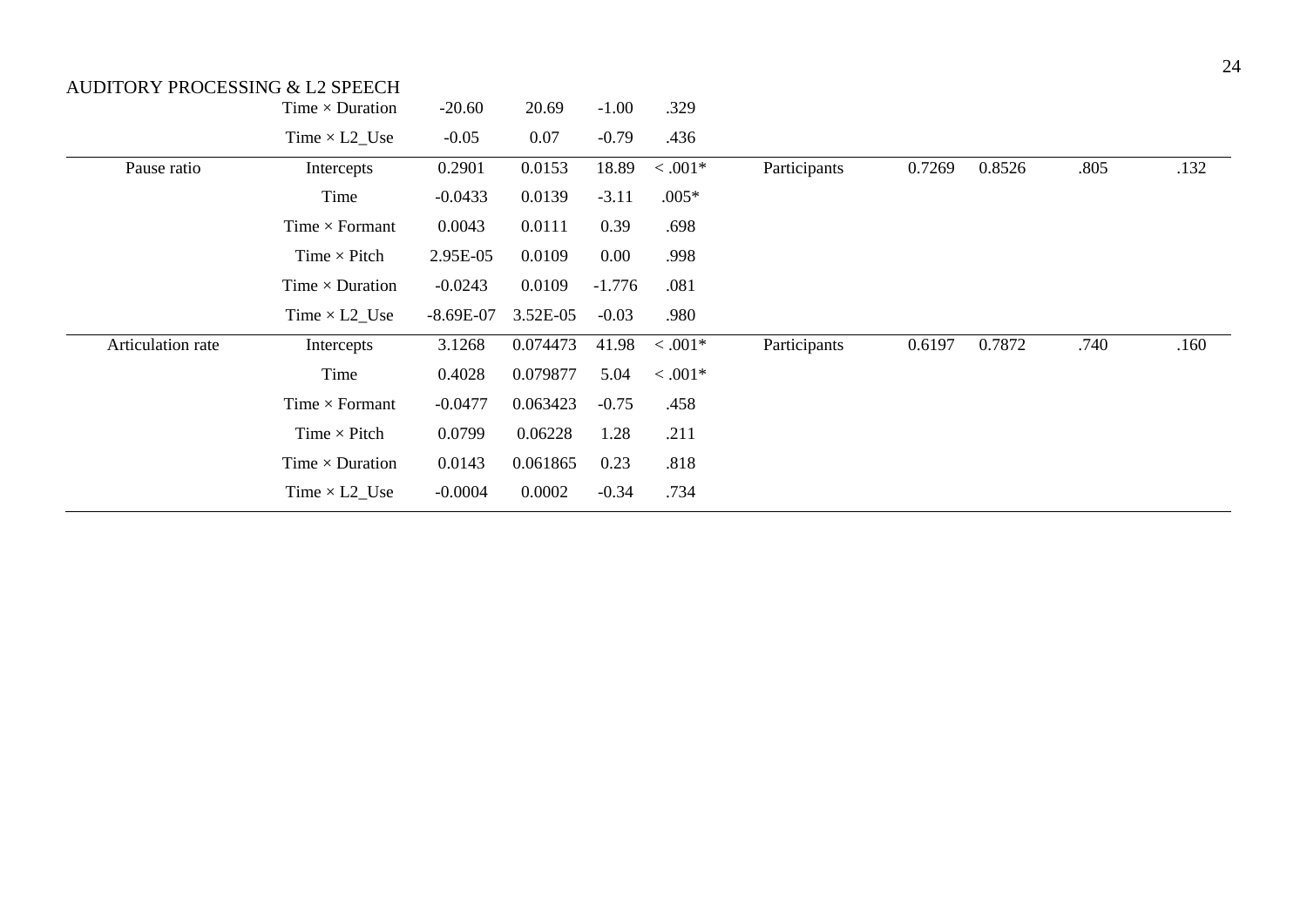|                   | Time $\times$ Duration | $-20.60$    | 20.69    | $-1.00$  | .329      |              |        |        |      |      |
|-------------------|------------------------|-------------|----------|----------|-----------|--------------|--------|--------|------|------|
|                   | Time $\times$ L2_Use   | $-0.05$     | 0.07     | $-0.79$  | .436      |              |        |        |      |      |
| Pause ratio       | Intercepts             | 0.2901      | 0.0153   | 18.89    | $< .001*$ | Participants | 0.7269 | 0.8526 | .805 | .132 |
|                   | Time                   | $-0.0433$   | 0.0139   | $-3.11$  | $.005*$   |              |        |        |      |      |
|                   | Time $\times$ Formant  | 0.0043      | 0.0111   | 0.39     | .698      |              |        |        |      |      |
|                   | Time $\times$ Pitch    | 2.95E-05    | 0.0109   | $0.00\,$ | .998      |              |        |        |      |      |
|                   | Time $\times$ Duration | $-0.0243$   | 0.0109   | $-1.776$ | .081      |              |        |        |      |      |
|                   | Time $\times$ L2_Use   | $-8.69E-07$ | 3.52E-05 | $-0.03$  | .980      |              |        |        |      |      |
| Articulation rate | Intercepts             | 3.1268      | 0.074473 | 41.98    | $< .001*$ | Participants | 0.6197 | 0.7872 | .740 | .160 |
|                   | Time                   | 0.4028      | 0.079877 | 5.04     | $0.001*$  |              |        |        |      |      |
|                   | Time $\times$ Formant  | $-0.0477$   | 0.063423 | $-0.75$  | .458      |              |        |        |      |      |
|                   | Time $\times$ Pitch    | 0.0799      | 0.06228  | 1.28     | .211      |              |        |        |      |      |
|                   | Time $\times$ Duration | 0.0143      | 0.061865 | 0.23     | .818      |              |        |        |      |      |
|                   | Time $\times$ L2_Use   | $-0.0004$   | 0.0002   | $-0.34$  | .734      |              |        |        |      |      |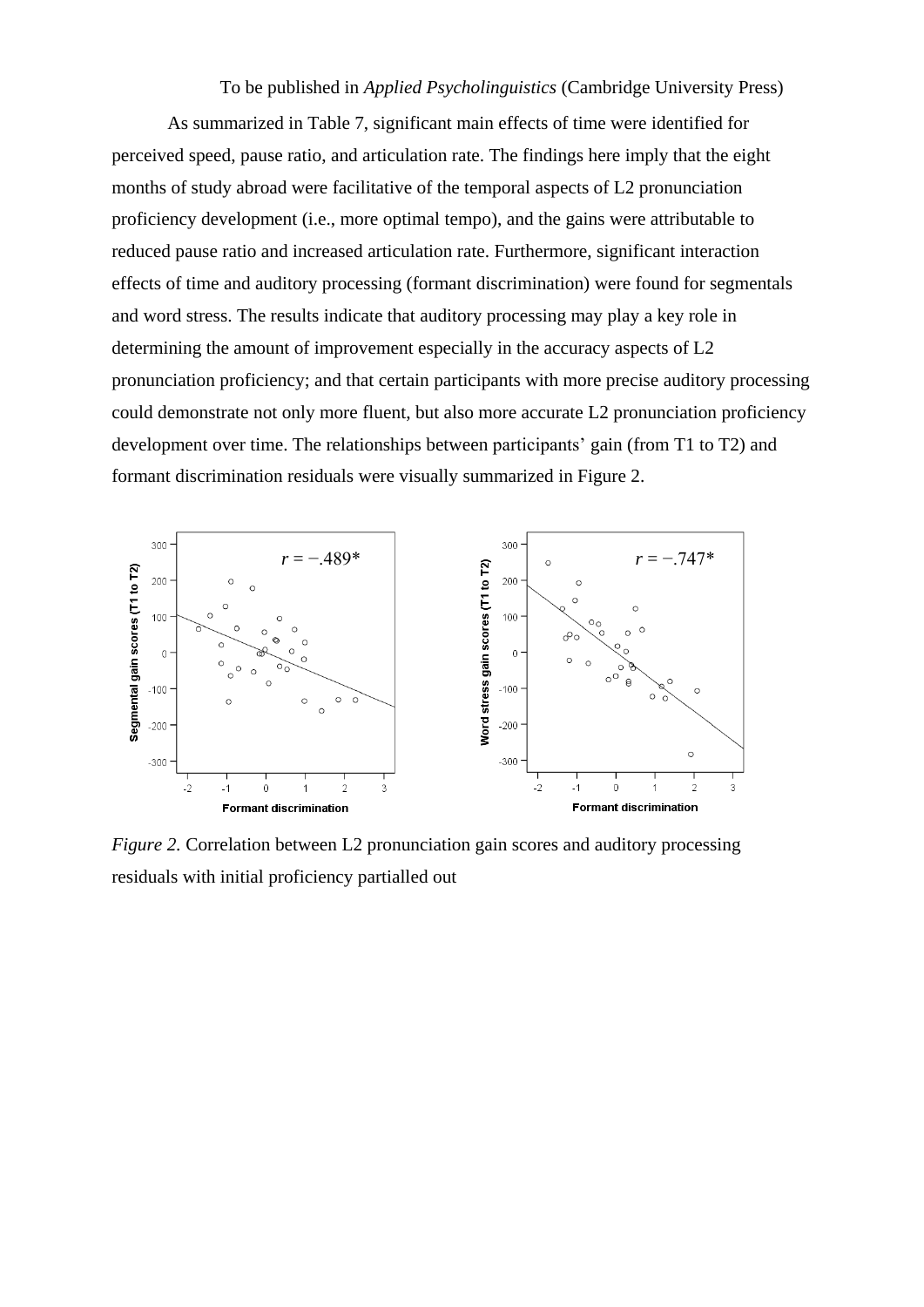To be published in *Applied Psycholinguistics* (Cambridge University Press)

As summarized in Table 7, significant main effects of time were identified for perceived speed, pause ratio, and articulation rate. The findings here imply that the eight months of study abroad were facilitative of the temporal aspects of L2 pronunciation proficiency development (i.e., more optimal tempo), and the gains were attributable to reduced pause ratio and increased articulation rate. Furthermore, significant interaction effects of time and auditory processing (formant discrimination) were found for segmentals and word stress. The results indicate that auditory processing may play a key role in determining the amount of improvement especially in the accuracy aspects of L2 pronunciation proficiency; and that certain participants with more precise auditory processing could demonstrate not only more fluent, but also more accurate L2 pronunciation proficiency development over time. The relationships between participants' gain (from T1 to T2) and formant discrimination residuals were visually summarized in Figure 2.



*Figure 2.* Correlation between L2 pronunciation gain scores and auditory processing residuals with initial proficiency partialled out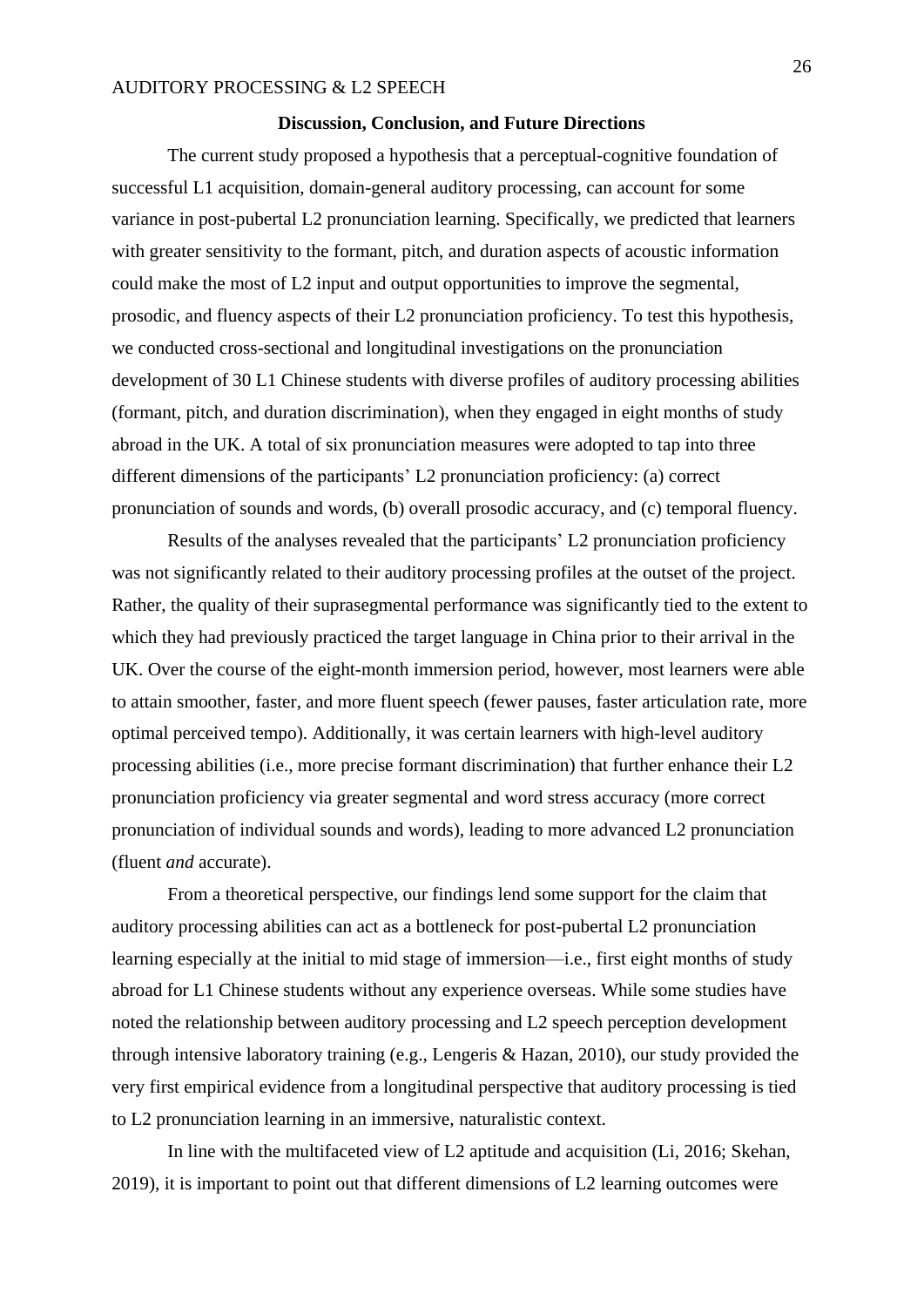#### **Discussion, Conclusion, and Future Directions**

The current study proposed a hypothesis that a perceptual-cognitive foundation of successful L1 acquisition, domain-general auditory processing, can account for some variance in post-pubertal L2 pronunciation learning. Specifically, we predicted that learners with greater sensitivity to the formant, pitch, and duration aspects of acoustic information could make the most of L2 input and output opportunities to improve the segmental, prosodic, and fluency aspects of their L2 pronunciation proficiency. To test this hypothesis, we conducted cross-sectional and longitudinal investigations on the pronunciation development of 30 L1 Chinese students with diverse profiles of auditory processing abilities (formant, pitch, and duration discrimination), when they engaged in eight months of study abroad in the UK. A total of six pronunciation measures were adopted to tap into three different dimensions of the participants' L2 pronunciation proficiency: (a) correct pronunciation of sounds and words, (b) overall prosodic accuracy, and (c) temporal fluency.

Results of the analyses revealed that the participants' L2 pronunciation proficiency was not significantly related to their auditory processing profiles at the outset of the project. Rather, the quality of their suprasegmental performance was significantly tied to the extent to which they had previously practiced the target language in China prior to their arrival in the UK. Over the course of the eight-month immersion period, however, most learners were able to attain smoother, faster, and more fluent speech (fewer pauses, faster articulation rate, more optimal perceived tempo). Additionally, it was certain learners with high-level auditory processing abilities (i.e., more precise formant discrimination) that further enhance their L2 pronunciation proficiency via greater segmental and word stress accuracy (more correct pronunciation of individual sounds and words), leading to more advanced L2 pronunciation (fluent *and* accurate).

From a theoretical perspective, our findings lend some support for the claim that auditory processing abilities can act as a bottleneck for post-pubertal L2 pronunciation learning especially at the initial to mid stage of immersion—i.e., first eight months of study abroad for L1 Chinese students without any experience overseas. While some studies have noted the relationship between auditory processing and L2 speech perception development through intensive laboratory training (e.g., Lengeris & Hazan, 2010), our study provided the very first empirical evidence from a longitudinal perspective that auditory processing is tied to L2 pronunciation learning in an immersive, naturalistic context.

In line with the multifaceted view of L2 aptitude and acquisition (Li, 2016; Skehan, 2019), it is important to point out that different dimensions of L2 learning outcomes were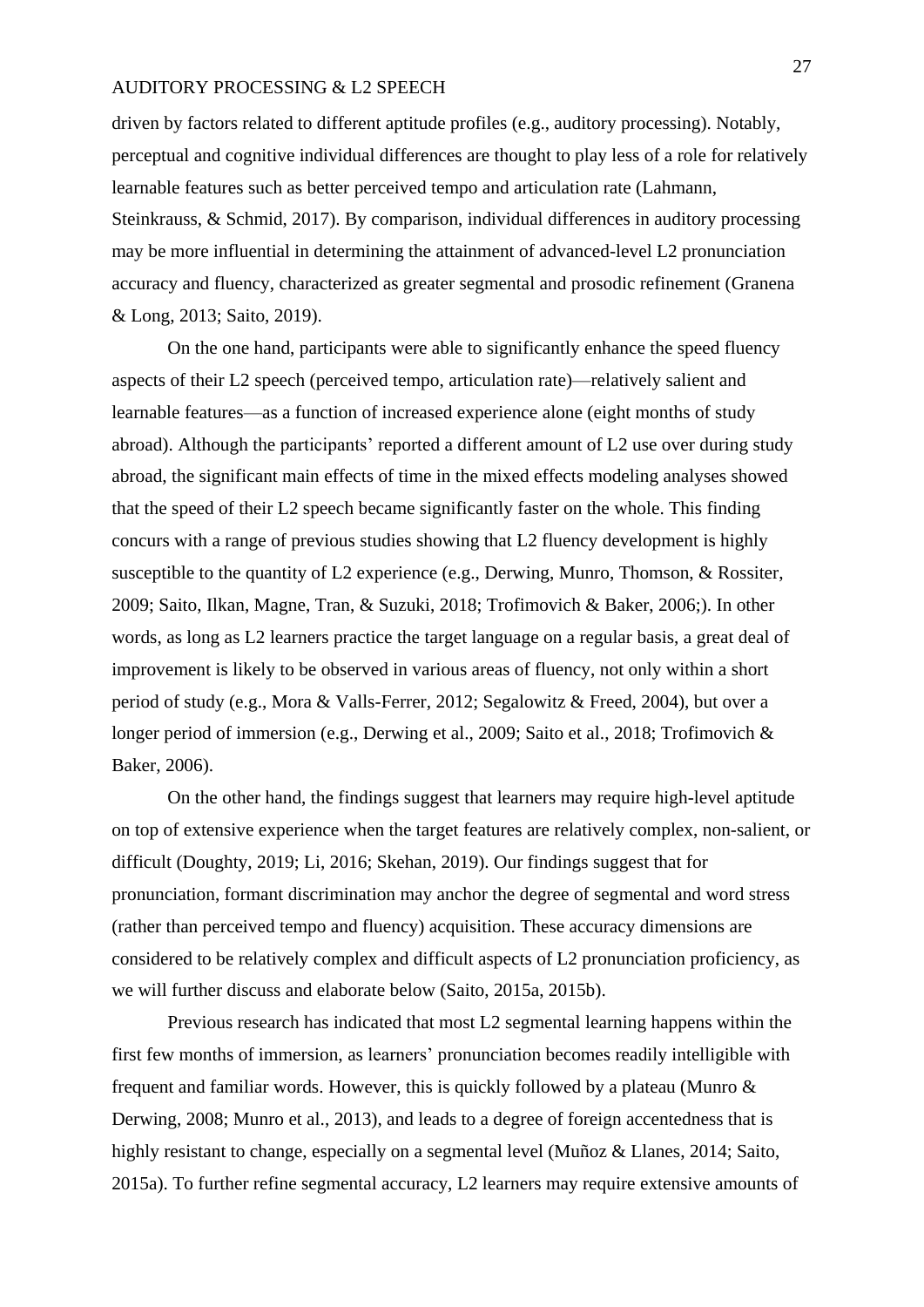driven by factors related to different aptitude profiles (e.g., auditory processing). Notably, perceptual and cognitive individual differences are thought to play less of a role for relatively learnable features such as better perceived tempo and articulation rate (Lahmann, Steinkrauss, & Schmid, 2017). By comparison, individual differences in auditory processing may be more influential in determining the attainment of advanced-level L2 pronunciation accuracy and fluency, characterized as greater segmental and prosodic refinement (Granena & Long, 2013; Saito, 2019).

On the one hand, participants were able to significantly enhance the speed fluency aspects of their L2 speech (perceived tempo, articulation rate)—relatively salient and learnable features—as a function of increased experience alone (eight months of study abroad). Although the participants' reported a different amount of L2 use over during study abroad, the significant main effects of time in the mixed effects modeling analyses showed that the speed of their L2 speech became significantly faster on the whole. This finding concurs with a range of previous studies showing that L2 fluency development is highly susceptible to the quantity of L2 experience (e.g., Derwing, Munro, Thomson, & Rossiter, 2009; Saito, Ilkan, Magne, Tran, & Suzuki, 2018; Trofimovich & Baker, 2006;). In other words, as long as L2 learners practice the target language on a regular basis, a great deal of improvement is likely to be observed in various areas of fluency, not only within a short period of study (e.g., Mora & Valls-Ferrer, 2012; Segalowitz & Freed, 2004), but over a longer period of immersion (e.g., Derwing et al., 2009; Saito et al., 2018; Trofimovich & Baker, 2006).

On the other hand, the findings suggest that learners may require high-level aptitude on top of extensive experience when the target features are relatively complex, non-salient, or difficult (Doughty, 2019; Li, 2016; Skehan, 2019). Our findings suggest that for pronunciation, formant discrimination may anchor the degree of segmental and word stress (rather than perceived tempo and fluency) acquisition. These accuracy dimensions are considered to be relatively complex and difficult aspects of L2 pronunciation proficiency, as we will further discuss and elaborate below (Saito, 2015a, 2015b).

Previous research has indicated that most L2 segmental learning happens within the first few months of immersion, as learners' pronunciation becomes readily intelligible with frequent and familiar words. However, this is quickly followed by a plateau (Munro & Derwing, 2008; Munro et al., 2013), and leads to a degree of foreign accentedness that is highly resistant to change, especially on a segmental level (Muñoz & Llanes, 2014; Saito, 2015a). To further refine segmental accuracy, L2 learners may require extensive amounts of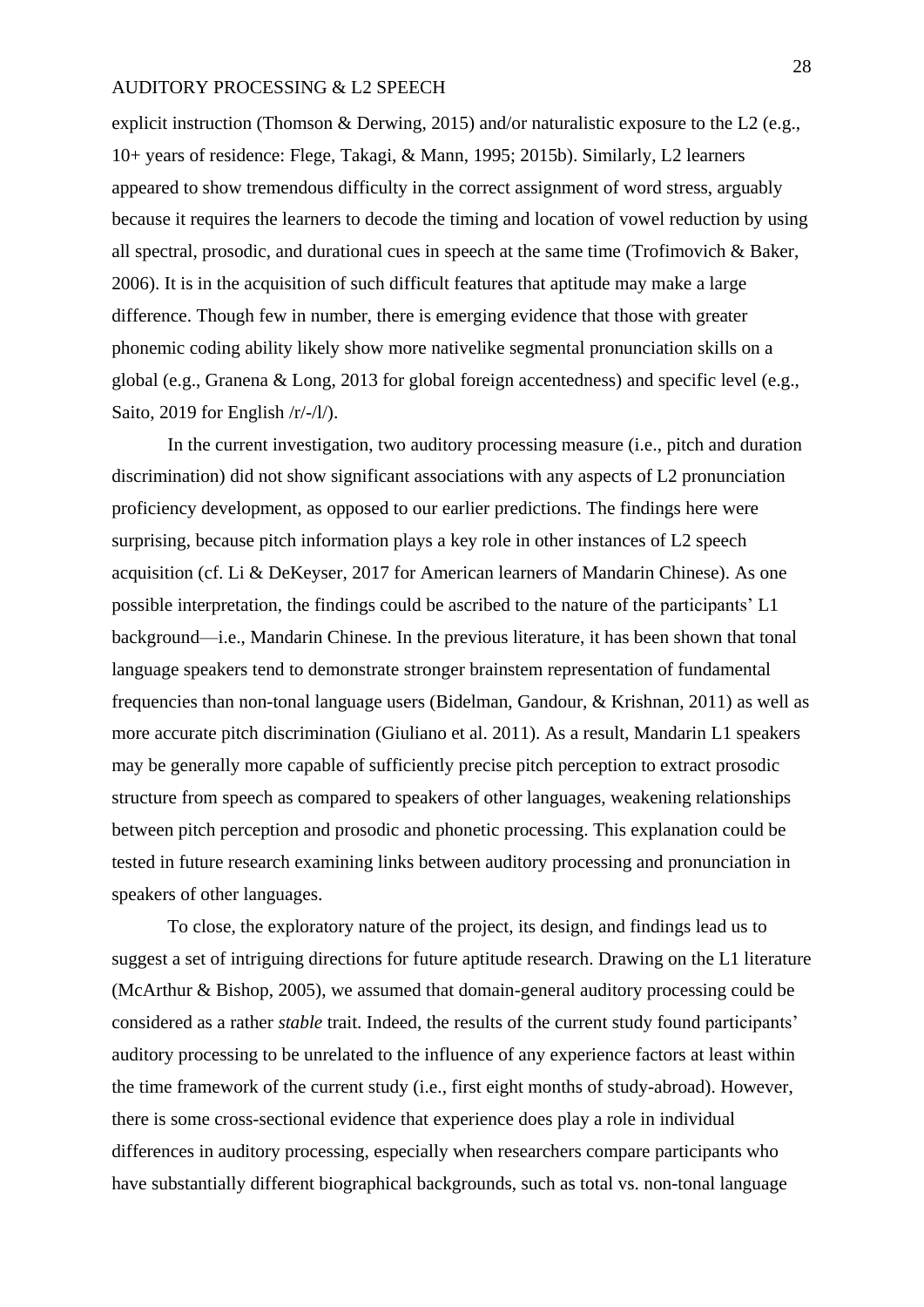explicit instruction (Thomson & Derwing, 2015) and/or naturalistic exposure to the L2 (e.g., 10+ years of residence: Flege, Takagi, & Mann, 1995; 2015b). Similarly, L2 learners appeared to show tremendous difficulty in the correct assignment of word stress, arguably because it requires the learners to decode the timing and location of vowel reduction by using all spectral, prosodic, and durational cues in speech at the same time (Trofimovich & Baker, 2006). It is in the acquisition of such difficult features that aptitude may make a large difference. Though few in number, there is emerging evidence that those with greater phonemic coding ability likely show more nativelike segmental pronunciation skills on a global (e.g., Granena & Long, 2013 for global foreign accentedness) and specific level (e.g., Saito, 2019 for English /r/-/l/).

In the current investigation, two auditory processing measure (i.e., pitch and duration discrimination) did not show significant associations with any aspects of L2 pronunciation proficiency development, as opposed to our earlier predictions. The findings here were surprising, because pitch information plays a key role in other instances of L2 speech acquisition (cf. Li & DeKeyser, 2017 for American learners of Mandarin Chinese). As one possible interpretation, the findings could be ascribed to the nature of the participants' L1 background—i.e., Mandarin Chinese. In the previous literature, it has been shown that tonal language speakers tend to demonstrate stronger brainstem representation of fundamental frequencies than non-tonal language users (Bidelman, Gandour, & Krishnan, 2011) as well as more accurate pitch discrimination (Giuliano et al. 2011). As a result, Mandarin L1 speakers may be generally more capable of sufficiently precise pitch perception to extract prosodic structure from speech as compared to speakers of other languages, weakening relationships between pitch perception and prosodic and phonetic processing. This explanation could be tested in future research examining links between auditory processing and pronunciation in speakers of other languages.

To close, the exploratory nature of the project, its design, and findings lead us to suggest a set of intriguing directions for future aptitude research. Drawing on the L1 literature (McArthur & Bishop, 2005), we assumed that domain-general auditory processing could be considered as a rather *stable* trait. Indeed, the results of the current study found participants' auditory processing to be unrelated to the influence of any experience factors at least within the time framework of the current study (i.e., first eight months of study-abroad). However, there is some cross-sectional evidence that experience does play a role in individual differences in auditory processing, especially when researchers compare participants who have substantially different biographical backgrounds, such as total vs. non-tonal language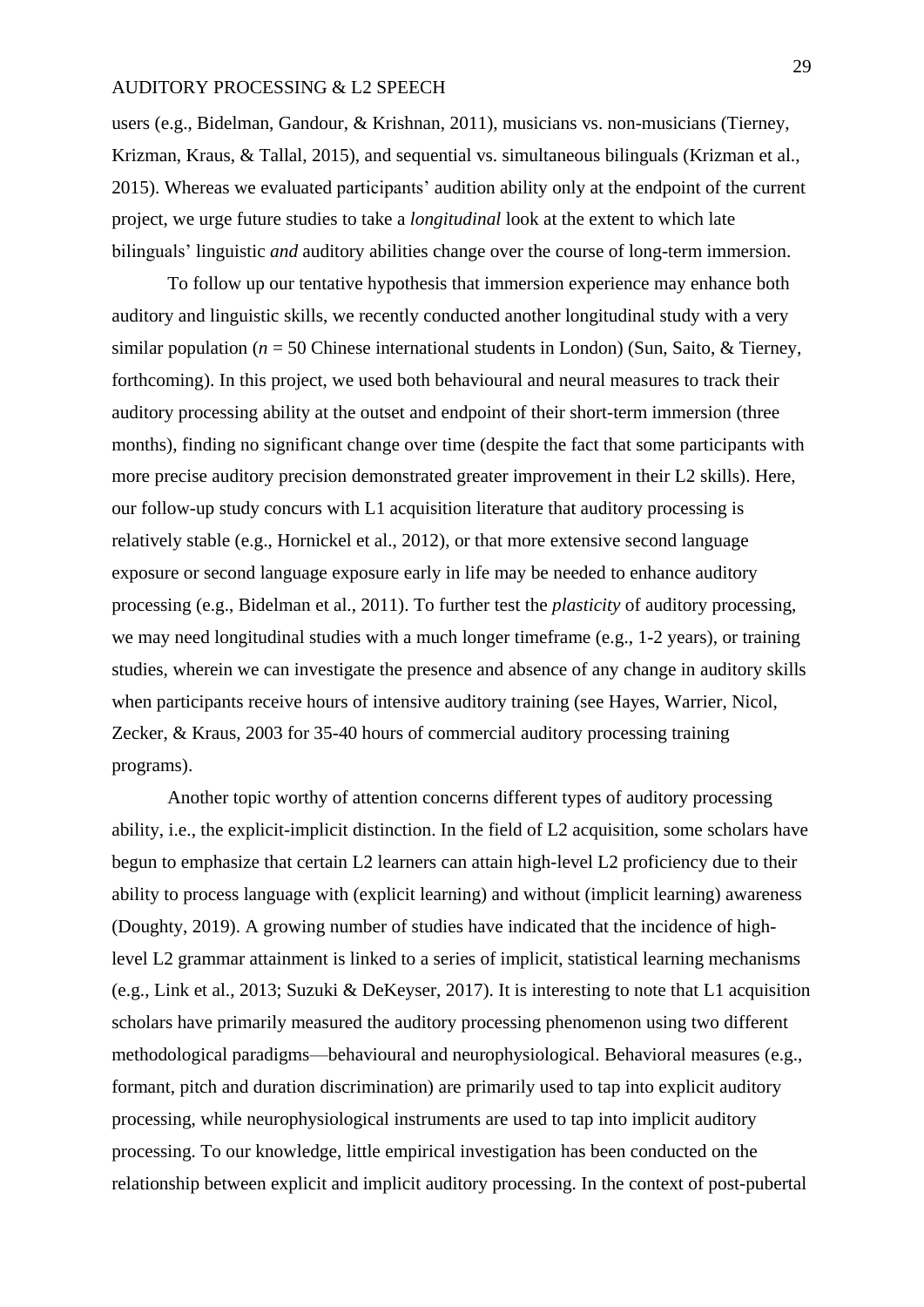users (e.g., Bidelman, Gandour, & Krishnan, 2011), musicians vs. non-musicians (Tierney, Krizman, Kraus, & Tallal, 2015), and sequential vs. simultaneous bilinguals (Krizman et al., 2015). Whereas we evaluated participants' audition ability only at the endpoint of the current project, we urge future studies to take a *longitudinal* look at the extent to which late bilinguals' linguistic *and* auditory abilities change over the course of long-term immersion.

To follow up our tentative hypothesis that immersion experience may enhance both auditory and linguistic skills, we recently conducted another longitudinal study with a very similar population ( $n = 50$  Chinese international students in London) (Sun, Saito, & Tierney, forthcoming). In this project, we used both behavioural and neural measures to track their auditory processing ability at the outset and endpoint of their short-term immersion (three months), finding no significant change over time (despite the fact that some participants with more precise auditory precision demonstrated greater improvement in their L2 skills). Here, our follow-up study concurs with L1 acquisition literature that auditory processing is relatively stable (e.g., Hornickel et al., 2012), or that more extensive second language exposure or second language exposure early in life may be needed to enhance auditory processing (e.g., Bidelman et al., 2011). To further test the *plasticity* of auditory processing, we may need longitudinal studies with a much longer timeframe (e.g., 1-2 years), or training studies, wherein we can investigate the presence and absence of any change in auditory skills when participants receive hours of intensive auditory training (see Hayes, Warrier, Nicol, Zecker, & Kraus, 2003 for 35-40 hours of commercial auditory processing training programs).

Another topic worthy of attention concerns different types of auditory processing ability, i.e., the explicit-implicit distinction. In the field of L2 acquisition, some scholars have begun to emphasize that certain L2 learners can attain high-level L2 proficiency due to their ability to process language with (explicit learning) and without (implicit learning) awareness (Doughty, 2019). A growing number of studies have indicated that the incidence of highlevel L2 grammar attainment is linked to a series of implicit, statistical learning mechanisms (e.g., Link et al., 2013; Suzuki & DeKeyser, 2017). It is interesting to note that L1 acquisition scholars have primarily measured the auditory processing phenomenon using two different methodological paradigms—behavioural and neurophysiological. Behavioral measures (e.g., formant, pitch and duration discrimination) are primarily used to tap into explicit auditory processing, while neurophysiological instruments are used to tap into implicit auditory processing. To our knowledge, little empirical investigation has been conducted on the relationship between explicit and implicit auditory processing. In the context of post-pubertal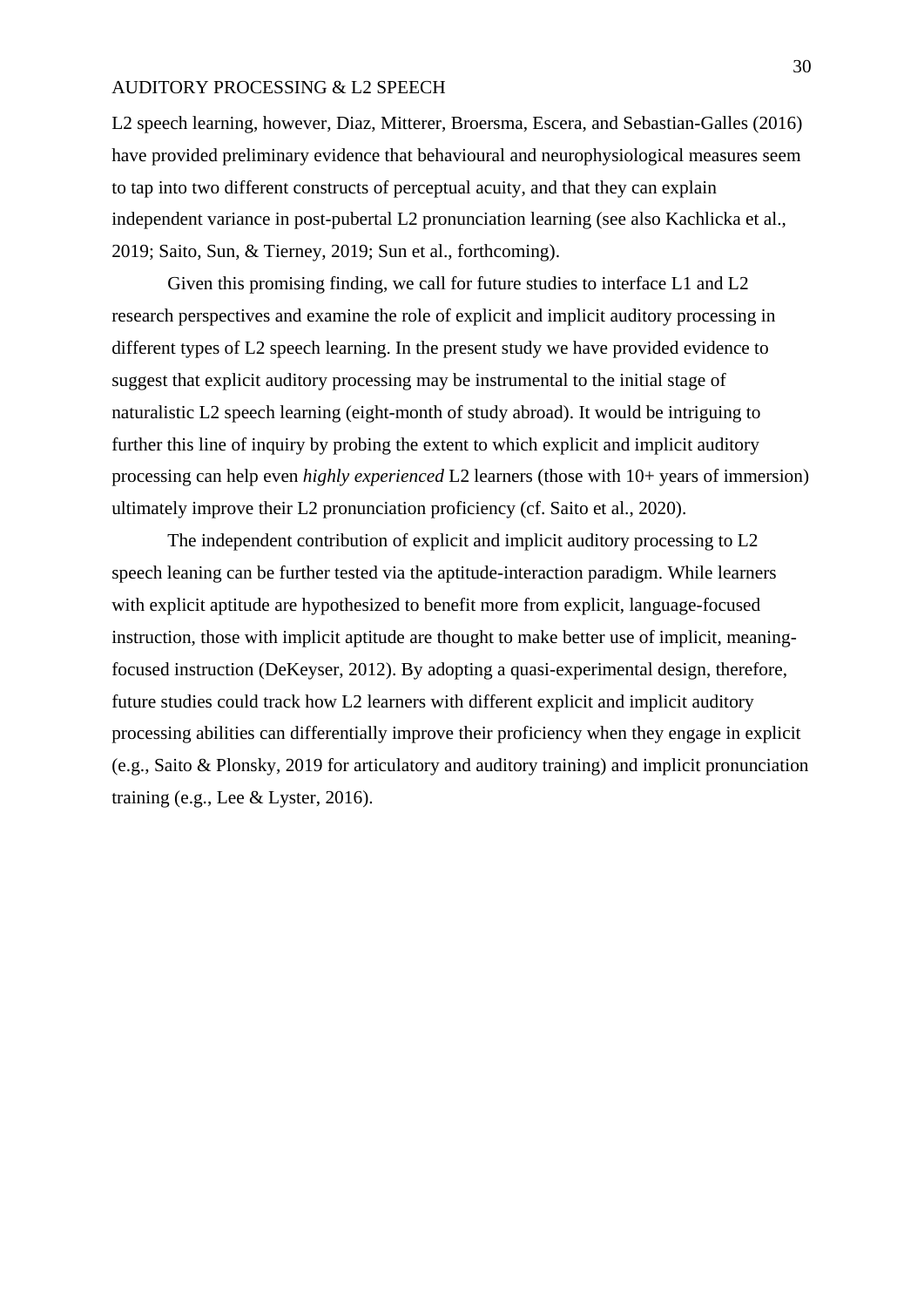L2 speech learning, however, Diaz, Mitterer, Broersma, Escera, and Sebastian-Galles (2016) have provided preliminary evidence that behavioural and neurophysiological measures seem to tap into two different constructs of perceptual acuity, and that they can explain independent variance in post-pubertal L2 pronunciation learning (see also Kachlicka et al., 2019; Saito, Sun, & Tierney, 2019; Sun et al., forthcoming).

Given this promising finding, we call for future studies to interface L1 and L2 research perspectives and examine the role of explicit and implicit auditory processing in different types of L2 speech learning. In the present study we have provided evidence to suggest that explicit auditory processing may be instrumental to the initial stage of naturalistic L2 speech learning (eight-month of study abroad). It would be intriguing to further this line of inquiry by probing the extent to which explicit and implicit auditory processing can help even *highly experienced* L2 learners (those with 10+ years of immersion) ultimately improve their L2 pronunciation proficiency (cf. Saito et al., 2020).

The independent contribution of explicit and implicit auditory processing to L2 speech leaning can be further tested via the aptitude-interaction paradigm. While learners with explicit aptitude are hypothesized to benefit more from explicit, language-focused instruction, those with implicit aptitude are thought to make better use of implicit, meaningfocused instruction (DeKeyser, 2012). By adopting a quasi-experimental design, therefore, future studies could track how L2 learners with different explicit and implicit auditory processing abilities can differentially improve their proficiency when they engage in explicit (e.g., Saito & Plonsky, 2019 for articulatory and auditory training) and implicit pronunciation training (e.g., Lee & Lyster, 2016).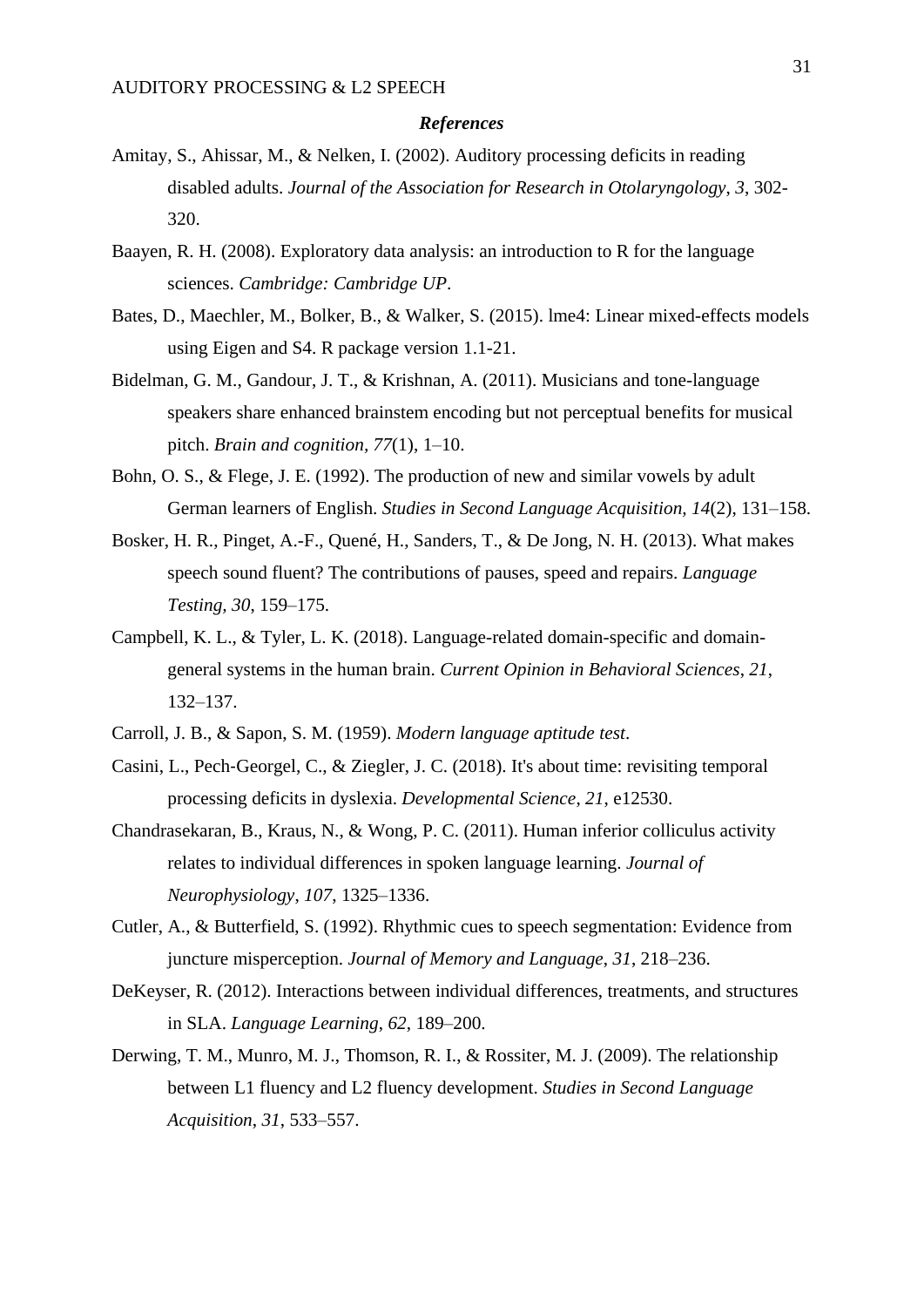#### *References*

- Amitay, S., Ahissar, M., & Nelken, I. (2002). Auditory processing deficits in reading disabled adults. *Journal of the Association for Research in Otolaryngology*, *3*, 302- 320.
- Baayen, R. H. (2008). Exploratory data analysis: an introduction to R for the language sciences. *Cambridge: Cambridge UP*.
- Bates, D., Maechler, M., Bolker, B., & Walker, S. (2015). lme4: Linear mixed-effects models using Eigen and S4. R package version 1.1-21.
- Bidelman, G. M., Gandour, J. T., & Krishnan, A. (2011). Musicians and tone-language speakers share enhanced brainstem encoding but not perceptual benefits for musical pitch. *Brain and cognition, 77*(1), 1–10.
- Bohn, O. S., & Flege, J. E. (1992). The production of new and similar vowels by adult German learners of English. *Studies in Second Language Acquisition, 14*(2), 131–158.
- Bosker, H. R., Pinget, A.-F., Quené, H., Sanders, T., & De Jong, N. H. (2013). What makes speech sound fluent? The contributions of pauses, speed and repairs. *Language Testing, 30*, 159–175.
- Campbell, K. L., & Tyler, L. K. (2018). Language-related domain-specific and domaingeneral systems in the human brain. *Current Opinion in Behavioral Sciences*, *21*, 132–137.
- Carroll, J. B., & Sapon, S. M. (1959). *Modern language aptitude test*.
- Casini, L., Pech‐Georgel, C., & Ziegler, J. C. (2018). It's about time: revisiting temporal processing deficits in dyslexia. *Developmental Science*, *21*, e12530.
- Chandrasekaran, B., Kraus, N., & Wong, P. C. (2011). Human inferior colliculus activity relates to individual differences in spoken language learning. *Journal of Neurophysiology*, *107*, 1325–1336.
- Cutler, A., & Butterfield, S. (1992). Rhythmic cues to speech segmentation: Evidence from juncture misperception. *Journal of Memory and Language*, *31*, 218–236.
- DeKeyser, R. (2012). Interactions between individual differences, treatments, and structures in SLA. *Language Learning*, *62*, 189–200.
- Derwing, T. M., Munro, M. J., Thomson, R. I., & Rossiter, M. J. (2009). The relationship between L1 fluency and L2 fluency development. *Studies in Second Language Acquisition*, *31*, 533–557.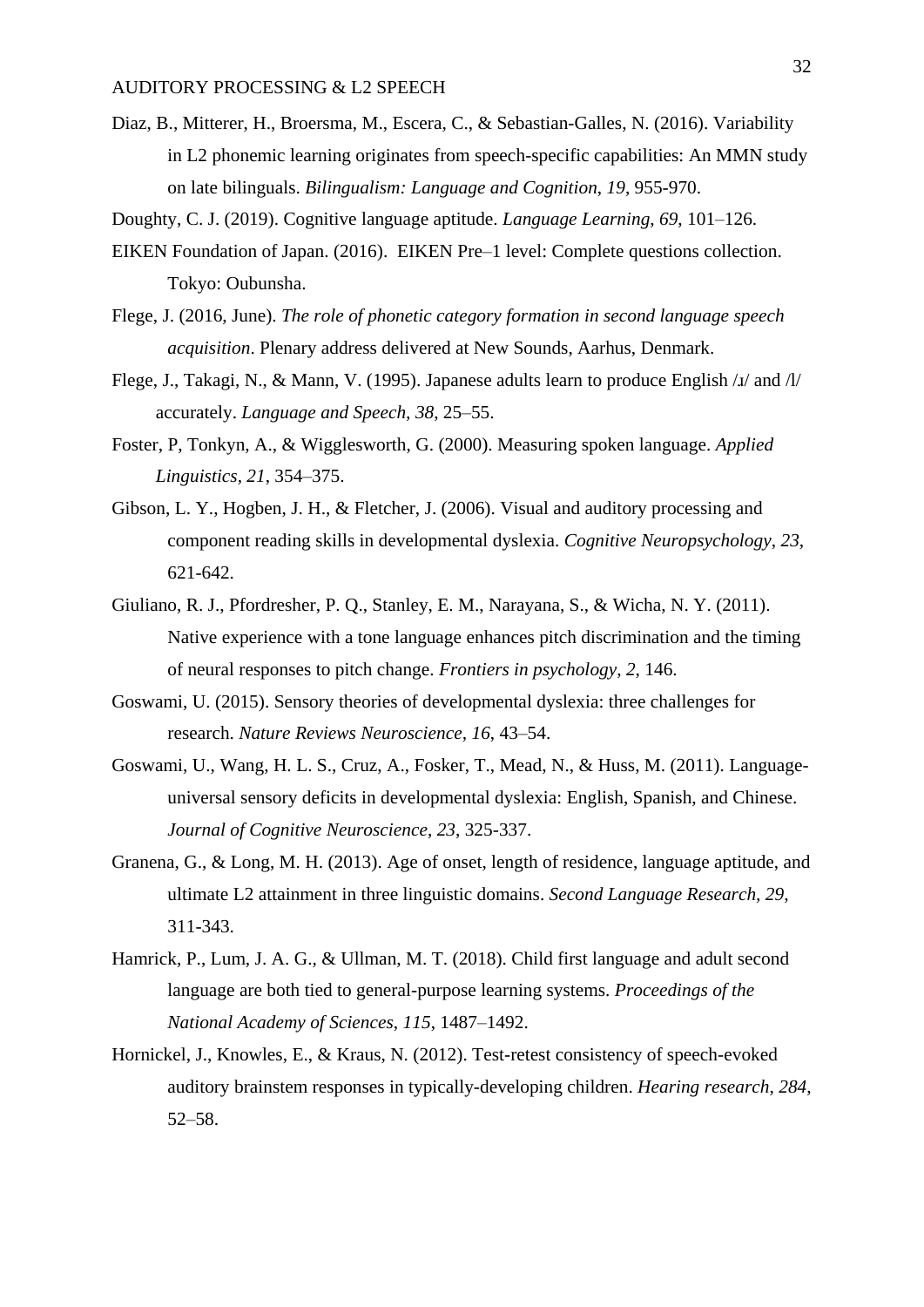- Diaz, B., Mitterer, H., Broersma, M., Escera, C., & Sebastian-Galles, N. (2016). Variability in L2 phonemic learning originates from speech-specific capabilities: An MMN study on late bilinguals. *Bilingualism: Language and Cognition*, *19*, 955-970.
- Doughty, C. J. (2019). Cognitive language aptitude. *Language Learning*, *69*, 101–126.
- EIKEN Foundation of Japan. (2016). EIKEN Pre–1 level: Complete questions collection. Tokyo: Oubunsha.
- Flege, J. (2016, June). *The role of phonetic category formation in second language speech acquisition*. Plenary address delivered at New Sounds, Aarhus, Denmark.
- Flege, J., Takagi, N., & Mann, V. (1995). Japanese adults learn to produce English /ɹ/ and /l/ accurately. *Language and Speech, 38*, 25–55.
- Foster, P, Tonkyn, A., & Wigglesworth, G. (2000). Measuring spoken language. *Applied Linguistics, 21*, 354–375.
- Gibson, L. Y., Hogben, J. H., & Fletcher, J. (2006). Visual and auditory processing and component reading skills in developmental dyslexia. *Cognitive Neuropsychology*, *23*, 621-642.
- Giuliano, R. J., Pfordresher, P. Q., Stanley, E. M., Narayana, S., & Wicha, N. Y. (2011). Native experience with a tone language enhances pitch discrimination and the timing of neural responses to pitch change. *Frontiers in psychology*, *2*, 146.
- Goswami, U. (2015). Sensory theories of developmental dyslexia: three challenges for research. *Nature Reviews Neuroscience, 16*, 43–54.
- Goswami, U., Wang, H. L. S., Cruz, A., Fosker, T., Mead, N., & Huss, M. (2011). Languageuniversal sensory deficits in developmental dyslexia: English, Spanish, and Chinese. *Journal of Cognitive Neuroscience*, *23*, 325-337.
- Granena, G., & Long, M. H. (2013). Age of onset, length of residence, language aptitude, and ultimate L2 attainment in three linguistic domains. *Second Language Research, 29*, 311-343.
- Hamrick, P., Lum, J. A. G., & Ullman, M. T. (2018). Child first language and adult second language are both tied to general-purpose learning systems. *Proceedings of the National Academy of Sciences*, *115*, 1487–1492.
- Hornickel, J., Knowles, E., & Kraus, N. (2012). Test-retest consistency of speech-evoked auditory brainstem responses in typically-developing children. *Hearing research*, *284*, 52–58.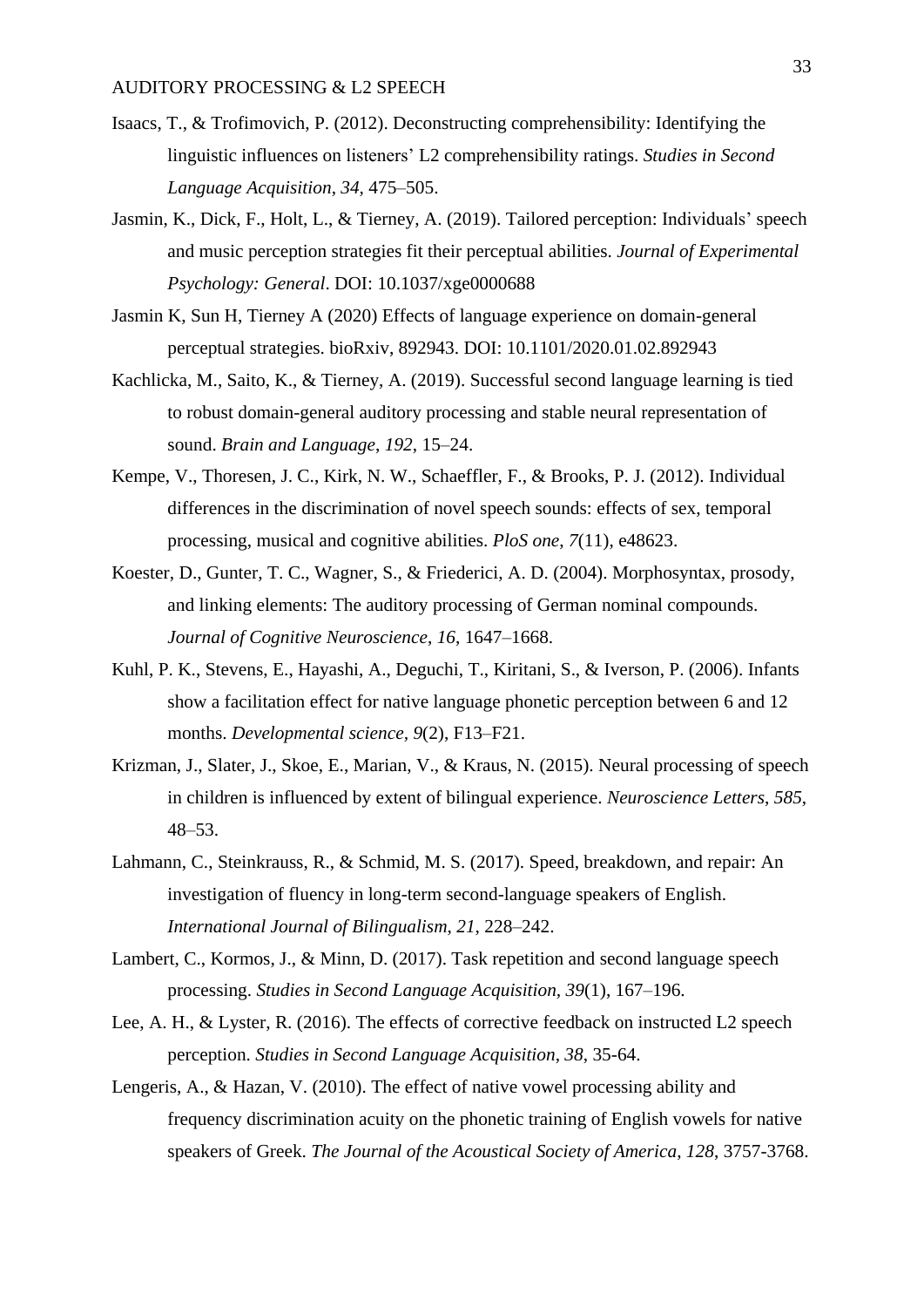- Isaacs, T., & Trofimovich, P. (2012). Deconstructing comprehensibility: Identifying the linguistic influences on listeners' L2 comprehensibility ratings. *Studies in Second Language Acquisition*, *34,* 475–505.
- Jasmin, K., Dick, F., Holt, L., & Tierney, A. (2019). Tailored perception: Individuals' speech and music perception strategies fit their perceptual abilities. *Journal of Experimental Psychology: General*. DOI: 10.1037/xge0000688
- Jasmin K, Sun H, Tierney A (2020) Effects of language experience on domain-general perceptual strategies. bioRxiv, 892943. DOI: 10.1101/2020.01.02.892943
- Kachlicka, M., Saito, K., & Tierney, A. (2019). Successful second language learning is tied to robust domain-general auditory processing and stable neural representation of sound. *Brain and Language*, *192*, 15–24.
- Kempe, V., Thoresen, J. C., Kirk, N. W., Schaeffler, F., & Brooks, P. J. (2012). Individual differences in the discrimination of novel speech sounds: effects of sex, temporal processing, musical and cognitive abilities. *PloS one*, *7*(11), e48623.
- Koester, D., Gunter, T. C., Wagner, S., & Friederici, A. D. (2004). Morphosyntax, prosody, and linking elements: The auditory processing of German nominal compounds. *Journal of Cognitive Neuroscience*, *16*, 1647–1668.
- Kuhl, P. K., Stevens, E., Hayashi, A., Deguchi, T., Kiritani, S., & Iverson, P. (2006). Infants show a facilitation effect for native language phonetic perception between 6 and 12 months. *Developmental science, 9*(2), F13–F21.
- Krizman, J., Slater, J., Skoe, E., Marian, V., & Kraus, N. (2015). Neural processing of speech in children is influenced by extent of bilingual experience. *Neuroscience Letters*, *585*, 48–53.
- Lahmann, C., Steinkrauss, R., & Schmid, M. S. (2017). Speed, breakdown, and repair: An investigation of fluency in long-term second-language speakers of English. *International Journal of Bilingualism*, *21*, 228–242.
- Lambert, C., Kormos, J., & Minn, D. (2017). Task repetition and second language speech processing. *Studies in Second Language Acquisition, 39*(1), 167–196.
- Lee, A. H., & Lyster, R. (2016). The effects of corrective feedback on instructed L2 speech perception. *Studies in Second Language Acquisition*, *38*, 35-64.
- Lengeris, A., & Hazan, V. (2010). The effect of native vowel processing ability and frequency discrimination acuity on the phonetic training of English vowels for native speakers of Greek. *The Journal of the Acoustical Society of America*, *128*, 3757-3768.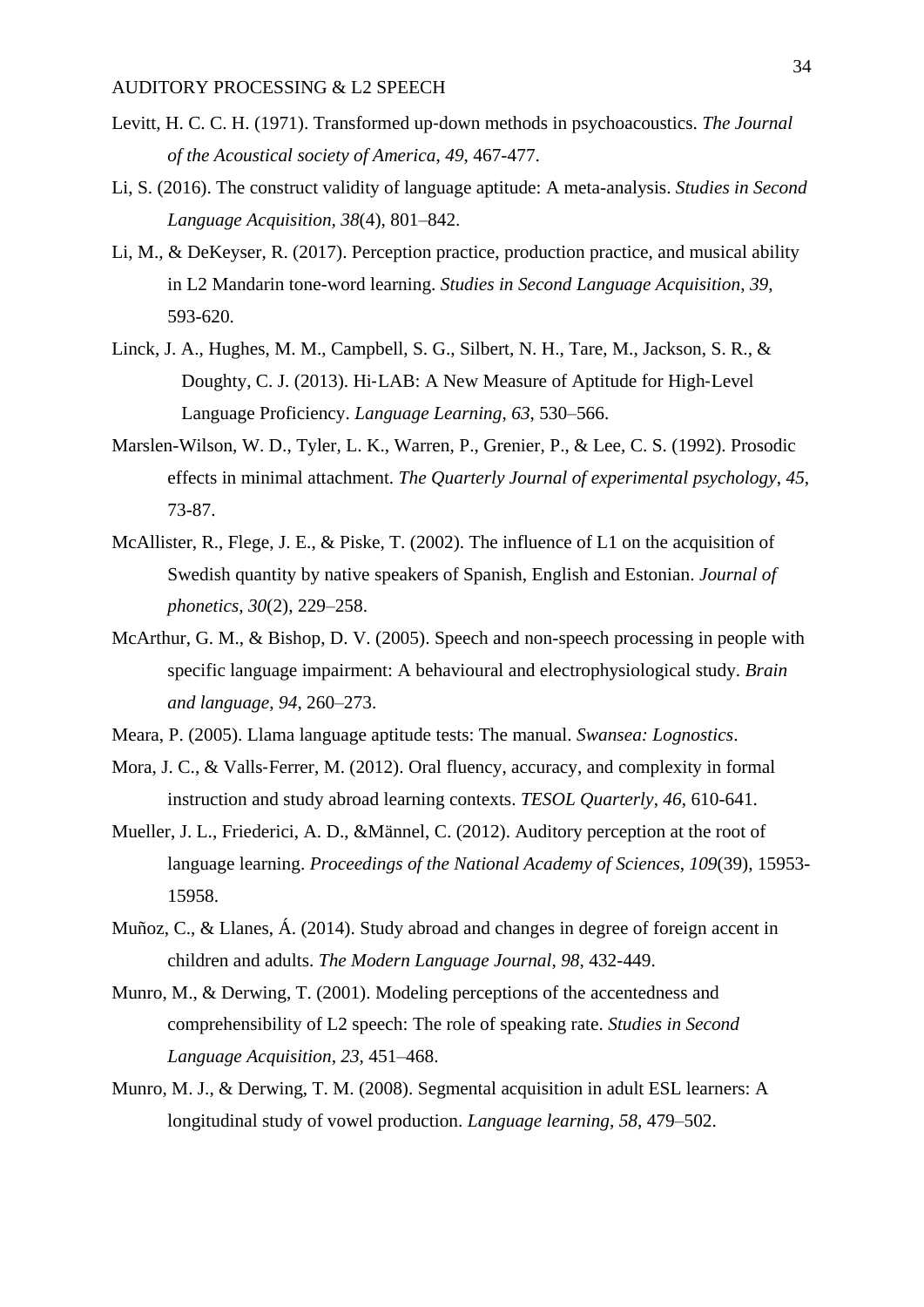- Levitt, H. C. C. H. (1971). Transformed up‐down methods in psychoacoustics. *The Journal of the Acoustical society of America*, *49*, 467-477.
- Li, S. (2016). The construct validity of language aptitude: A meta-analysis. *Studies in Second Language Acquisition, 38*(4), 801–842.
- Li, M., & DeKeyser, R. (2017). Perception practice, production practice, and musical ability in L2 Mandarin tone-word learning. *Studies in Second Language Acquisition*, *39*, 593-620.
- Linck, J. A., Hughes, M. M., Campbell, S. G., Silbert, N. H., Tare, M., Jackson, S. R., & Doughty, C. J. (2013). Hi‐LAB: A New Measure of Aptitude for High‐Level Language Proficiency. *Language Learning*, *63*, 530–566.
- Marslen-Wilson, W. D., Tyler, L. K., Warren, P., Grenier, P., & Lee, C. S. (1992). Prosodic effects in minimal attachment. *The Quarterly Journal of experimental psychology*, *45*, 73-87.
- McAllister, R., Flege, J. E., & Piske, T. (2002). The influence of L1 on the acquisition of Swedish quantity by native speakers of Spanish, English and Estonian. *Journal of phonetics, 30*(2), 229–258.
- McArthur, G. M., & Bishop, D. V. (2005). Speech and non-speech processing in people with specific language impairment: A behavioural and electrophysiological study. *Brain and language*, *94*, 260–273.
- Meara, P. (2005). Llama language aptitude tests: The manual. *Swansea: Lognostics*.
- Mora, J. C., & Valls-Ferrer, M. (2012). Oral fluency, accuracy, and complexity in formal instruction and study abroad learning contexts. *TESOL Quarterly*, *46*, 610-641.
- Mueller, J. L., Friederici, A. D., &Männel, C. (2012). Auditory perception at the root of language learning. *Proceedings of the National Academy of Sciences*, *109*(39), 15953- 15958.
- Muñoz, C., & Llanes, Á. (2014). Study abroad and changes in degree of foreign accent in children and adults. *The Modern Language Journal*, *98*, 432-449.
- Munro, M., & Derwing, T. (2001). Modeling perceptions of the accentedness and comprehensibility of L2 speech: The role of speaking rate. *Studies in Second Language Acquisition*, *23*, 451–468.
- Munro, M. J., & Derwing, T. M. (2008). Segmental acquisition in adult ESL learners: A longitudinal study of vowel production. *Language learning*, *58*, 479–502.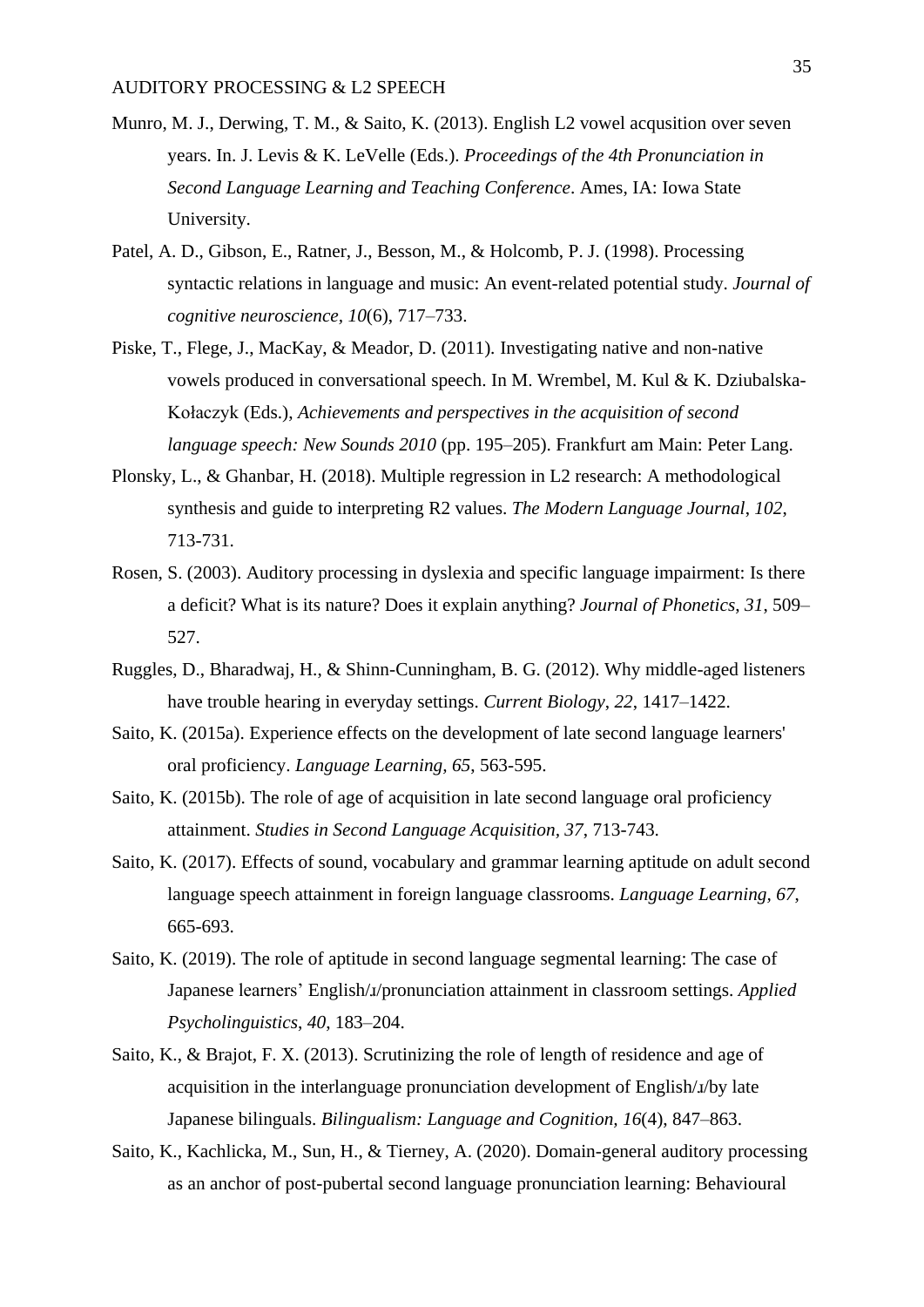- Munro, M. J., Derwing, T. M., & Saito, K. (2013). English L2 vowel acqusition over seven years. In. J. Levis & K. LeVelle (Eds.). *Proceedings of the 4th Pronunciation in Second Language Learning and Teaching Conference*. Ames, IA: Iowa State University.
- Patel, A. D., Gibson, E., Ratner, J., Besson, M., & Holcomb, P. J. (1998). Processing syntactic relations in language and music: An event-related potential study. *Journal of cognitive neuroscience, 10*(6), 717–733.
- Piske, T., Flege, J., MacKay, & Meador, D. (2011)*.* Investigating native and non-native vowels produced in conversational speech. In M. Wrembel, M. Kul & K. Dziubalska-Kołaczyk (Eds.), *Achievements and perspectives in the acquisition of second language speech: New Sounds 2010* (pp. 195–205). Frankfurt am Main: Peter Lang.
- Plonsky, L., & Ghanbar, H. (2018). Multiple regression in L2 research: A methodological synthesis and guide to interpreting R2 values. *The Modern Language Journal*, *102*, 713-731.
- Rosen, S. (2003). Auditory processing in dyslexia and specific language impairment: Is there a deficit? What is its nature? Does it explain anything? *Journal of Phonetics*, *31*, 509– 527.
- Ruggles, D., Bharadwaj, H., & Shinn-Cunningham, B. G. (2012). Why middle-aged listeners have trouble hearing in everyday settings. *Current Biology*, *22*, 1417–1422.
- Saito, K. (2015a). Experience effects on the development of late second language learners' oral proficiency. *Language Learning, 65*, 563-595.
- Saito, K. (2015b). The role of age of acquisition in late second language oral proficiency attainment. *Studies in Second Language Acquisition, 37*, 713-743.
- Saito, K. (2017). Effects of sound, vocabulary and grammar learning aptitude on adult second language speech attainment in foreign language classrooms. *Language Learning, 67*, 665-693.
- Saito, K. (2019). The role of aptitude in second language segmental learning: The case of Japanese learners' English/ɹ/pronunciation attainment in classroom settings. *Applied Psycholinguistics*, *40*, 183–204.
- Saito, K., & Brajot, F. X. (2013). Scrutinizing the role of length of residence and age of acquisition in the interlanguage pronunciation development of English/ɹ/by late Japanese bilinguals. *Bilingualism: Language and Cognition, 16*(4), 847–863.
- Saito, K., Kachlicka, M., Sun, H., & Tierney, A. (2020). Domain-general auditory processing as an anchor of post-pubertal second language pronunciation learning: Behavioural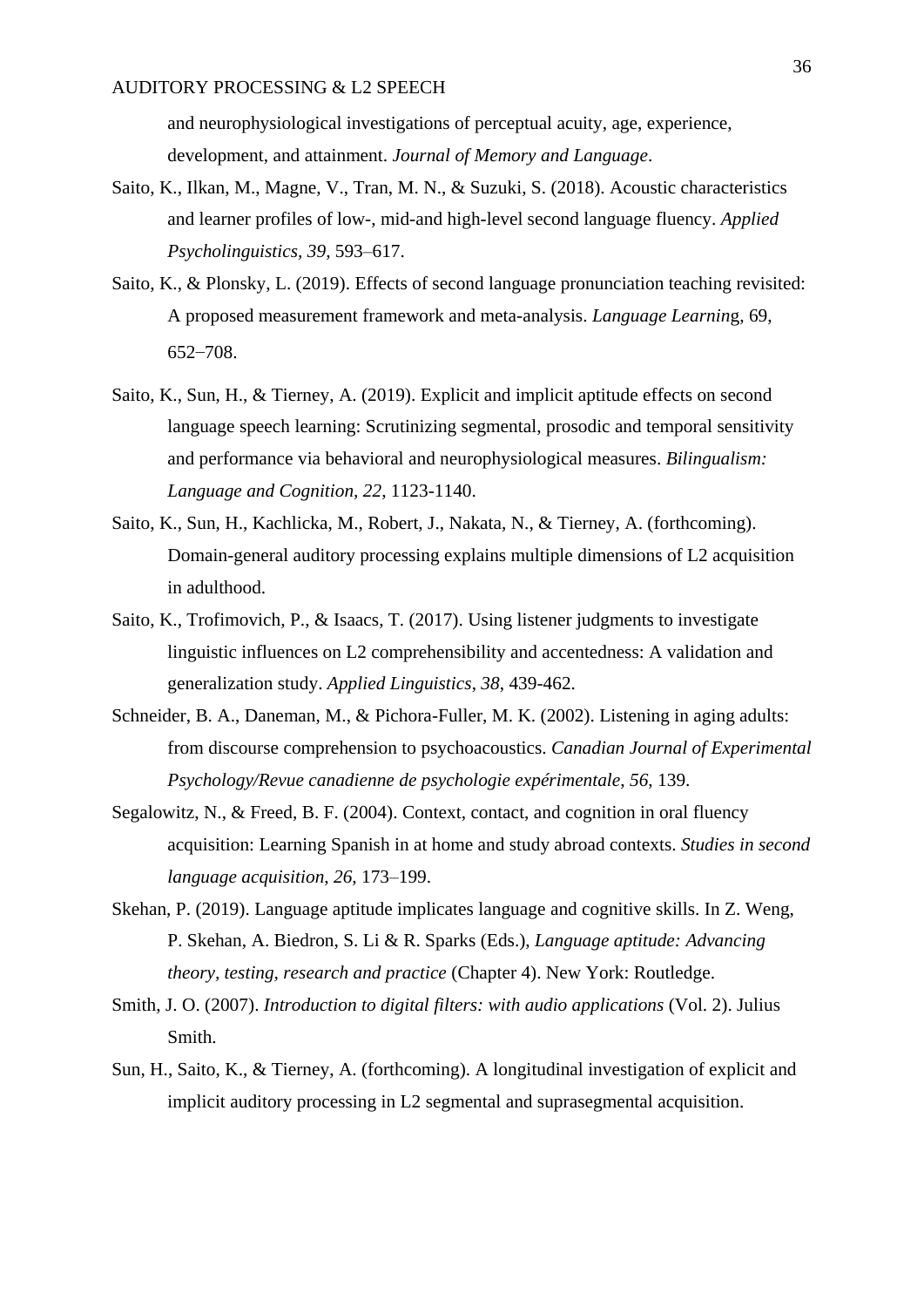and neurophysiological investigations of perceptual acuity, age, experience, development, and attainment. *Journal of Memory and Language*.

- Saito, K., Ilkan, M., Magne, V., Tran, M. N., & Suzuki, S. (2018). Acoustic characteristics and learner profiles of low-, mid-and high-level second language fluency. *Applied Psycholinguistics, 39,* 593–617.
- Saito, K., & Plonsky, L. (2019). Effects of second language pronunciation teaching revisited: A proposed measurement framework and meta-analysis. *Language Learnin*g, 69, 652–708.
- Saito, K., Sun, H., & Tierney, A. (2019). Explicit and implicit aptitude effects on second language speech learning: Scrutinizing segmental, prosodic and temporal sensitivity and performance via behavioral and neurophysiological measures. *Bilingualism: Language and Cognition, 22*, 1123-1140.
- Saito, K., Sun, H., Kachlicka, M., Robert, J., Nakata, N., & Tierney, A. (forthcoming). Domain-general auditory processing explains multiple dimensions of L2 acquisition in adulthood.
- Saito, K., Trofimovich, P., & Isaacs, T. (2017). Using listener judgments to investigate linguistic influences on L2 comprehensibility and accentedness: A validation and generalization study. *Applied Linguistics*, *38*, 439-462.
- Schneider, B. A., Daneman, M., & Pichora-Fuller, M. K. (2002). Listening in aging adults: from discourse comprehension to psychoacoustics. *Canadian Journal of Experimental Psychology/Revue canadienne de psychologie expérimentale*, *56*, 139.
- Segalowitz, N., & Freed, B. F. (2004). Context, contact, and cognition in oral fluency acquisition: Learning Spanish in at home and study abroad contexts. *Studies in second language acquisition*, *26*, 173–199.
- Skehan, P. (2019). Language aptitude implicates language and cognitive skills. In Z. Weng, P. Skehan, A. Biedron, S. Li & R. Sparks (Eds.), *Language aptitude: Advancing theory, testing, research and practice* (Chapter 4). New York: Routledge.
- Smith, J. O. (2007). *Introduction to digital filters: with audio applications* (Vol. 2). Julius Smith.
- Sun, H., Saito, K., & Tierney, A. (forthcoming). A longitudinal investigation of explicit and implicit auditory processing in L2 segmental and suprasegmental acquisition.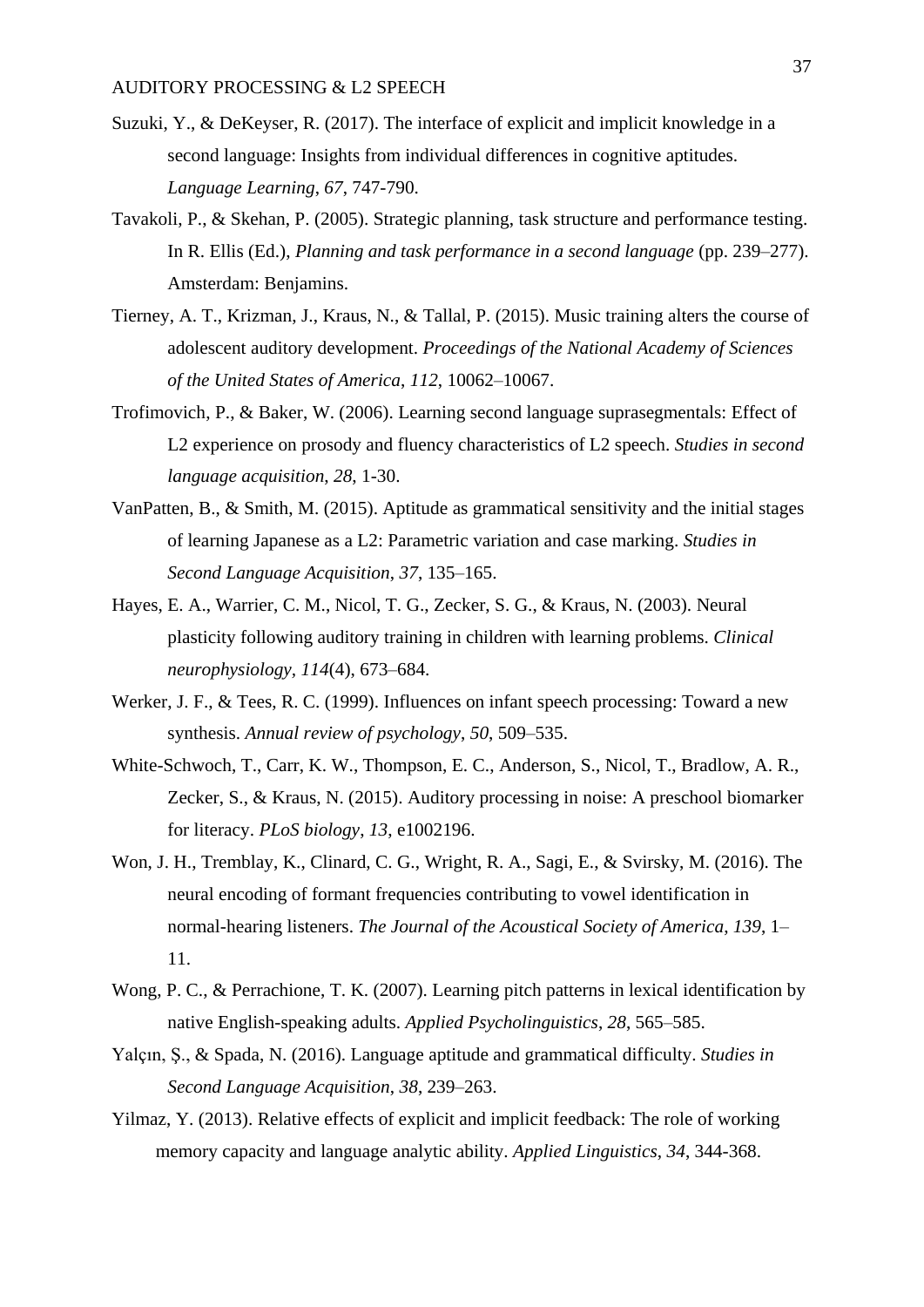- Suzuki, Y., & DeKeyser, R. (2017). The interface of explicit and implicit knowledge in a second language: Insights from individual differences in cognitive aptitudes. *Language Learning*, *67*, 747-790.
- Tavakoli, P., & Skehan, P. (2005). Strategic planning, task structure and performance testing. In R. Ellis (Ed.), *Planning and task performance in a second language* (pp. 239–277). Amsterdam: Benjamins.
- Tierney, A. T., Krizman, J., Kraus, N., & Tallal, P. (2015). Music training alters the course of adolescent auditory development. *Proceedings of the National Academy of Sciences of the United States of America*, *112*, 10062–10067.
- Trofimovich, P., & Baker, W. (2006). Learning second language suprasegmentals: Effect of L2 experience on prosody and fluency characteristics of L2 speech. *Studies in second language acquisition*, *28*, 1-30.
- VanPatten, B., & Smith, M. (2015). Aptitude as grammatical sensitivity and the initial stages of learning Japanese as a L2: Parametric variation and case marking. *Studies in Second Language Acquisition*, *37*, 135–165.
- Hayes, E. A., Warrier, C. M., Nicol, T. G., Zecker, S. G., & Kraus, N. (2003). Neural plasticity following auditory training in children with learning problems. *Clinical neurophysiology, 114*(4), 673–684.
- Werker, J. F., & Tees, R. C. (1999). Influences on infant speech processing: Toward a new synthesis. *Annual review of psychology*, *50*, 509–535.
- White-Schwoch, T., Carr, K. W., Thompson, E. C., Anderson, S., Nicol, T., Bradlow, A. R., Zecker, S., & Kraus, N. (2015). Auditory processing in noise: A preschool biomarker for literacy. *PLoS biology*, *13*, e1002196.
- Won, J. H., Tremblay, K., Clinard, C. G., Wright, R. A., Sagi, E., & Svirsky, M. (2016). The neural encoding of formant frequencies contributing to vowel identification in normal-hearing listeners. *The Journal of the Acoustical Society of America*, *139*, 1– 11.
- Wong, P. C., & Perrachione, T. K. (2007). Learning pitch patterns in lexical identification by native English-speaking adults. *Applied Psycholinguistics*, *28*, 565–585.
- Yalçın, Ş., & Spada, N. (2016). Language aptitude and grammatical difficulty. *Studies in Second Language Acquisition*, *38*, 239–263.
- Yilmaz, Y. (2013). Relative effects of explicit and implicit feedback: The role of working memory capacity and language analytic ability. *Applied Linguistics*, *34*, 344-368.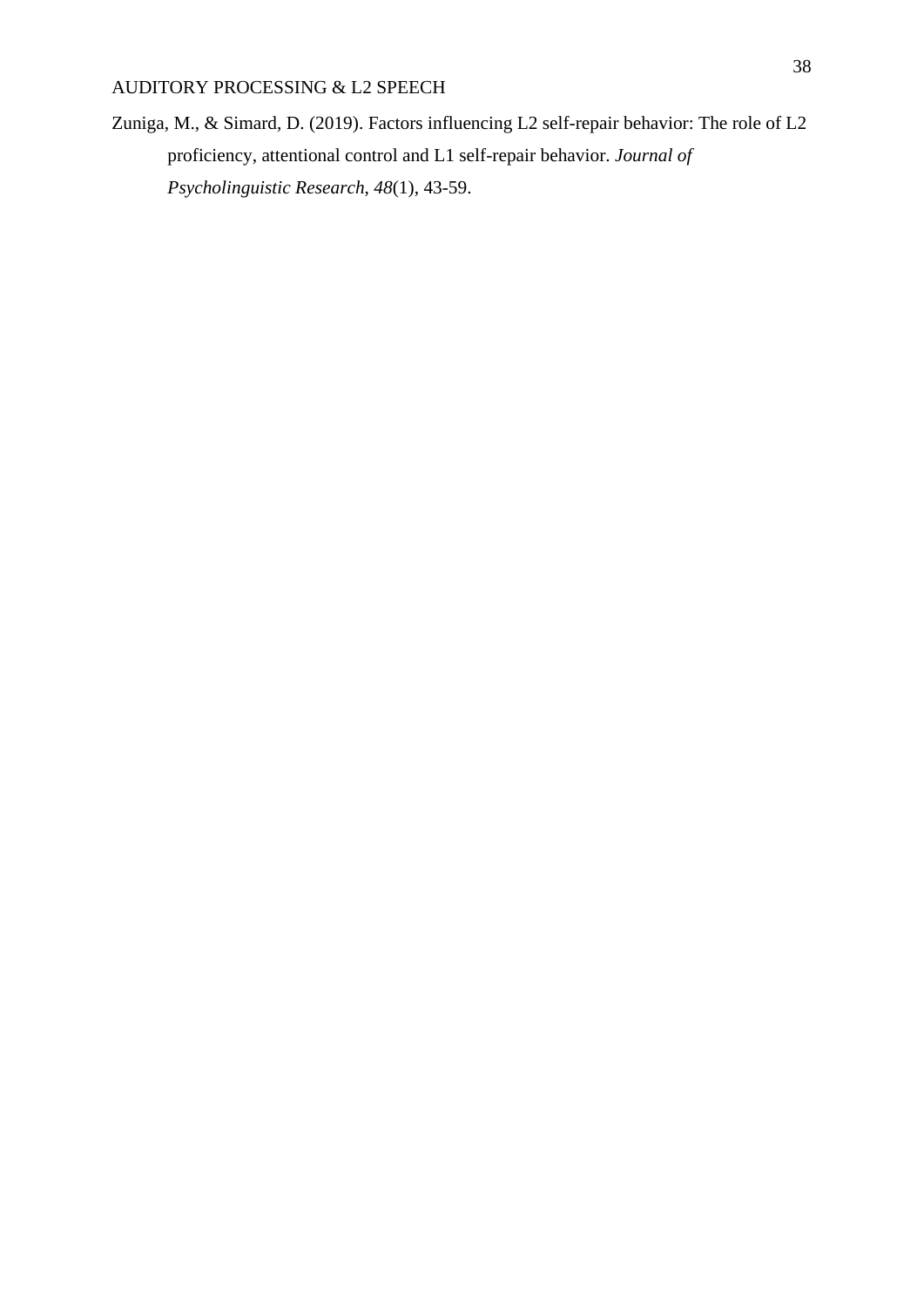Zuniga, M., & Simard, D. (2019). Factors influencing L2 self-repair behavior: The role of L2 proficiency, attentional control and L1 self-repair behavior. *Journal of Psycholinguistic Research*, *48*(1), 43-59.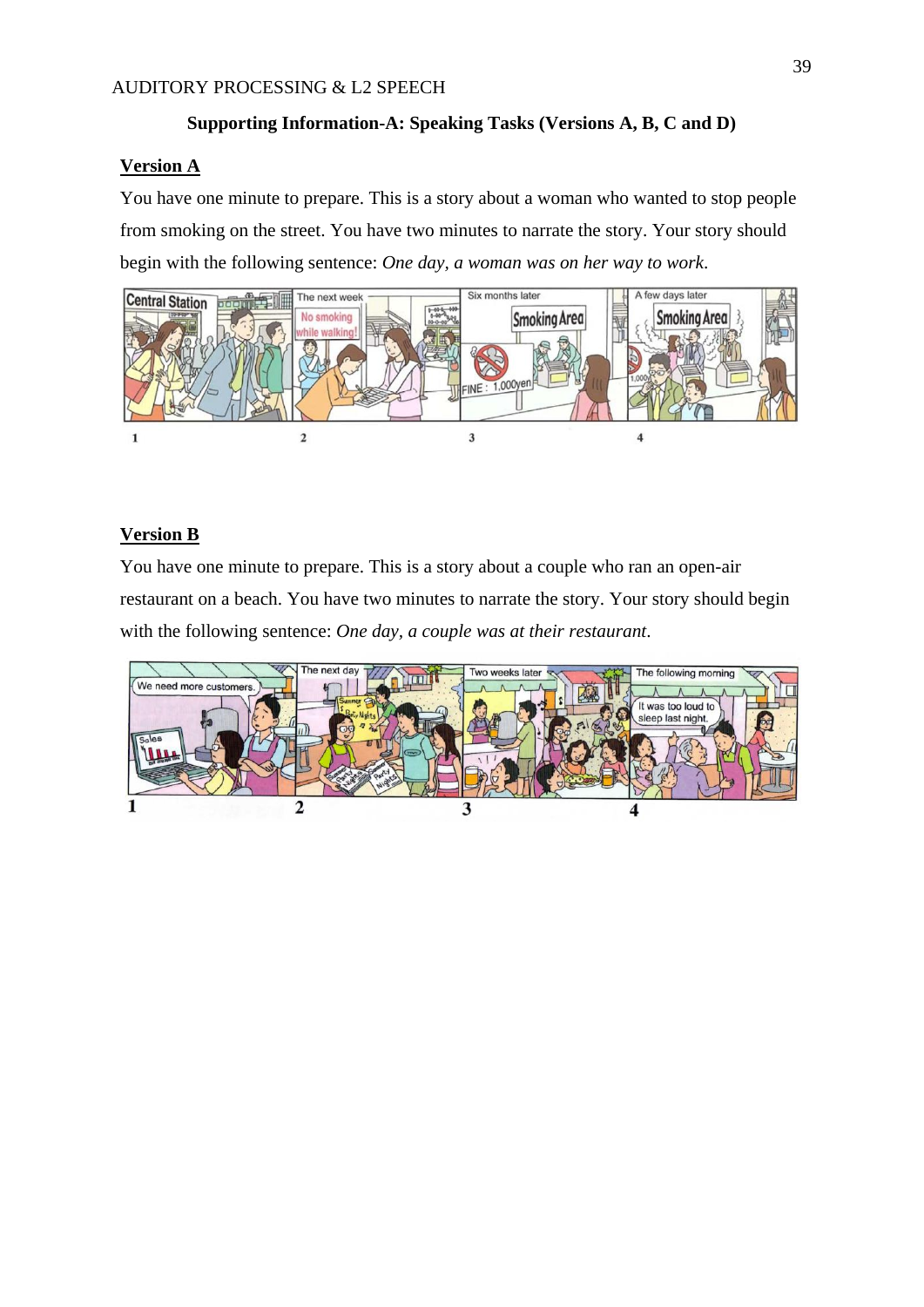## **Supporting Information-A: Speaking Tasks (Versions A, B, C and D)**

## **Version A**

You have one minute to prepare. This is a story about a woman who wanted to stop people from smoking on the street. You have two minutes to narrate the story. Your story should begin with the following sentence: *One day, a woman was on her way to work*.



## **Version B**

You have one minute to prepare. This is a story about a couple who ran an open-air restaurant on a beach. You have two minutes to narrate the story. Your story should begin with the following sentence: *One day, a couple was at their restaurant*.

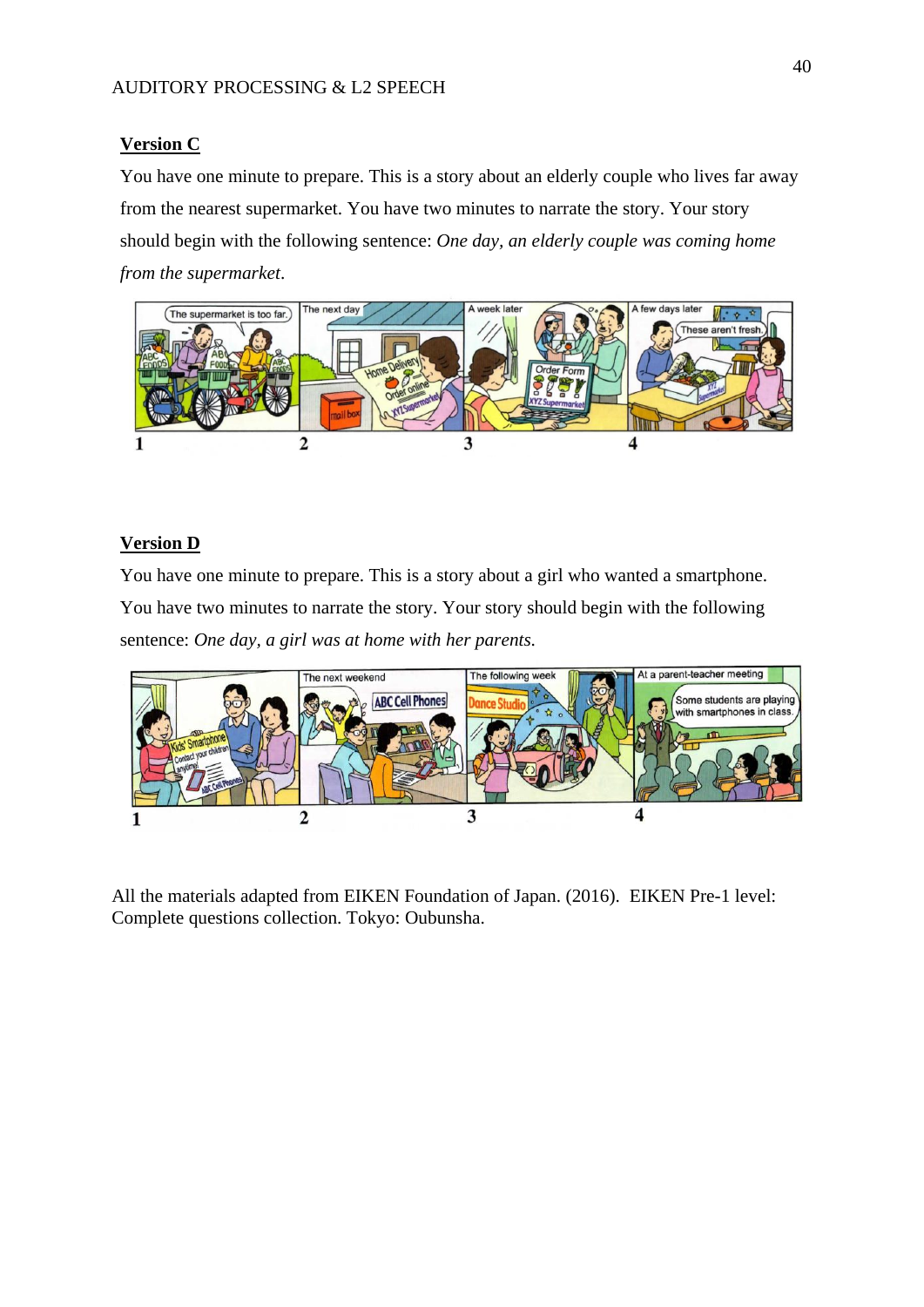## **Version C**

You have one minute to prepare. This is a story about an elderly couple who lives far away from the nearest supermarket. You have two minutes to narrate the story. Your story should begin with the following sentence: *One day, an elderly couple was coming home from the supermarket*.



## **Version D**

You have one minute to prepare. This is a story about a girl who wanted a smartphone. You have two minutes to narrate the story. Your story should begin with the following sentence: *One day, a girl was at home with her parents.*



All the materials adapted from EIKEN Foundation of Japan. (2016). EIKEN Pre-1 level: Complete questions collection. Tokyo: Oubunsha.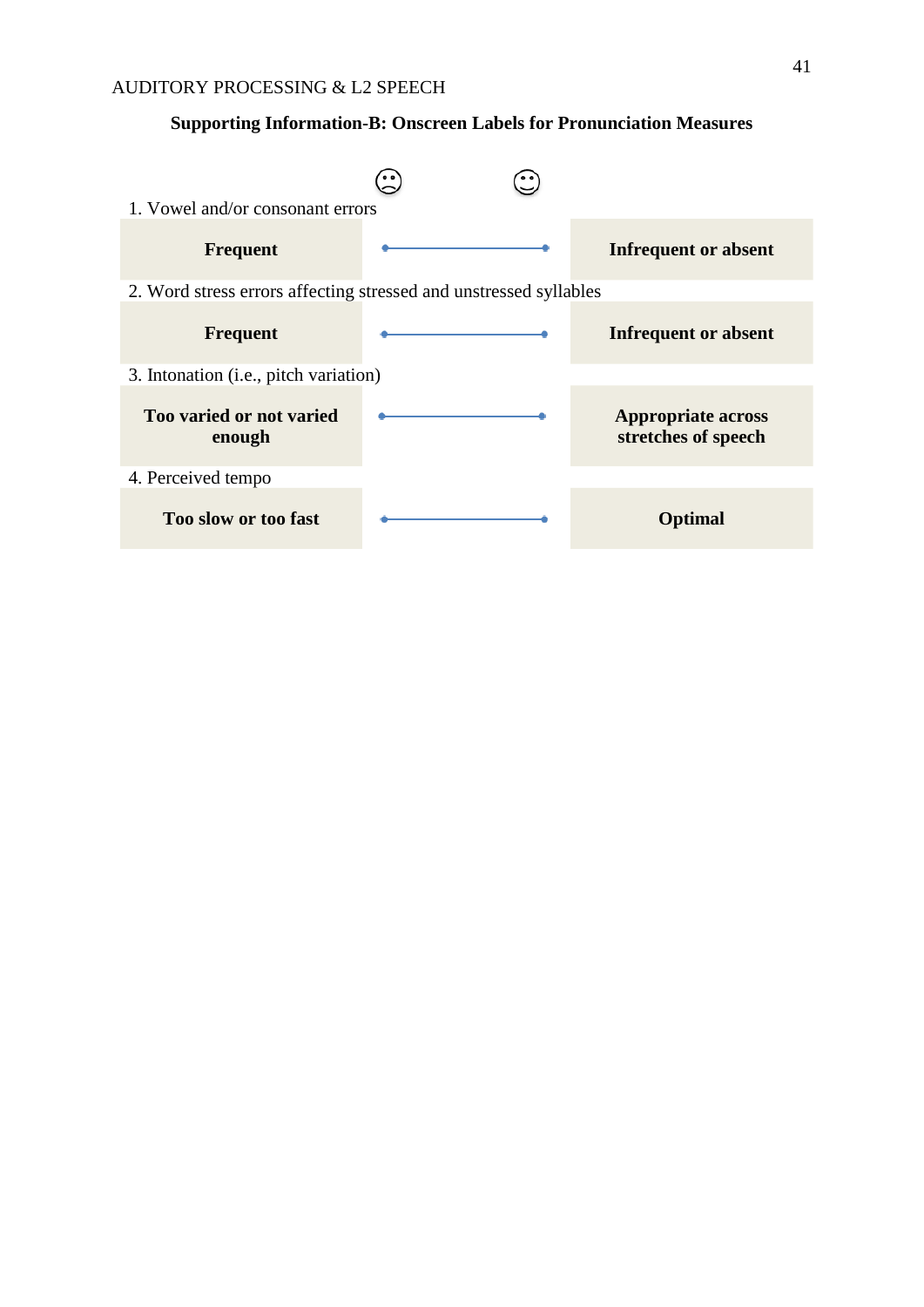## **Supporting Information-B: Onscreen Labels for Pronunciation Measures**

| 1. Vowel and/or consonant errors                                  |                                                  |
|-------------------------------------------------------------------|--------------------------------------------------|
| <b>Frequent</b>                                                   | <b>Infrequent or absent</b>                      |
| 2. Word stress errors affecting stressed and unstressed syllables |                                                  |
| <b>Frequent</b>                                                   | <b>Infrequent or absent</b>                      |
| 3. Intonation (i.e., pitch variation)                             |                                                  |
| Too varied or not varied<br>enough                                | <b>Appropriate across</b><br>stretches of speech |
| 4. Perceived tempo                                                |                                                  |
| Too slow or too fast                                              | <b>Optimal</b>                                   |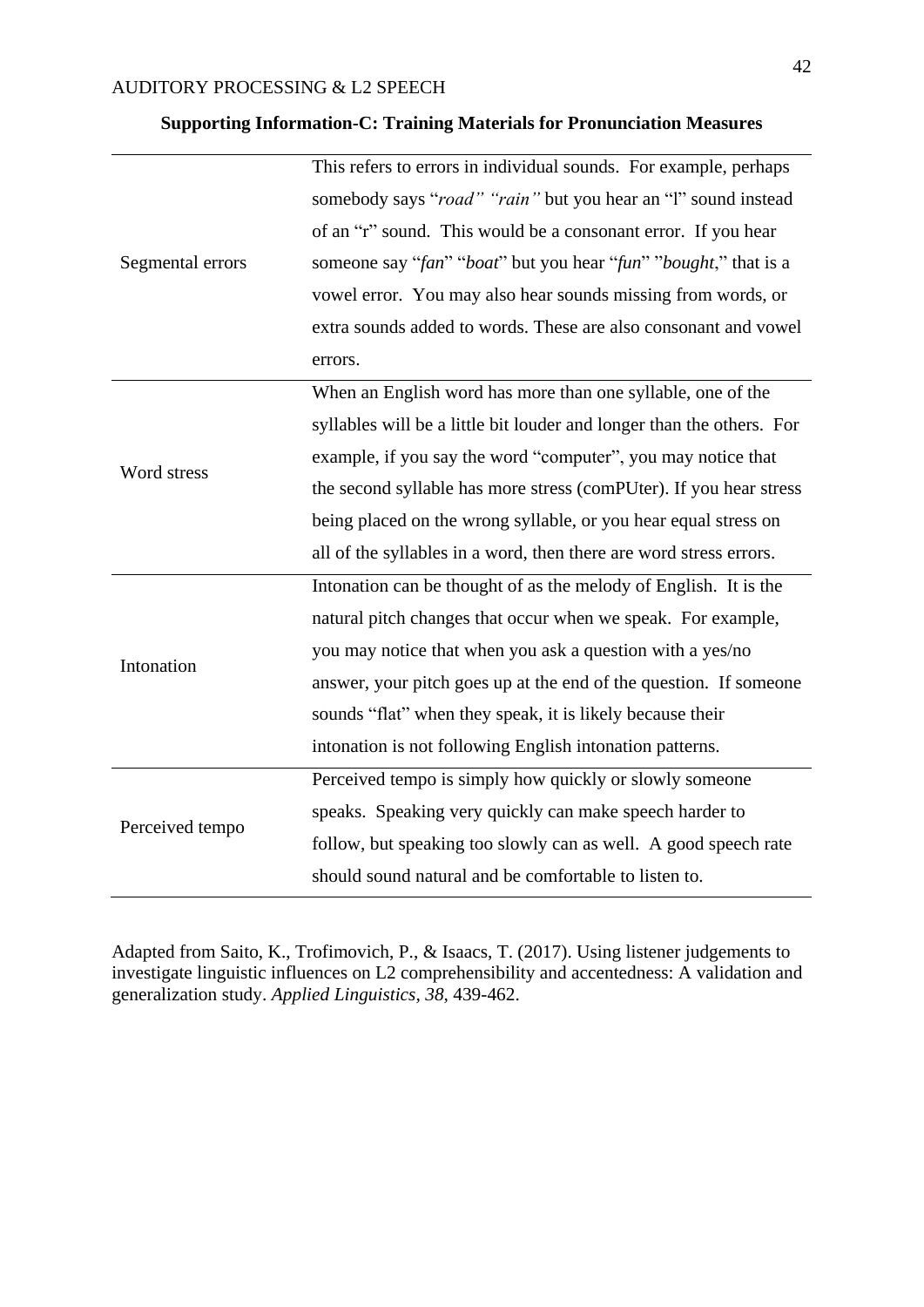|                  | This refers to errors in individual sounds. For example, perhaps      |  |  |  |  |
|------------------|-----------------------------------------------------------------------|--|--|--|--|
|                  | somebody says "road" "rain" but you hear an "l" sound instead         |  |  |  |  |
|                  | of an "r" sound. This would be a consonant error. If you hear         |  |  |  |  |
| Segmental errors | someone say "fan" "boat" but you hear "fun" "bought," that is a       |  |  |  |  |
|                  | vowel error. You may also hear sounds missing from words, or          |  |  |  |  |
|                  | extra sounds added to words. These are also consonant and vowel       |  |  |  |  |
|                  | errors.                                                               |  |  |  |  |
|                  | When an English word has more than one syllable, one of the           |  |  |  |  |
|                  | syllables will be a little bit louder and longer than the others. For |  |  |  |  |
|                  | example, if you say the word "computer", you may notice that          |  |  |  |  |
| Word stress      | the second syllable has more stress (comPUter). If you hear stress    |  |  |  |  |
|                  | being placed on the wrong syllable, or you hear equal stress on       |  |  |  |  |
|                  | all of the syllables in a word, then there are word stress errors.    |  |  |  |  |
|                  | Intonation can be thought of as the melody of English. It is the      |  |  |  |  |
|                  | natural pitch changes that occur when we speak. For example,          |  |  |  |  |
| Intonation       | you may notice that when you ask a question with a yes/no             |  |  |  |  |
|                  | answer, your pitch goes up at the end of the question. If someone     |  |  |  |  |
|                  | sounds "flat" when they speak, it is likely because their             |  |  |  |  |
|                  | intonation is not following English intonation patterns.              |  |  |  |  |
|                  | Perceived tempo is simply how quickly or slowly someone               |  |  |  |  |
|                  | speaks. Speaking very quickly can make speech harder to               |  |  |  |  |
| Perceived tempo  | follow, but speaking too slowly can as well. A good speech rate       |  |  |  |  |
|                  | should sound natural and be comfortable to listen to.                 |  |  |  |  |
|                  |                                                                       |  |  |  |  |

## **Supporting Information-C: Training Materials for Pronunciation Measures**

Adapted from Saito, K., Trofimovich, P., & Isaacs, T. (2017). Using listener judgements to investigate linguistic influences on L2 comprehensibility and accentedness: A validation and generalization study. *Applied Linguistics, 38,* 439-462.